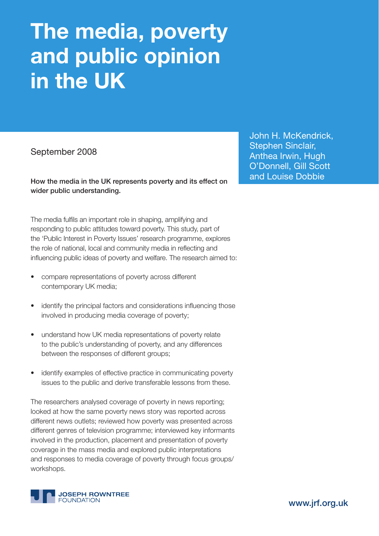# **The media, poverty and public opinion in the UK**

September 2008

**How the media in the UK represents poverty and its effect on wider public understanding.**

The media fulfils an important role in shaping, amplifying and responding to public attitudes toward poverty. This study, part of the 'Public Interest in Poverty Issues' research programme, explores the role of national, local and community media in reflecting and influencing public ideas of poverty and welfare. The research aimed to:

- compare representations of poverty across different contemporary UK media;
- identify the principal factors and considerations influencing those involved in producing media coverage of poverty;
- understand how UK media representations of poverty relate to the public's understanding of poverty, and any differences between the responses of different groups;
- identify examples of effective practice in communicating poverty issues to the public and derive transferable lessons from these.

The researchers analysed coverage of poverty in news reporting; looked at how the same poverty news story was reported across different news outlets; reviewed how poverty was presented across different genres of television programme; interviewed key informants involved in the production, placement and presentation of poverty coverage in the mass media and explored public interpretations and responses to media coverage of poverty through focus groups/ workshops.



John H. McKendrick, Stephen Sinclair, Anthea Irwin, Hugh O'Donnell, Gill Scott and Louise Dobbie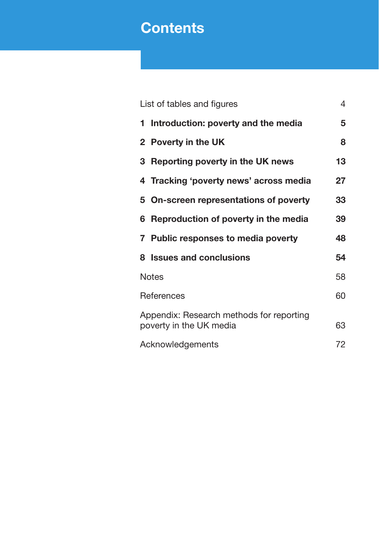## **Contents**

| List of tables and figures                                                |                                        |    |
|---------------------------------------------------------------------------|----------------------------------------|----|
|                                                                           | 1 Introduction: poverty and the media  | 5  |
|                                                                           | 2 Poverty in the UK                    | 8  |
|                                                                           | 3 Reporting poverty in the UK news     | 13 |
|                                                                           | 4 Tracking 'poverty news' across media | 27 |
|                                                                           | 5 On-screen representations of poverty | 33 |
|                                                                           | 6 Reproduction of poverty in the media | 39 |
|                                                                           | 7 Public responses to media poverty    | 48 |
|                                                                           | 8 Issues and conclusions               | 54 |
| <b>Notes</b>                                                              |                                        |    |
| <b>References</b>                                                         |                                        | 60 |
| Appendix: Research methods for reporting<br>63<br>poverty in the UK media |                                        |    |
| 72<br>Acknowledgements                                                    |                                        |    |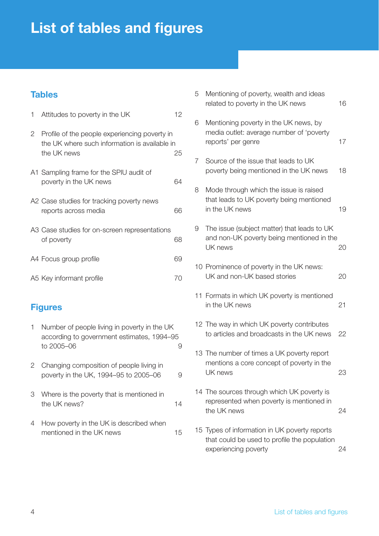## **List of tables and figures**

## **Tables**

| 1 | Attitudes to poverty in the UK                                                                                | 12 |
|---|---------------------------------------------------------------------------------------------------------------|----|
| 2 | Profile of the people experiencing poverty in<br>the UK where such information is available in<br>the UK news | 25 |
|   | A1 Sampling frame for the SPIU audit of<br>poverty in the UK news                                             | 64 |
|   | A2 Case studies for tracking poverty news<br>reports across media                                             | 66 |
|   | A3 Case studies for on-screen representations<br>of poverty                                                   | 68 |
|   | A4 Focus group profile                                                                                        | 69 |
|   | A5 Key informant profile                                                                                      | 70 |

## **Figures**

- 1 Number of people living in poverty in the UK according to government estimates, 1994–95 to 2005–06 9
- 2 Changing composition of people living in poverty in the UK, 1994-95 to 2005-06 9
- 3 Where is the poverty that is mentioned in the UK news? 14
- 4 How poverty in the UK is described when mentioned in the UK news 15

| 5 | Mentioning of poverty, wealth and ideas<br>related to poverty in the UK news                                          | 16 |
|---|-----------------------------------------------------------------------------------------------------------------------|----|
| 6 | Mentioning poverty in the UK news, by<br>media outlet: average number of 'poverty<br>reports' per genre               | 17 |
| 7 | Source of the issue that leads to UK<br>poverty being mentioned in the UK news                                        | 18 |
| 8 | Mode through which the issue is raised<br>that leads to UK poverty being mentioned<br>in the UK news                  | 19 |
| 9 | The issue (subject matter) that leads to UK<br>and non-UK poverty being mentioned in the<br>UK news                   | 20 |
|   | 10 Prominence of poverty in the UK news:<br>UK and non-UK based stories                                               | 20 |
|   | 11 Formats in which UK poverty is mentioned<br>in the UK news                                                         | 21 |
|   | 12 The way in which UK poverty contributes<br>to articles and broadcasts in the UK news                               | 22 |
|   | 13 The number of times a UK poverty report<br>mentions a core concept of poverty in the<br>UK news                    | 23 |
|   | 14 The sources through which UK poverty is<br>represented when poverty is mentioned in<br>the UK news                 | 24 |
|   | 15 Types of information in UK poverty reports<br>that could be used to profile the population<br>experiencing poverty | 24 |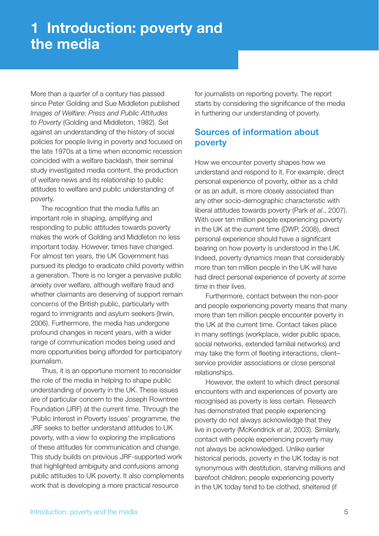## **1 Introduction: poverty and the media**

More than a quarter of a century has passed since Peter Golding and Sue Middleton published *Images of Welfare: Press and Public Attitudes to Poverty* (Golding and Middleton, 1982). Set against an understanding of the history of social policies for people living in poverty and focused on the late 1970s at a time when economic recession coincided with a welfare backlash, their seminal study investigated media content, the production of welfare news and its relationship to public attitudes to welfare and public understanding of poverty.

The recognition that the media fulfils an important role in shaping, amplifying and responding to public attitudes towards poverty makes the work of Golding and Middleton no less important today. However, times have changed. For almost ten years, the UK Government has pursued its pledge to eradicate child poverty within a generation. There is no longer a pervasive public anxiety over welfare, although welfare fraud and whether claimants are deserving of support remain concerns of the British public, particularly with regard to immigrants and asylum seekers (Irwin, 2006). Furthermore, the media has undergone profound changes in recent years, with a wider range of communication modes being used and more opportunities being afforded for participatory journalism.

Thus, it is an opportune moment to reconsider the role of the media in helping to shape public understanding of poverty in the UK. These issues are of particular concern to the Joseph Rowntree Foundation (JRF) at the current time. Through the 'Public Interest in Poverty Issues' programme, the JRF seeks to better understand attitudes to UK poverty, with a view to exploring the implications of these attitudes for communication and change. This study builds on previous JRF-supported work that highlighted ambiguity and confusions among public attitudes to UK poverty. It also complements work that is developing a more practical resource

for journalists on reporting poverty. The report starts by considering the significance of the media in furthering our understanding of poverty.

## **Sources of information about poverty**

How we encounter poverty shapes how we understand and respond to it. For example, direct personal experience of poverty, either as a child or as an adult, is more closely associated than any other socio-demographic characteristic with liberal attitudes towards poverty (Park *et al*., 2007). With over ten million people experiencing poverty in the UK at the current time (DWP, 2008), direct personal experience should have a significant bearing on how poverty is understood in the UK. Indeed, poverty dynamics mean that considerably more than ten million people in the UK will have had direct personal experience of poverty *at some time* in their lives.

Furthermore, contact between the non-poor and people experiencing poverty means that many more than ten million people encounter poverty in the UK at the current time. Contact takes place in many settings (workplace, wider public space, social networks, extended familial networks) and may take the form of fleeting interactions, client– service provider associations or close personal relationships.

However, the extent to which direct personal encounters with and experiences of poverty are recognised as poverty is less certain. Research has demonstrated that people experiencing poverty do not always acknowledge that they live in poverty (McKendrick *et al*, 2003). Similarly, contact with people experiencing poverty may not always be acknowledged. Unlike earlier historical periods, poverty in the UK today is not synonymous with destitution, starving millions and barefoot children; people experiencing poverty in the UK today tend to be clothed, sheltered (if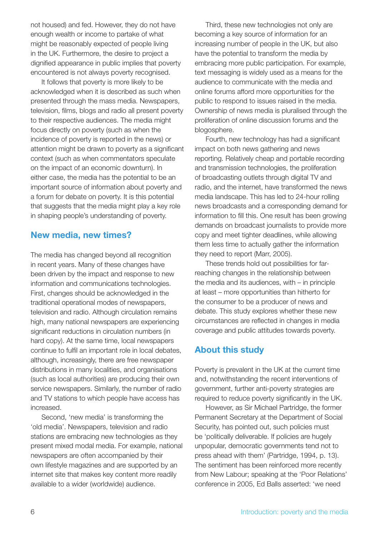not housed) and fed. However, they do not have enough wealth or income to partake of what might be reasonably expected of people living in the UK. Furthermore, the desire to project a dignified appearance in public implies that poverty encountered is not always poverty recognised.

It follows that poverty is more likely to be acknowledged when it is described as such when presented through the mass media. Newspapers, television, films, blogs and radio all present poverty to their respective audiences. The media might focus directly on poverty (such as when the incidence of poverty is reported in the news) or attention might be drawn to poverty as a significant context (such as when commentators speculate on the impact of an economic downturn). In either case, the media has the potential to be an important source of information about poverty and a forum for debate on poverty. It is this potential that suggests that the media might play a key role in shaping people's understanding of poverty.

### **New media, new times?**

The media has changed beyond all recognition in recent years. Many of these changes have been driven by the impact and response to new information and communications technologies. First, changes should be acknowledged in the traditional operational modes of newspapers, television and radio. Although circulation remains high, many national newspapers are experiencing significant reductions in circulation numbers (in hard copy). At the same time, local newspapers continue to fulfil an important role in local debates, although, increasingly, there are free newspaper distributions in many localities, and organisations (such as local authorities) are producing their own service newspapers. Similarly, the number of radio and TV stations to which people have access has increased.

Second, 'new media' is transforming the 'old media'. Newspapers, television and radio stations are embracing new technologies as they present mixed modal media. For example, national newspapers are often accompanied by their own lifestyle magazines and are supported by an internet site that makes key content more readily available to a wider (worldwide) audience.

Third, these new technologies not only are becoming a key source of information for an increasing number of people in the UK, but also have the potential to transform the media by embracing more public participation. For example, text messaging is widely used as a means for the audience to communicate with the media and online forums afford more opportunities for the public to respond to issues raised in the media. Ownership of news media is pluralised through the proliferation of online discussion forums and the blogosphere.

Fourth, new technology has had a significant impact on both news gathering and news reporting. Relatively cheap and portable recording and transmission technologies, the proliferation of broadcasting outlets through digital TV and radio, and the internet, have transformed the news media landscape. This has led to 24-hour rolling news broadcasts and a corresponding demand for information to fill this. One result has been growing demands on broadcast journalists to provide more copy and meet tighter deadlines, while allowing them less time to actually gather the information they need to report (Marr, 2005).

These trends hold out possibilities for farreaching changes in the relationship between the media and its audiences, with – in principle at least – more opportunities than hitherto for the consumer to be a producer of news and debate. This study explores whether these new circumstances are reflected in changes in media coverage and public attitudes towards poverty.

## **About this study**

Poverty is prevalent in the UK at the current time and, notwithstanding the recent interventions of government, further anti-poverty strategies are required to reduce poverty significantly in the UK.

However, as Sir Michael Partridge, the former Permanent Secretary at the Department of Social Security, has pointed out, such policies must be 'politically deliverable. If policies are hugely unpopular, democratic governments tend not to press ahead with them' (Partridge, 1994, p. 13). The sentiment has been reinforced more recently from New Labour; speaking at the 'Poor Relations' conference in 2005, Ed Balls asserted: 'we need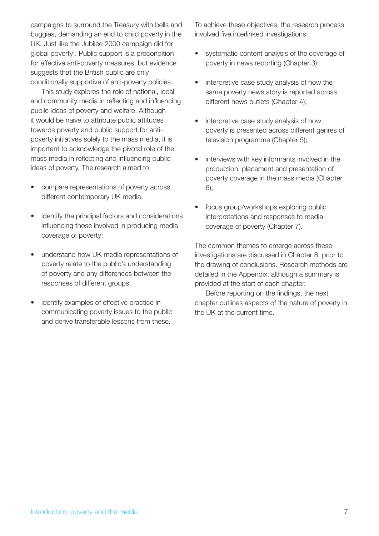campaigns to surround the Treasury with bells and buggies, demanding an end to child poverty in the UK. Just like the Jubilee 2000 campaign did for global poverty'. Public support is a precondition for effective anti-poverty measures, but evidence suggests that the British public are only conditionally supportive of anti-poverty policies.

This study explores the role of national, local and community media in reflecting and influencing public ideas of poverty and welfare. Although it would be naive to attribute public attitudes towards poverty and public support for antipoverty initiatives solely to the mass media, it is important to acknowledge the pivotal role of the mass media in reflecting and influencing public ideas of poverty. The research aimed to:

- compare representations of poverty across different contemporary UK media;
- identify the principal factors and considerations influencing those involved in producing media coverage of poverty;
- understand how UK media representations of poverty relate to the public's understanding of poverty and any differences between the responses of different groups;
- identify examples of effective practice in communicating poverty issues to the public and derive transferable lessons from these.

To achieve these objectives, the research process involved five interlinked investigations:

- systematic content analysis of the coverage of poverty in news reporting (Chapter 3);
- interpretive case study analysis of how the same poverty news story is reported across different news outlets (Chapter 4);
- interpretive case study analysis of how poverty is presented across different genres of television programme (Chapter 5);
- interviews with key informants involved in the production, placement and presentation of poverty coverage in the mass media (Chapter 6);
- focus group/workshops exploring public interpretations and responses to media coverage of poverty (Chapter 7).

The common themes to emerge across these investigations are discussed in Chapter 8, prior to the drawing of conclusions. Research methods are detailed in the Appendix, although a summary is provided at the start of each chapter.

Before reporting on the findings, the next chapter outlines aspects of the nature of poverty in the UK at the current time.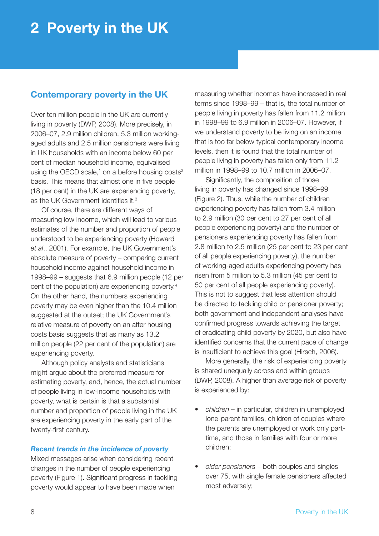## **Contemporary poverty in the UK**

Over ten million people in the UK are currently living in poverty (DWP, 2008). More precisely, in 2006–07, 2.9 million children, 5.3 million workingaged adults and 2.5 million pensioners were living in UK households with an income below 60 per cent of median household income, equivalised using the OECD scale,<sup>1</sup> on a before housing costs<sup>2</sup> basis. This means that almost one in five people (18 per cent) in the UK are experiencing poverty, as the UK Government identifies it  $3$ 

Of course, there are different ways of measuring low income, which will lead to various estimates of the number and proportion of people understood to be experiencing poverty (Howard *et al*., 2001). For example, the UK Government's absolute measure of poverty – comparing current household income against household income in 1998–99 – suggests that 6.9 million people (12 per cent of the population) are experiencing poverty.4 On the other hand, the numbers experiencing poverty may be even higher than the 10.4 million suggested at the outset; the UK Government's relative measure of poverty on an after housing costs basis suggests that as many as 13.2 million people (22 per cent of the population) are experiencing poverty.

Although policy analysts and statisticians might argue about the preferred measure for estimating poverty, and, hence, the actual number of people living in low-income households with poverty, what is certain is that a substantial number and proportion of people living in the UK are experiencing poverty in the early part of the twenty-first century.

#### *Recent trends in the incidence of poverty*

Mixed messages arise when considering recent changes in the number of people experiencing poverty (Figure 1). Significant progress in tackling poverty would appear to have been made when

measuring whether incomes have increased in real terms since 1998–99 – that is, the total number of people living in poverty has fallen from 11.2 million in 1998–99 to 6.9 million in 2006–07. However, if we understand poverty to be living on an income that is too far below typical contemporary income levels, then it is found that the total number of people living in poverty has fallen only from 11.2 million in 1998–99 to 10.7 million in 2006–07.

Significantly, the composition of those living in poverty has changed since 1998–99 (Figure 2). Thus, while the number of children experiencing poverty has fallen from 3.4 million to 2.9 million (30 per cent to 27 per cent of all people experiencing poverty) and the number of pensioners experiencing poverty has fallen from 2.8 million to 2.5 million (25 per cent to 23 per cent of all people experiencing poverty), the number of working-aged adults experiencing poverty has risen from 5 million to 5.3 million (45 per cent to 50 per cent of all people experiencing poverty). This is not to suggest that less attention should be directed to tackling child or pensioner poverty; both government and independent analyses have confirmed progress towards achieving the target of eradicating child poverty by 2020, but also have identified concerns that the current pace of change is insufficient to achieve this goal (Hirsch, 2006).

More generally, the risk of experiencing poverty is shared unequally across and within groups (DWP, 2008). A higher than average risk of poverty is experienced by:

- *children* in particular, children in unemployed lone-parent families, children of couples where the parents are unemployed or work only parttime, and those in families with four or more children;
- *older pensioners* both couples and singles over 75, with single female pensioners affected most adversely;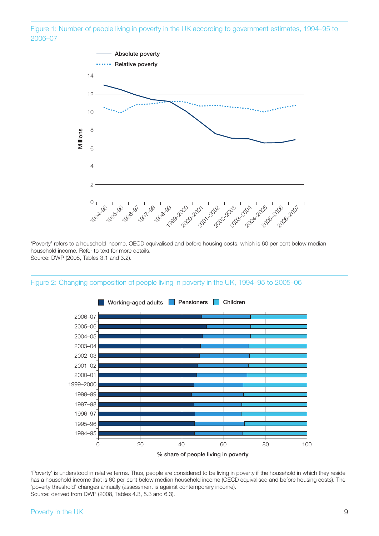



'Poverty' refers to a household income, OECD equivalised and before housing costs, which is 60 per cent below median household income. Refer to text for more details. Source: DWP (2008, Tables 3.1 and 3.2).



#### Figure 2: Changing composition of people living in poverty in the UK, 1994–95 to 2005–06

'Poverty' is understood in relative terms. Thus, people are considered to be living in poverty if the household in which they reside has a household income that is 60 per cent below median household income (OECD equivalised and before housing costs). The 'poverty threshold' changes annually (assessment is against contemporary income). Source: derived from DWP (2008, Tables 4.3, 5.3 and 6.3).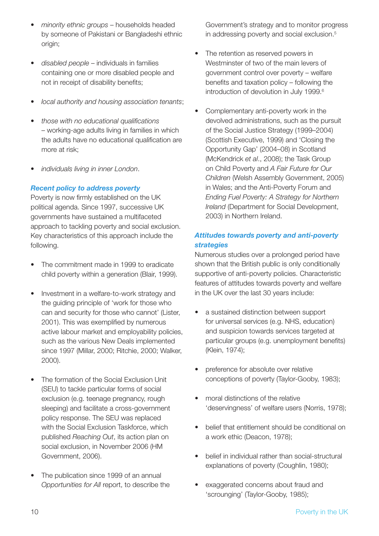- *minority ethnic groups* households headed by someone of Pakistani or Bangladeshi ethnic origin;
- *disabled people* individuals in families containing one or more disabled people and not in receipt of disability benefits:
- *local authority and housing association tenants*;
- *those with no educational qualifications* – working-age adults living in families in which the adults have no educational qualification are more at risk;
- *individuals living in inner London*.

### *Recent policy to address poverty*

Poverty is now firmly established on the UK political agenda. Since 1997, successive UK governments have sustained a multifaceted approach to tackling poverty and social exclusion. Key characteristics of this approach include the following.

- The commitment made in 1999 to eradicate child poverty within a generation (Blair, 1999).
- Investment in a welfare-to-work strategy and the guiding principle of 'work for those who can and security for those who cannot' (Lister, 2001). This was exemplified by numerous active labour market and employability policies, such as the various New Deals implemented since 1997 (Millar, 2000; Ritchie, 2000; Walker, 2000).
- The formation of the Social Exclusion Unit (SEU) to tackle particular forms of social exclusion (e.g. teenage pregnancy, rough sleeping) and facilitate a cross-government policy response. The SEU was replaced with the Social Exclusion Taskforce, which published *Reaching Out*, its action plan on social exclusion, in November 2006 (HM Government, 2006).
- The publication since 1999 of an annual *Opportunities for All* report, to describe the

Government's strategy and to monitor progress in addressing poverty and social exclusion.<sup>5</sup>

- The retention as reserved powers in Westminster of two of the main levers of government control over poverty – welfare benefits and taxation policy  $-$  following the introduction of devolution in July 1999.<sup>6</sup>
- Complementary anti-poverty work in the devolved administrations, such as the pursuit of the Social Justice Strategy (1999–2004) (Scottish Executive, 1999) and 'Closing the Opportunity Gap' (2004–08) in Scotland (McKendrick *et al*., 2008); the Task Group on Child Poverty and *A Fair Future for Our Children* (Welsh Assembly Government, 2005) in Wales; and the Anti-Poverty Forum and *Ending Fuel Poverty: A Strategy for Northern Ireland* (Department for Social Development, 2003) in Northern Ireland.

#### *Attitudes towards poverty and anti-poverty strategies*

Numerous studies over a prolonged period have shown that the British public is only conditionally supportive of anti-poverty policies. Characteristic features of attitudes towards poverty and welfare in the UK over the last 30 years include:

- a sustained distinction between support for universal services (e.g. NHS, education) and suspicion towards services targeted at particular groups (e.g. unemployment benefits) (Klein, 1974);
- preference for absolute over relative conceptions of poverty (Taylor-Gooby, 1983);
- moral distinctions of the relative 'deservingness' of welfare users (Norris, 1978);
- belief that entitlement should be conditional on a work ethic (Deacon, 1978);
- belief in individual rather than social-structural explanations of poverty (Coughlin, 1980);
- exaggerated concerns about fraud and 'scrounging' (Taylor-Gooby, 1985);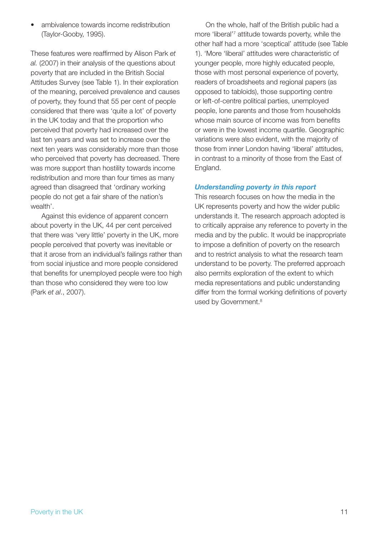• ambivalence towards income redistribution (Taylor-Gooby, 1995).

These features were reaffirmed by Alison Park et *al.* (2007) in their analysis of the questions about poverty that are included in the British Social Attitudes Survey (see Table 1). In their exploration of the meaning, perceived prevalence and causes of poverty, they found that 55 per cent of people considered that there was 'quite a lot' of poverty in the UK today and that the proportion who perceived that poverty had increased over the last ten years and was set to increase over the next ten years was considerably more than those who perceived that poverty has decreased. There was more support than hostility towards income redistribution and more than four times as many agreed than disagreed that 'ordinary working people do not get a fair share of the nation's wealth'.

Against this evidence of apparent concern about poverty in the UK, 44 per cent perceived that there was 'very little' poverty in the UK, more people perceived that poverty was inevitable or that it arose from an individual's failings rather than from social injustice and more people considered that benefits for unemployed people were too high than those who considered they were too low (Park *et al*., 2007).

On the whole, half of the British public had a more 'liberal'7 attitude towards poverty, while the other half had a more 'sceptical' attitude (see Table 1). 'More 'liberal' attitudes were characteristic of younger people, more highly educated people, those with most personal experience of poverty, readers of broadsheets and regional papers (as opposed to tabloids), those supporting centre or left-of-centre political parties, unemployed people, lone parents and those from households whose main source of income was from benefits or were in the lowest income quartile. Geographic variations were also evident, with the majority of those from inner London having 'liberal' attitudes, in contrast to a minority of those from the East of England.

#### *Understanding poverty in this report*

This research focuses on how the media in the UK represents poverty and how the wider public understands it. The research approach adopted is to critically appraise any reference to poverty in the media and by the public. It would be inappropriate to impose a definition of poverty on the research and to restrict analysis to what the research team understand to be poverty. The preferred approach also permits exploration of the extent to which media representations and public understanding differ from the formal working definitions of poverty used by Government.<sup>8</sup>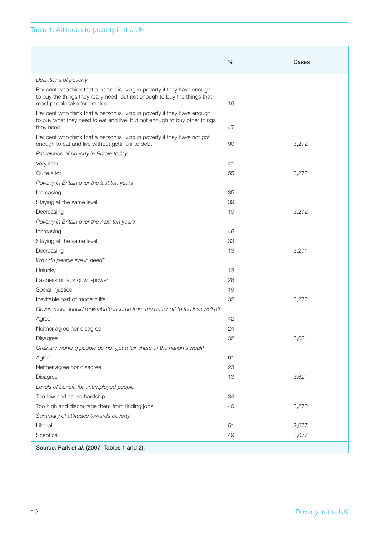#### Table 1: Attitudes to poverty in the UK

|                                                                                                                                                                                        | $\frac{0}{0}$ | Cases |
|----------------------------------------------------------------------------------------------------------------------------------------------------------------------------------------|---------------|-------|
| Definitions of poverty                                                                                                                                                                 |               |       |
| Per cent who think that a person is living in poverty if they have enough<br>to buy the things they really need, but not enough to buy the things that<br>most people take for granted | 19            |       |
| Per cent who think that a person is living in poverty if they have enough<br>to buy what they need to eat and live, but not enough to buy other things<br>they need                    | 47            |       |
| Per cent who think that a person is living in poverty if they have not got<br>enough to eat and live without getting into debt                                                         | 90            | 3,272 |
| Prevalence of poverty in Britain today                                                                                                                                                 |               |       |
| Very little                                                                                                                                                                            | 41            |       |
| Quite a lot                                                                                                                                                                            | 55            | 3,272 |
| Poverty in Britain over the last ten years                                                                                                                                             |               |       |
| Increasing                                                                                                                                                                             | 35            |       |
| Staying at the same level                                                                                                                                                              | 39            |       |
| Decreasing                                                                                                                                                                             | 19            | 3,272 |
| Poverty in Britain over the next ten years                                                                                                                                             |               |       |
| Increasing                                                                                                                                                                             | 46            |       |
| Staying at the same level                                                                                                                                                              | 33            |       |
| Decreasing                                                                                                                                                                             | 13            | 3,271 |
| Why do people live in need?                                                                                                                                                            |               |       |
| Unlucky                                                                                                                                                                                | 13            |       |
| Laziness or lack of will-power                                                                                                                                                         | 28            |       |
| Social injustice                                                                                                                                                                       | 19            |       |
| Inevitable part of modern life                                                                                                                                                         | 32            | 3,272 |
| Government should redistribute income from the better off to the less well off                                                                                                         |               |       |
| Agree                                                                                                                                                                                  | 42            |       |
| Neither agree nor disagree                                                                                                                                                             | 24            |       |
| Disagree                                                                                                                                                                               | 32            | 3,621 |
| Ordinary working people do not get a fair share of the nation's wealth                                                                                                                 |               |       |
| Agree                                                                                                                                                                                  | 61            |       |
| Neither agree nor disagree                                                                                                                                                             | 23            |       |
| Disagree                                                                                                                                                                               | 13            | 3,621 |
| Levels of benefit for unemployed people                                                                                                                                                |               |       |
| Too low and cause hardship                                                                                                                                                             | 34            |       |
| Too high and discourage them from finding jobs                                                                                                                                         | 40            | 3,272 |
| Summary of attitudes towards poverty                                                                                                                                                   |               |       |
| Liberal                                                                                                                                                                                | 51            | 2,077 |
| Sceptical                                                                                                                                                                              | 49            | 2,077 |
| Source: Park et al. (2007, Tables 1 and 2).                                                                                                                                            |               |       |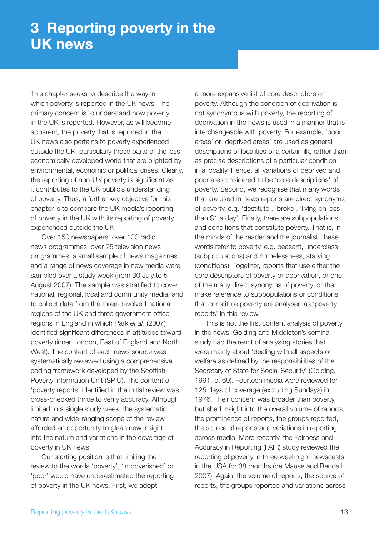## **3 Reporting poverty in the UK news**

This chapter seeks to describe the way in which poverty is reported in the UK news. The primary concern is to understand how poverty in the UK is reported. However, as will become apparent, the poverty that is reported in the UK news also pertains to poverty experienced outside the UK, particularly those parts of the less economically developed world that are blighted by environmental, economic or political crises. Clearly, the reporting of non-UK poverty is significant as it contributes to the UK public's understanding of poverty. Thus, a further key objective for this chapter is to compare the UK media's reporting of poverty in the UK with its reporting of poverty experienced outside the UK.

Over 150 newspapers, over 100 radio news programmes, over 75 television news programmes, a small sample of news magazines and a range of news coverage in new media were sampled over a study week (from 30 July to 5 August 2007). The sample was stratified to cover national, regional, local and community media, and to collect data from the three devolved national regions of the UK and three government office regions in England in which Park *et al*. (2007) identified significant differences in attitudes toward poverty (inner London, East of England and North West). The content of each news source was systematically reviewed using a comprehensive coding framework developed by the Scottish Poverty Information Unit (SPIU). The content of 'poverty reports' identified in the initial review was cross-checked thrice to verify accuracy. Although limited to a single study week, the systematic nature and wide-ranging scope of the review afforded an opportunity to glean new insight into the nature and variations in the coverage of poverty in UK news.

Our starting position is that limiting the review to the words 'poverty', 'impoverished' or 'poor' would have underestimated the reporting of poverty in the UK news. First, we adopt

a more expansive list of core descriptors of poverty. Although the condition of deprivation is not synonymous with poverty, the reporting of deprivation in the news is used in a manner that is interchangeable with poverty. For example, 'poor areas' or 'deprived areas' are used as general descriptions of localities of a certain ilk, rather than as precise descriptions of a particular condition in a locality. Hence, all variations of deprived and poor are considered to be 'core descriptions' of poverty. Second, we recognise that many words that are used in news reports are direct synonyms of poverty, e.g. 'destitute', 'broke', 'living on less than \$1 a day'. Finally, there are subpopulations and conditions that constitute poverty. That is, in the minds of the reader and the journalist, these words refer to poverty, e.g. peasant, underclass (subpopulations) and homelessness, starving (conditions). Together, reports that use either the core descriptors of poverty or deprivation, or one of the many direct synonyms of poverty, or that make reference to subpopulations or conditions that constitute poverty are analysed as 'poverty reports' in this review.

This is not the first content analysis of poverty in the news. Golding and Middleton's seminal study had the remit of analysing stories that were mainly about 'dealing with all aspects of welfare as defined by the responsibilities of the Secretary of State for Social Security' (Golding, 1991, p. 69). Fourteen media were reviewed for 125 days of coverage (excluding Sundays) in 1976. Their concern was broader than poverty, but shed insight into the overall volume of reports, the prominence of reports, the groups reported, the source of reports and variations in reporting across media. More recently, the Fairness and Accuracy in Reporting (FAIR) study reviewed the reporting of poverty in three weeknight newscasts in the USA for 38 months (de Mause and Rendall, 2007). Again, the volume of reports, the source of reports, the groups reported and variations across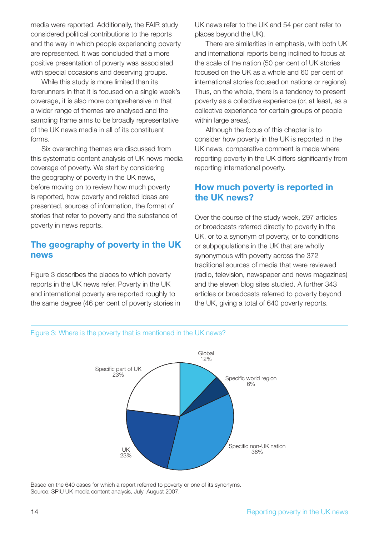media were reported. Additionally, the FAIR study considered political contributions to the reports and the way in which people experiencing poverty are represented. It was concluded that a more positive presentation of poverty was associated with special occasions and deserving groups.

While this study is more limited than its forerunners in that it is focused on a single week's coverage, it is also more comprehensive in that a wider range of themes are analysed and the sampling frame aims to be broadly representative of the UK news media in all of its constituent forms.

Six overarching themes are discussed from this systematic content analysis of UK news media coverage of poverty. We start by considering the geography of poverty in the UK news, before moving on to review how much poverty is reported, how poverty and related ideas are presented, sources of information, the format of stories that refer to poverty and the substance of poverty in news reports.

## **The geography of poverty in the UK news**

Figure 3 describes the places to which poverty reports in the UK news refer. Poverty in the UK and international poverty are reported roughly to the same degree (46 per cent of poverty stories in UK news refer to the UK and 54 per cent refer to places beyond the UK).

There are similarities in emphasis, with both UK and international reports being inclined to focus at the scale of the nation (50 per cent of UK stories focused on the UK as a whole and 60 per cent of international stories focused on nations or regions). Thus, on the whole, there is a tendency to present poverty as a collective experience (or, at least, as a collective experience for certain groups of people within large areas).

Although the focus of this chapter is to consider how poverty in the UK is reported in the UK news, comparative comment is made where reporting poverty in the UK differs significantly from reporting international poverty.

## **How much poverty is reported in the UK news?**

Over the course of the study week, 297 articles or broadcasts referred directly to poverty in the UK, or to a synonym of poverty, or to conditions or subpopulations in the UK that are wholly synonymous with poverty across the 372 traditional sources of media that were reviewed (radio, television, newspaper and news magazines) and the eleven blog sites studied. A further 343 articles or broadcasts referred to poverty beyond the UK, giving a total of 640 poverty reports.



#### Figure 3: Where is the poverty that is mentioned in the UK news?

Based on the 640 cases for which a report referred to poverty or one of its synonyms. Source: SPIU UK media content analysis, July–August 2007.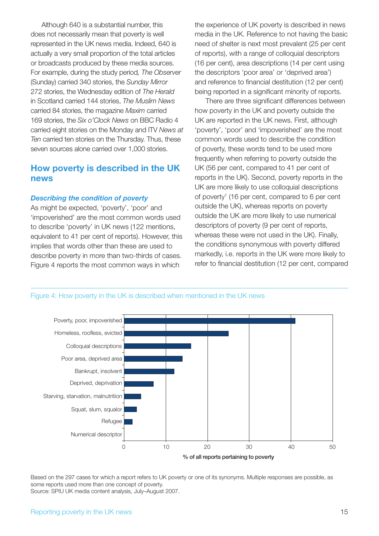Although 640 is a substantial number, this does not necessarily mean that poverty is well represented in the UK news media. Indeed, 640 is actually a very small proportion of the total articles or broadcasts produced by these media sources. For example, during the study period*, The Observer* (Sunday) carried 340 stories, the *Sunday Mirror* 272 stories, the Wednesday edition of *The Herald* in Scotland carried 144 stories, *The Muslim News* carried 84 stories, the magazine *Maxim* carried 169 stories, the *Six o'Clock News* on BBC Radio 4 carried eight stories on the Monday and ITV *News at Ten* carried ten stories on the Thursday. Thus, these seven sources alone carried over 1,000 stories.

### **How poverty is described in the UK news**

#### *Describing the condition of poverty*

As might be expected, 'poverty', 'poor' and 'impoverished' are the most common words used to describe 'poverty' in UK news (122 mentions, equivalent to 41 per cent of reports). However, this implies that words other than these are used to describe poverty in more than two-thirds of cases. Figure 4 reports the most common ways in which

the experience of UK poverty is described in news media in the UK. Reference to not having the basic need of shelter is next most prevalent (25 per cent of reports), with a range of colloquial descriptors (16 per cent), area descriptions (14 per cent using the descriptors 'poor area' or 'deprived area') and reference to financial destitution (12 per cent) being reported in a significant minority of reports.

There are three significant differences between how poverty in the UK and poverty outside the UK are reported in the UK news. First, although 'poverty', 'poor' and 'impoverished' are the most common words used to describe the condition of poverty, these words tend to be used more frequently when referring to poverty outside the UK (56 per cent, compared to 41 per cent of reports in the UK). Second, poverty reports in the UK are more likely to use colloquial descriptions of poverty1 (16 per cent, compared to 6 per cent outside the UK), whereas reports on poverty outside the UK are more likely to use numerical descriptors of poverty (9 per cent of reports, whereas these were not used in the UK). Finally, the conditions synonymous with poverty differed markedly, i.e. reports in the UK were more likely to refer to financial destitution (12 per cent, compared





Based on the 297 cases for which a report refers to UK poverty or one of its synonyms. Multiple responses are possible, as some reports used more than one concept of poverty. Source: SPIU UK media content analysis, July–August 2007.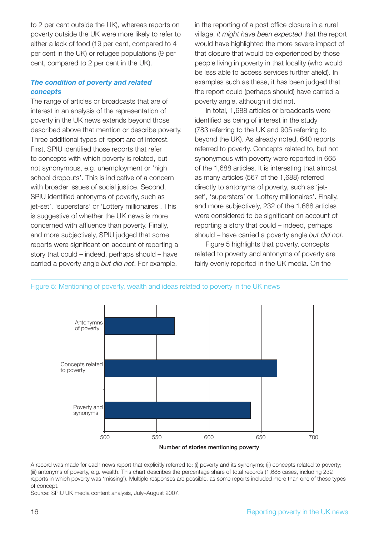to 2 per cent outside the UK), whereas reports on poverty outside the UK were more likely to refer to either a lack of food (19 per cent, compared to 4 per cent in the UK) or refugee populations (9 per cent, compared to 2 per cent in the UK).

#### *The condition of poverty and related concepts*

The range of articles or broadcasts that are of interest in an analysis of the representation of poverty in the UK news extends beyond those described above that mention or describe poverty. Three additional types of report are of interest. First, SPIU identified those reports that refer to concepts with which poverty is related, but not synonymous, e.g. unemployment or 'high school dropouts'. This is indicative of a concern with broader issues of social justice. Second, SPIU identified antonyms of poverty, such as jet-set', 'superstars' or 'Lottery millionaires'. This is suggestive of whether the UK news is more concerned with affluence than poverty. Finally, and more subjectively, SPIU judged that some reports were significant on account of reporting a story that could – indeed, perhaps should – have carried a poverty angle *but did not*. For example,

in the reporting of a post office closure in a rural village, *it might have been expected* that the report would have highlighted the more severe impact of that closure that would be experienced by those people living in poverty in that locality (who would be less able to access services further afield). In examples such as these, it has been judged that the report could (perhaps should) have carried a poverty angle, although it did not.

In total, 1,688 articles or broadcasts were identified as being of interest in the study (783 referring to the UK and 905 referring to beyond the UK). As already noted, 640 reports referred to poverty. Concepts related to, but not synonymous with poverty were reported in 665 of the 1,688 articles. It is interesting that almost as many articles (567 of the 1,688) referred directly to antonyms of poverty, such as 'jetset', 'superstars' or 'Lottery millionaires'. Finally, and more subjectively, 232 of the 1,688 articles were considered to be significant on account of reporting a story that could – indeed, perhaps should – have carried a poverty angle *but did not*.

Figure 5 highlights that poverty, concepts related to poverty and antonyms of poverty are fairly evenly reported in the UK media. On the





A record was made for each news report that explicitly referred to: (i) poverty and its synonyms; (ii) concepts related to poverty; (iii) antonyms of poverty, e.g. wealth. This chart describes the percentage share of total records (1,688 cases, including 232 reports in which poverty was 'missing'). Multiple responses are possible, as some reports included more than one of these types of concept.

Source: SPIU UK media content analysis, July–August 2007.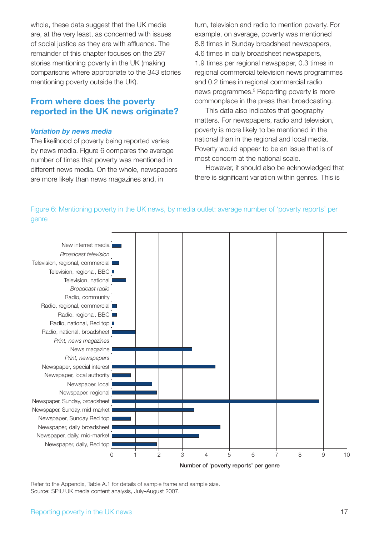whole, these data suggest that the UK media are, at the very least, as concerned with issues of social justice as they are with affluence. The remainder of this chapter focuses on the 297 stories mentioning poverty in the UK (making comparisons where appropriate to the 343 stories mentioning poverty outside the UK).

### **From where does the poverty reported in the UK news originate?**

#### *Variation by news media*

The likelihood of poverty being reported varies by news media. Figure 6 compares the average number of times that poverty was mentioned in different news media. On the whole, newspapers are more likely than news magazines and, in

turn, television and radio to mention poverty. For example, on average, poverty was mentioned 8.8 times in Sunday broadsheet newspapers, 4.6 times in daily broadsheet newspapers, 1.9 times per regional newspaper, 0.3 times in regional commercial television news programmes and 0.2 times in regional commercial radio news programmes.<sup>2</sup> Reporting poverty is more commonplace in the press than broadcasting.

This data also indicates that geography matters. For newspapers, radio and television, poverty is more likely to be mentioned in the national than in the regional and local media. Poverty would appear to be an issue that is of most concern at the national scale.

However, it should also be acknowledged that there is significant variation within genres. This is

Figure 6: Mentioning poverty in the UK news, by media outlet: average number of 'poverty reports' per genre



Refer to the Appendix, Table A.1 for details of sample frame and sample size. Source: SPIU UK media content analysis, July–August 2007.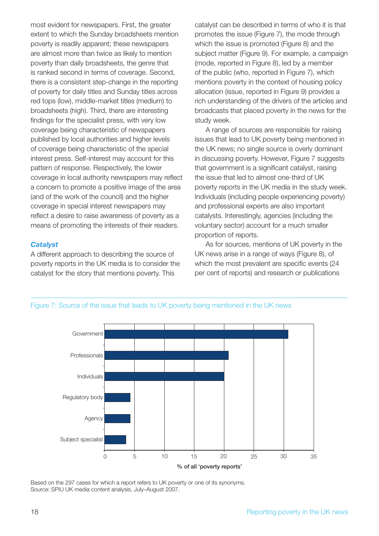most evident for newspapers. First, the greater extent to which the Sunday broadsheets mention poverty is readily apparent; these newspapers are almost more than twice as likely to mention poverty than daily broadsheets, the genre that is ranked second in terms of coverage. Second, there is a consistent step-change in the reporting of poverty for daily titles and Sunday titles across red tops (low), middle-market titles (medium) to broadsheets (high). Third, there are interesting findings for the specialist press, with very low coverage being characteristic of newspapers published by local authorities and higher levels of coverage being characteristic of the special interest press. Self-interest may account for this pattern of response. Respectively, the lower coverage in local authority newspapers may reflect a concern to promote a positive image of the area (and of the work of the council) and the higher coverage in special interest newspapers may reflect a desire to raise awareness of poverty as a means of promoting the interests of their readers.

#### *Catalyst*

A different approach to describing the source of poverty reports in the UK media is to consider the catalyst for the story that mentions poverty. This

catalyst can be described in terms of who it is that promotes the issue (Figure 7), the mode through which the issue is promoted (Figure 8) and the subject matter (Figure 9). For example, a campaign (mode, reported in Figure 8), led by a member of the public (who, reported in Figure 7), which mentions poverty in the context of housing policy allocation (issue, reported in Figure 9) provides a rich understanding of the drivers of the articles and broadcasts that placed poverty in the news for the study week.

A range of sources are responsible for raising issues that lead to UK poverty being mentioned in the UK news; no single source is overly dominant in discussing poverty. However, Figure 7 suggests that government is a significant catalyst, raising the issue that led to almost one-third of UK poverty reports in the UK media in the study week. Individuals (including people experiencing poverty) and professional experts are also important catalysts. Interestingly, agencies (including the voluntary sector) account for a much smaller proportion of reports.

As for sources, mentions of UK poverty in the UK news arise in a range of ways (Figure 8), of which the most prevalent are specific events (24) per cent of reports) and research or publications



Figure 7: Source of the issue that leads to UK poverty being mentioned in the UK news

Based on the 297 cases for which a report refers to UK poverty or one of its synonyms. Source: SPIU UK media content analysis, July–August 2007.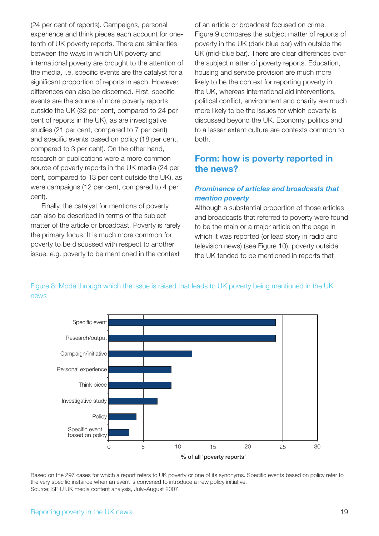(24 per cent of reports). Campaigns, personal experience and think pieces each account for onetenth of UK poverty reports. There are similarities between the ways in which UK poverty and international poverty are brought to the attention of the media, i.e. specific events are the catalyst for a significant proportion of reports in each. However, differences can also be discerned. First, specific events are the source of more poverty reports outside the UK (32 per cent, compared to 24 per cent of reports in the UK), as are investigative studies (21 per cent, compared to 7 per cent) and specific events based on policy (18 per cent, compared to 3 per cent). On the other hand, research or publications were a more common source of poverty reports in the UK media (24 per cent, compared to 13 per cent outside the UK), as were campaigns (12 per cent, compared to 4 per cent).

Finally, the catalyst for mentions of poverty can also be described in terms of the subject matter of the article or broadcast. Poverty is rarely the primary focus. It is much more common for poverty to be discussed with respect to another issue, e.g. poverty to be mentioned in the context

of an article or broadcast focused on crime. Figure 9 compares the subject matter of reports of poverty in the UK (dark blue bar) with outside the UK (mid-blue bar). There are clear differences over the subject matter of poverty reports. Education, housing and service provision are much more likely to be the context for reporting poverty in the UK, whereas international aid interventions, political conflict, environment and charity are much more likely to be the issues for which poverty is discussed beyond the UK. Economy, politics and to a lesser extent culture are contexts common to both.

## **Form: how is poverty reported in the news?**

#### *Prominence of articles and broadcasts that mention poverty*

Although a substantial proportion of those articles and broadcasts that referred to poverty were found to be the main or a major article on the page in which it was reported (or lead story in radio and television news) (see Figure 10), poverty outside the UK tended to be mentioned in reports that





Based on the 297 cases for which a report refers to UK poverty or one of its synonyms. Specific events based on policy refer to the very specific instance when an event is convened to introduce a new policy initiative. Source: SPIU UK media content analysis, July–August 2007.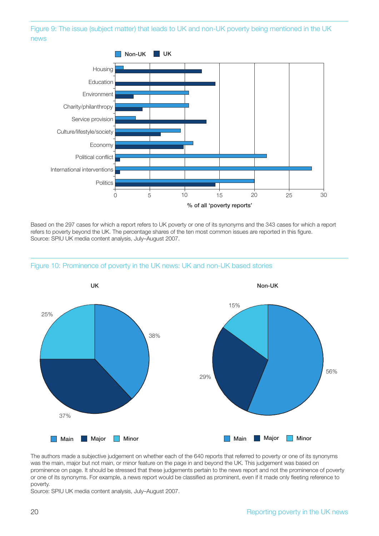### Figure 9: The issue (subject matter) that leads to UK and non-UK poverty being mentioned in the UK news



Based on the 297 cases for which a report refers to UK poverty or one of its synonyms and the 343 cases for which a report refers to poverty beyond the UK. The percentage shares of the ten most common issues are reported in this figure. Source: SPIU UK media content analysis, July–August 2007.



#### Figure 10: Prominence of poverty in the UK news: UK and non-UK based stories

The authors made a subjective judgement on whether each of the 640 reports that referred to poverty or one of its synonyms was the main, major but not main, or minor feature on the page in and beyond the UK. This judgement was based on prominence on page. It should be stressed that these judgements pertain to the news report and not the prominence of poverty or one of its synonyms. For example, a news report would be classified as prominent, even if it made only fleeting reference to poverty.

Source: SPIU UK media content analysis, July–August 2007.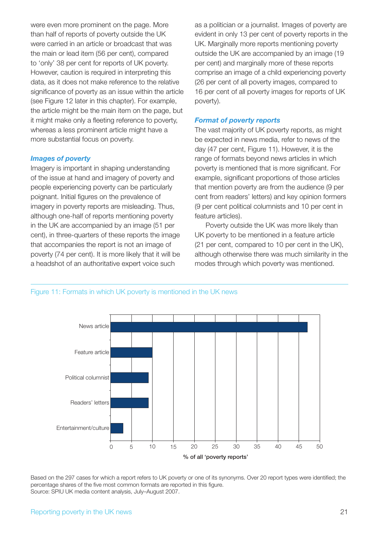were even more prominent on the page. More than half of reports of poverty outside the UK were carried in an article or broadcast that was the main or lead item (56 per cent), compared to 'only' 38 per cent for reports of UK poverty. However, caution is required in interpreting this data, as it does not make reference to the relative significance of poverty as an issue within the article (see Figure 12 later in this chapter). For example, the article might be the main item on the page, but it might make only a fleeting reference to poverty, whereas a less prominent article might have a more substantial focus on poverty.

#### *Images of poverty*

Imagery is important in shaping understanding of the issue at hand and imagery of poverty and people experiencing poverty can be particularly poignant. Initial figures on the prevalence of imagery in poverty reports are misleading. Thus, although one-half of reports mentioning poverty in the UK are accompanied by an image (51 per cent), in three-quarters of these reports the image that accompanies the report is not an image of poverty (74 per cent). It is more likely that it will be a headshot of an authoritative expert voice such

as a politician or a journalist. Images of poverty are evident in only 13 per cent of poverty reports in the UK. Marginally more reports mentioning poverty outside the UK are accompanied by an image (19 per cent) and marginally more of these reports comprise an image of a child experiencing poverty (26 per cent of all poverty images, compared to 16 per cent of all poverty images for reports of UK poverty).

#### *Format of poverty reports*

The vast majority of UK poverty reports, as might be expected in news media, refer to news of the day (47 per cent, Figure 11). However, it is the range of formats beyond news articles in which poverty is mentioned that is more significant. For example, significant proportions of those articles that mention poverty are from the audience (9 per cent from readers' letters) and key opinion formers (9 per cent political columnists and 10 per cent in feature articles).

Poverty outside the UK was more likely than UK poverty to be mentioned in a feature article (21 per cent, compared to 10 per cent in the UK), although otherwise there was much similarity in the modes through which poverty was mentioned.



Figure 11: Formats in which UK poverty is mentioned in the UK news

Based on the 297 cases for which a report refers to UK poverty or one of its synonyms. Over 20 report types were identified; the percentage shares of the five most common formats are reported in this figure. Source: SPIU UK media content analysis, July–August 2007.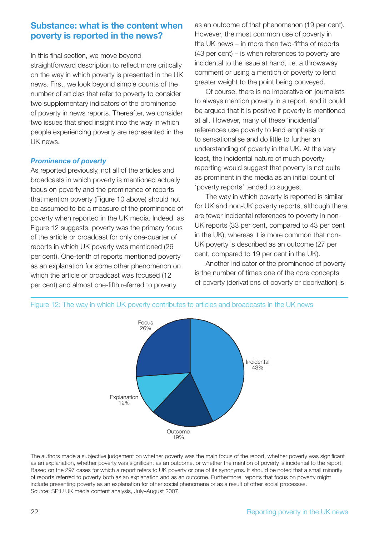## **Substance: what is the content when poverty is reported in the news?**

In this final section, we move beyond straightforward description to reflect more critically on the way in which poverty is presented in the UK news. First, we look beyond simple counts of the number of articles that refer to poverty to consider two supplementary indicators of the prominence of poverty in news reports. Thereafter, we consider two issues that shed insight into the way in which people experiencing poverty are represented in the UK news.

#### *Prominence of poverty*

As reported previously, not all of the articles and broadcasts in which poverty is mentioned actually focus on poverty and the prominence of reports that mention poverty (Figure 10 above) should not be assumed to be a measure of the prominence of poverty when reported in the UK media. Indeed, as Figure 12 suggests, poverty was the primary focus of the article or broadcast for only one-quarter of reports in which UK poverty was mentioned (26 per cent). One-tenth of reports mentioned poverty as an explanation for some other phenomenon on which the article or broadcast was focused (12 per cent) and almost one-fifth referred to poverty

as an outcome of that phenomenon (19 per cent). However, the most common use of poverty in the UK news  $-$  in more than two-fifths of reports (43 per cent) – is when references to poverty are incidental to the issue at hand, i.e. a throwaway comment or using a mention of poverty to lend greater weight to the point being conveyed.

Of course, there is no imperative on journalists to always mention poverty in a report, and it could be argued that it is positive if poverty is mentioned at all. However, many of these 'incidental' references use poverty to lend emphasis or to sensationalise and do little to further an understanding of poverty in the UK. At the very least, the incidental nature of much poverty reporting would suggest that poverty is not quite as prominent in the media as an initial count of 'poverty reports' tended to suggest.

The way in which poverty is reported is similar for UK and non-UK poverty reports, although there are fewer incidental references to poverty in non-UK reports (33 per cent, compared to 43 per cent in the UK), whereas it is more common that non-UK poverty is described as an outcome (27 per cent, compared to 19 per cent in the UK).

Another indicator of the prominence of poverty is the number of times one of the core concepts of poverty (derivations of poverty or deprivation) is

Incidental 43% **Outcome** 19% Explanation 12% **Focus** 26%

The authors made a subjective judgement on whether poverty was the main focus of the report, whether poverty was significant as an explanation, whether poverty was significant as an outcome, or whether the mention of poverty is incidental to the report. Based on the 297 cases for which a report refers to UK poverty or one of its synonyms. It should be noted that a small minority of reports referred to poverty both as an explanation and as an outcome. Furthermore, reports that focus on poverty might include presenting poverty as an explanation for other social phenomena or as a result of other social processes. Source: SPIU UK media content analysis, July–August 2007.

#### Figure 12: The way in which UK poverty contributes to articles and broadcasts in the UK news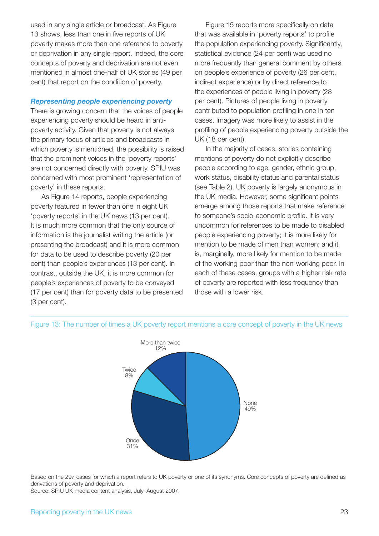used in any single article or broadcast. As Figure 13 shows, less than one in five reports of UK poverty makes more than one reference to poverty or deprivation in any single report. Indeed, the core concepts of poverty and deprivation are not even mentioned in almost one-half of UK stories (49 per cent) that report on the condition of poverty.

#### *Representing people experiencing poverty*

There is growing concern that the voices of people experiencing poverty should be heard in antipoverty activity. Given that poverty is not always the primary focus of articles and broadcasts in which poverty is mentioned, the possibility is raised that the prominent voices in the 'poverty reports' are not concerned directly with poverty. SPIU was concerned with most prominent 'representation of poverty' in these reports.

As Figure 14 reports, people experiencing poverty featured in fewer than one in eight UK 'poverty reports' in the UK news (13 per cent). It is much more common that the only source of information is the journalist writing the article (or presenting the broadcast) and it is more common for data to be used to describe poverty (20 per cent) than people's experiences (13 per cent). In contrast, outside the UK, it is more common for people's experiences of poverty to be conveyed (17 per cent) than for poverty data to be presented (3 per cent).

Figure 15 reports more specifically on data that was available in 'poverty reports' to profile the population experiencing poverty. Significantly, statistical evidence (24 per cent) was used no more frequently than general comment by others on people's experience of poverty (26 per cent, indirect experience) or by direct reference to the experiences of people living in poverty (28 per cent). Pictures of people living in poverty contributed to population profiling in one in ten cases. Imagery was more likely to assist in the profiling of people experiencing poverty outside the UK (18 per cent).

In the majority of cases, stories containing mentions of poverty do not explicitly describe people according to age, gender, ethnic group, work status, disability status and parental status (see Table 2). UK poverty is largely anonymous in the UK media. However, some significant points emerge among those reports that make reference to someone's socio-economic profile. It is very uncommon for references to be made to disabled people experiencing poverty; it is more likely for mention to be made of men than women; and it is, marginally, more likely for mention to be made of the working poor than the non-working poor. In each of these cases, groups with a higher risk rate of poverty are reported with less frequency than those with a lower risk.



#### Figure 13: The number of times a UK poverty report mentions a core concept of poverty in the UK news

Based on the 297 cases for which a report refers to UK poverty or one of its synonyms. Core concepts of poverty are defined as derivations of poverty and deprivation.

Source: SPIU UK media content analysis, July–August 2007.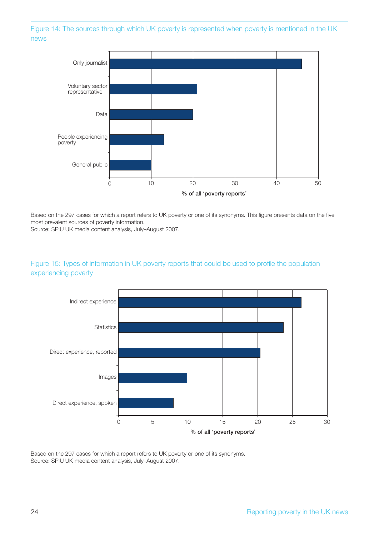#### Figure 14: The sources through which UK poverty is represented when poverty is mentioned in the UK news



Based on the 297 cases for which a report refers to UK poverty or one of its synonyms. This figure presents data on the five most prevalent sources of poverty information.

Source: SPIU UK media content analysis, July–August 2007.

#### Figure 15: Types of information in UK poverty reports that could be used to profile the population experiencing poverty



Based on the 297 cases for which a report refers to UK poverty or one of its synonyms. Source: SPIU UK media content analysis, July–August 2007.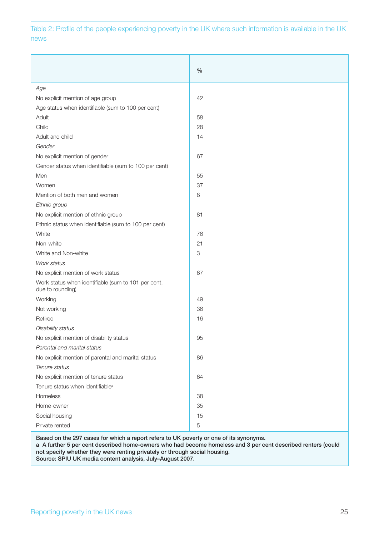#### Table 2: Profile of the people experiencing poverty in the UK where such information is available in the UK news

|                                                                                        | $\frac{0}{0}$ |  |  |  |
|----------------------------------------------------------------------------------------|---------------|--|--|--|
| Age                                                                                    |               |  |  |  |
| No explicit mention of age group                                                       | 42            |  |  |  |
| Age status when identifiable (sum to 100 per cent)                                     |               |  |  |  |
| Adult                                                                                  | 58            |  |  |  |
| Child                                                                                  | 28            |  |  |  |
| Adult and child                                                                        | 14            |  |  |  |
| Gender                                                                                 |               |  |  |  |
| No explicit mention of gender                                                          | 67            |  |  |  |
| Gender status when identifiable (sum to 100 per cent)                                  |               |  |  |  |
| Men                                                                                    | 55            |  |  |  |
| Women                                                                                  | 37            |  |  |  |
| Mention of both men and women                                                          | 8             |  |  |  |
| Ethnic group                                                                           |               |  |  |  |
| No explicit mention of ethnic group                                                    | 81            |  |  |  |
| Ethnic status when identifiable (sum to 100 per cent)                                  |               |  |  |  |
| White                                                                                  | 76            |  |  |  |
| Non-white                                                                              | 21            |  |  |  |
| White and Non-white                                                                    | 3             |  |  |  |
| Work status                                                                            |               |  |  |  |
| No explicit mention of work status                                                     | 67            |  |  |  |
| Work status when identifiable (sum to 101 per cent,<br>due to rounding)                |               |  |  |  |
| Working                                                                                | 49            |  |  |  |
| Not working                                                                            | 36            |  |  |  |
| Retired                                                                                | 16            |  |  |  |
| Disability status                                                                      |               |  |  |  |
| No explicit mention of disability status                                               | 95            |  |  |  |
| Parental and marital status                                                            |               |  |  |  |
| No explicit mention of parental and marital status                                     | 86            |  |  |  |
| Tenure status                                                                          |               |  |  |  |
| No explicit mention of tenure status                                                   | 64            |  |  |  |
| Tenure status when identifiable <sup>a</sup>                                           |               |  |  |  |
| Homeless                                                                               | 38            |  |  |  |
| Home-owner                                                                             | 35            |  |  |  |
| Social housing                                                                         | 15            |  |  |  |
| Private rented                                                                         | $\mathbf 5$   |  |  |  |
| Based on the 297 cases for which a report refers to UK poverty or one of its synonyms. |               |  |  |  |

**a A further 5 per cent described home-owners who had become homeless and 3 per cent described renters (could not specify whether they were renting privately or through social housing. Source: SPIU UK media content analysis, July–August 2007.**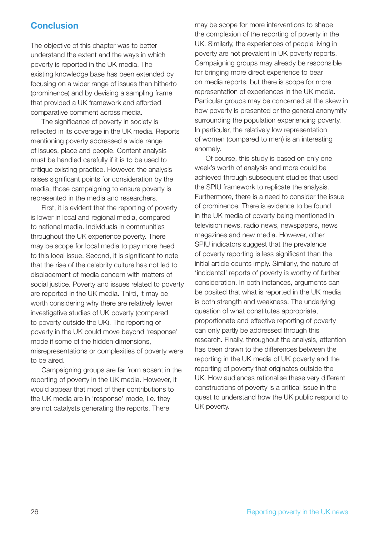## **Conclusion**

The objective of this chapter was to better understand the extent and the ways in which poverty is reported in the UK media. The existing knowledge base has been extended by focusing on a wider range of issues than hitherto (prominence) and by devising a sampling frame that provided a UK framework and afforded comparative comment across media.

The significance of poverty in society is reflected in its coverage in the UK media. Reports mentioning poverty addressed a wide range of issues, place and people. Content analysis must be handled carefully if it is to be used to critique existing practice. However, the analysis raises significant points for consideration by the media, those campaigning to ensure poverty is represented in the media and researchers.

First, it is evident that the reporting of poverty is lower in local and regional media, compared to national media. Individuals in communities throughout the UK experience poverty. There may be scope for local media to pay more heed to this local issue. Second, it is significant to note that the rise of the celebrity culture has not led to displacement of media concern with matters of social justice. Poverty and issues related to poverty are reported in the UK media. Third, it may be worth considering why there are relatively fewer investigative studies of UK poverty (compared to poverty outside the UK). The reporting of poverty in the UK could move beyond 'response' mode if some of the hidden dimensions, misrepresentations or complexities of poverty were to be aired.

Campaigning groups are far from absent in the reporting of poverty in the UK media. However, it would appear that most of their contributions to the UK media are in 'response' mode, i.e. they are not catalysts generating the reports. There

may be scope for more interventions to shape the complexion of the reporting of poverty in the UK. Similarly, the experiences of people living in poverty are not prevalent in UK poverty reports. Campaigning groups may already be responsible for bringing more direct experience to bear on media reports, but there is scope for more representation of experiences in the UK media. Particular groups may be concerned at the skew in how poverty is presented or the general anonymity surrounding the population experiencing poverty. In particular, the relatively low representation of women (compared to men) is an interesting anomaly.

Of course, this study is based on only one week's worth of analysis and more could be achieved through subsequent studies that used the SPIU framework to replicate the analysis. Furthermore, there is a need to consider the issue of prominence. There is evidence to be found in the UK media of poverty being mentioned in television news, radio news, newspapers, news magazines and new media. However, other SPIU indicators suggest that the prevalence of poverty reporting is less significant than the initial article counts imply. Similarly, the nature of 'incidental' reports of poverty is worthy of further consideration. In both instances, arguments can be posited that what is reported in the UK media is both strength and weakness. The underlying question of what constitutes appropriate, proportionate and effective reporting of poverty can only partly be addressed through this research. Finally, throughout the analysis, attention has been drawn to the differences between the reporting in the UK media of UK poverty and the reporting of poverty that originates outside the UK. How audiences rationalise these very different constructions of poverty is a critical issue in the quest to understand how the UK public respond to UK poverty.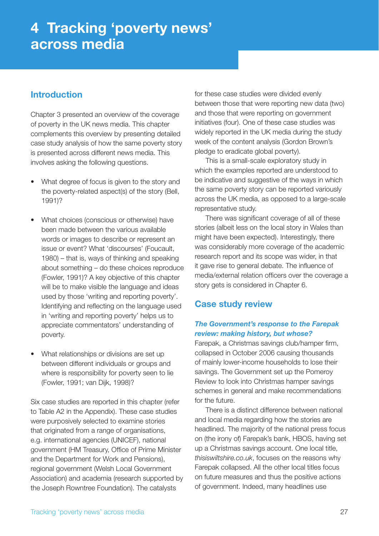## **4 Tracking 'poverty news' across media**

## **Introduction**

Chapter 3 presented an overview of the coverage of poverty in the UK news media. This chapter complements this overview by presenting detailed case study analysis of how the same poverty story is presented across different news media. This involves asking the following questions.

- What degree of focus is given to the story and the poverty-related aspect(s) of the story (Bell, 1991)?
- What choices (conscious or otherwise) have been made between the various available words or images to describe or represent an issue or event? What 'discourses' (Foucault, 1980) – that is, ways of thinking and speaking about something – do these choices reproduce (Fowler, 1991)? A key objective of this chapter will be to make visible the language and ideas used by those 'writing and reporting poverty'. Identifying and reflecting on the language used in 'writing and reporting poverty' helps us to appreciate commentators' understanding of poverty.
- What relationships or divisions are set up between different individuals or groups and where is responsibility for poverty seen to lie (Fowler, 1991; van Dijk, 1998)?

Six case studies are reported in this chapter (refer to Table A2 in the Appendix). These case studies were purposively selected to examine stories that originated from a range of organisations, e.g. international agencies (UNICEF), national government (HM Treasury, Office of Prime Minister and the Department for Work and Pensions), regional government (Welsh Local Government Association) and academia (research supported by the Joseph Rowntree Foundation). The catalysts

for these case studies were divided evenly between those that were reporting new data (two) and those that were reporting on government initiatives (four). One of these case studies was widely reported in the UK media during the study week of the content analysis (Gordon Brown's pledge to eradicate global poverty).

This is a small-scale exploratory study in which the examples reported are understood to be indicative and suggestive of the ways in which the same poverty story can be reported variously across the UK media, as opposed to a large-scale representative study.

There was significant coverage of all of these stories (albeit less on the local story in Wales than might have been expected). Interestingly, there was considerably more coverage of the academic research report and its scope was wider, in that it gave rise to general debate. The influence of media/external relation officers over the coverage a story gets is considered in Chapter 6.

## **Case study review**

#### *The Government's response to the Farepak review: making history, but whose?*

Farepak, a Christmas savings club/hamper firm, collapsed in October 2006 causing thousands of mainly lower-income households to lose their savings. The Government set up the Pomeroy Review to look into Christmas hamper savings schemes in general and make recommendations for the future.

There is a distinct difference between national and local media regarding how the stories are headlined. The majority of the national press focus on (the irony of) Farepak's bank, HBOS, having set up a Christmas savings account. One local title, *thisiswiltshire.co.uk*, focuses on the reasons why Farepak collapsed. All the other local titles focus on future measures and thus the positive actions of government. Indeed, many headlines use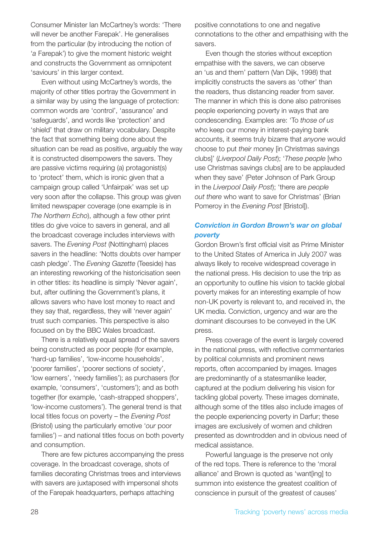Consumer Minister Ian McCartney's words: 'There will never be another Farepak'. He generalises from the particular (by introducing the notion of '*a* Farepak') to give the moment historic weight and constructs the Government as omnipotent 'saviours' in this larger context.

Even without using McCartney's words, the majority of other titles portray the Government in a similar way by using the language of protection: common words are 'control', 'assurance' and 'safeguards', and words like 'protection' and 'shield' that draw on military vocabulary. Despite the fact that something being done about the situation can be read as positive, arguably the way it is constructed disempowers the savers. They are passive victims requiring (a) protagonist(s) to 'protect' them, which is ironic given that a campaign group called 'Unfairpak' was set up very soon after the collapse. This group was given limited newspaper coverage (one example is in *The Northern Echo*), although a few other print titles do give voice to savers in general, and all the broadcast coverage includes interviews with savers. The *Evening Post* (Nottingham) places savers in the headline: 'Notts doubts over hamper cash pledge'. The *Evening Gazette* (Teeside) has an interesting reworking of the historicisation seen in other titles: its headline is simply 'Never again', but, after outlining the Government's plans, it allows savers who have lost money to react and they say that, regardless, they will 'never again' trust such companies. This perspective is also focused on by the BBC Wales broadcast.

There is a relatively equal spread of the savers being constructed as poor people (for example, 'hard-up families', 'low-income households', 'poorer families', 'poorer sections of society', 'low earners', 'needy families'); as purchasers (for example, 'consumers', 'customers'); and as both together (for example, 'cash-strapped shoppers', 'low-income customers'). The general trend is that local titles focus on poverty – the *Evening Post* (Bristol) using the particularly emotive '*our* poor families') – and national titles focus on both poverty and consumption.

There are few pictures accompanying the press coverage. In the broadcast coverage, shots of families decorating Christmas trees and interviews with savers are juxtaposed with impersonal shots of the Farepak headquarters, perhaps attaching

positive connotations to one and negative connotations to the other and empathising with the savers.

Even though the stories without exception empathise with the savers, we can observe an 'us and them' pattern (Van Dijk, 1998) that implicitly constructs the savers as 'other' than the readers, thus distancing reader from saver. The manner in which this is done also patronises people experiencing poverty in ways that are condescending. Examples are: 'To *those of us* who keep our money in interest-paying bank accounts, it seems truly bizarre that *anyone* would choose to put *their* money [in Christmas savings clubs]' (*Liverpool Daily Post*); '*These people* [who use Christmas savings clubs] are to be applauded when they save' (Peter Johnson of Park Group in the *Liverpool Daily Post*); 'there are *people out there* who want to save for Christmas' (Brian Pomeroy in the *Evening Post* [Bristol]).

#### *Conviction in Gordon Brown's war on global poverty*

Gordon Brown's first official visit as Prime Minister to the United States of America in July 2007 was always likely to receive widespread coverage in the national press. His decision to use the trip as an opportunity to outline his vision to tackle global poverty makes for an interesting example of how non-UK poverty is relevant to, and received in, the UK media. Conviction, urgency and war are the dominant discourses to be conveyed in the UK press.

Press coverage of the event is largely covered in the national press, with reflective commentaries by political columnists and prominent news reports, often accompanied by images. Images are predominantly of a statesmanlike leader, captured at the podium delivering his vision for tackling global poverty. These images dominate, although some of the titles also include images of the people experiencing poverty in Darfur; these images are exclusively of women and children presented as downtrodden and in obvious need of medical assistance.

Powerful language is the preserve not only of the red tops. There is reference to the 'moral alliance' and Brown is quoted as 'want[ing] to summon into existence the greatest coalition of conscience in pursuit of the greatest of causes'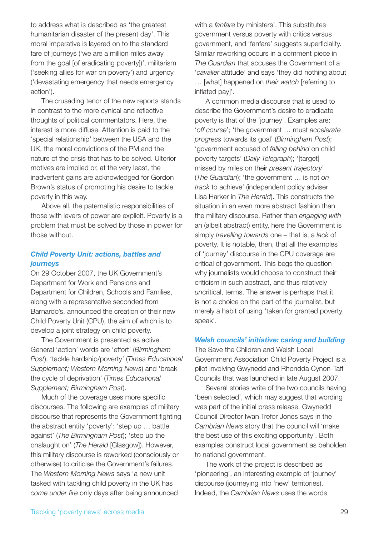to address what is described as 'the greatest humanitarian disaster of the present day'. This moral imperative is layered on to the standard fare of journeys ('we are a million miles away from the goal [of eradicating poverty])', militarism ('seeking allies for war on poverty') and urgency ('devastating emergency that needs emergency action').

The crusading tenor of the new reports stands in contrast to the more cynical and reflective thoughts of political commentators. Here, the interest is more diffuse. Attention is paid to the 'special relationship' between the USA and the UK, the moral convictions of the PM and the nature of the crisis that has to be solved. Ulterior motives are implied or, at the very least, the inadvertent gains are acknowledged for Gordon Brown's status of promoting his desire to tackle poverty in this way.

Above all, the paternalistic responsibilities of those with levers of power are explicit. Poverty is a problem that must be solved by those in power for those without.

#### *Child Poverty Unit: actions, battles and journeys*

On 29 October 2007, the UK Government's Department for Work and Pensions and Department for Children, Schools and Families, along with a representative seconded from Barnardo's, announced the creation of their new Child Poverty Unit (CPU), the aim of which is to develop a joint strategy on child poverty.

The Government is presented as active. General 'action' words are 'effort' (*Birmingham Post*), 'tackle hardship/poverty' (*Times Educational Supplement; Western Morning News*) and 'break the cycle of deprivation' (*Times Educational Supplement; Birmingham Post*).

Much of the coverage uses more specific discourses. The following are examples of military discourse that represents the Government fighting the abstract entity 'poverty': 'step up … battle against' (*The Birmingham Post*); 'step up the onslaught on' (*The Herald* [Glasgow]). However, this military discourse is reworked (consciously or otherwise) to criticise the Government's failures. The *Western Morning News* says 'a new unit tasked with tackling child poverty in the UK has come under fire only days after being announced

with a *fanfare* by ministers'. This substitutes government versus poverty with critics versus government, and 'fanfare' suggests superficiality. Similar reworking occurs in a comment piece in *The Guardian* that accuses the Government of a '*cavalier* attitude' and says 'they did nothing about … [what] happened on *their watch* [referring to inflated payl'.

A common media discourse that is used to describe the Government's desire to eradicate poverty is that of the 'journey'. Examples are: '*off course*'; 'the government … must *accelerate progress* towards its goal' (*Birmingham Post*); 'government accused of *falling behind* on child poverty targets' (*Daily Telegraph*); '[target] missed by miles on their *present trajectory*' (*The Guardian*); 'the government … is not *on track* to achieve' (independent policy adviser Lisa Harker in *The Herald*). This constructs the situation in an even more abstract fashion than the military discourse. Rather than *engaging with* an (albeit abstract) entity, here the Government is simply *travelling towards* one – that is, a *lack* of poverty. It is notable, then, that all the examples of 'journey' discourse in the CPU coverage are critical of government. This begs the question why journalists would choose to construct their criticism in such abstract, and thus relatively *un*critical, terms. The answer is perhaps that it is not a choice on the part of the journalist, but merely a habit of using 'taken for granted poverty speak'.

#### *Welsh councils' initiative: caring and building*

The Save the Children and Welsh Local Government Association Child Poverty Project is a pilot involving Gwynedd and Rhondda Cynon-Taff Councils that was launched in late August 2007.

Several stories write of the two councils having 'been selected', which may suggest that wording was part of the initial press release. Gwynedd Council Director Iwan Trefor Jones says in the *Cambrian News* story that the council will 'make the best use of this exciting opportunity'. Both examples construct local government as beholden to national government.

The work of the project is described as 'pioneering', an interesting example of 'journey' discourse (journeying into 'new' territories). Indeed, the *Cambrian News* uses the words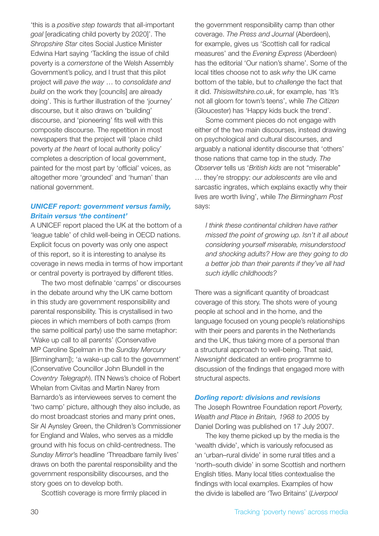'this is a *positive step towards* that all-important *goal* [eradicating child poverty by 2020]'. The *Shropshire Star* cites Social Justice Minister Edwina Hart saying 'Tackling the issue of child poverty is a *cornerstone* of the Welsh Assembly Government's policy, and I trust that this pilot project will *pave the way* … to *consolidate and build* on the work they [councils] are already doing'. This is further illustration of the 'journey' discourse, but it also draws on 'building' discourse, and 'pioneering' fits well with this composite discourse. The repetition in most newspapers that the project will 'place child poverty *at the heart* of local authority policy' completes a description of local government, painted for the most part by 'official' voices, as altogether more 'grounded' and 'human' than national government.

#### *UNICEF report: government versus family, Britain versus 'the continent'*

A UNICEF report placed the UK at the bottom of a 'league table' of child well-being in OECD nations. Explicit focus on poverty was only one aspect of this report, so it is interesting to analyse its coverage in news media in terms of how important or central poverty is portrayed by different titles.

The two most definable 'camps' or discourses in the debate around why the UK came bottom in this study are government responsibility and parental responsibility. This is crystallised in two pieces in which members of both camps (from the same political party) use the same metaphor: 'Wake up call to all parents' (Conservative MP Caroline Spelman in the *Sunday Mercury*  [Birmingham]); 'a wake-up call to the government' (Conservative Councillor John Blundell in the *Coventry Telegraph*). ITN News's choice of Robert Whelan from Civitas and Martin Narey from Barnardo's as interviewees serves to cement the 'two camp' picture, although they also include, as do most broadcast stories and many print ones, Sir Al Aynsley Green, the Children's Commissioner for England and Wales, who serves as a middle ground with his focus on child-centredness. The *Sunday Mirror*'s headline 'Threadbare family lives' draws on both the parental responsibility and the government responsibility discourses, and the story goes on to develop both.

Scottish coverage is more firmly placed in

the government responsibility camp than other coverage. *The Press and Journal* (Aberdeen), for example, gives us 'Scottish call for radical measures' and the *Evening Express* (Aberdeen) has the editorial 'Our nation's shame'. Some of the local titles choose not to ask *why* the UK came bottom of the table, but to *challenge* the fact that it did. *Thisiswiltshire.co.uk*, for example, has 'It's not all gloom for town's teens', while *The Citizen*  (Gloucester) has 'Happy kids buck the trend'.

Some comment pieces do not engage with either of the two main discourses, instead drawing on psychological and cultural discourses, and arguably a national identity discourse that 'others' those nations that came top in the study. *The Observer* tells us '*British kids* are not "miserable" … they're stroppy: *our adolescents* are vile and sarcastic ingrates, which explains exactly why their lives are worth living', while *The Birmingham Post*  says:

*I think these continental children have rather missed the point of growing up. Isn't it all about considering yourself miserable, misunderstood and shocking adults? How are they going to do a better job than their parents if they've all had such idyllic childhoods?*

There was a significant quantity of broadcast coverage of this story. The shots were of young people at school and in the home, and the language focused on young people's relationships with their peers and parents in the Netherlands and the UK, thus taking more of a personal than a structural approach to well-being. That said, *Newsnight* dedicated an entire programme to discussion of the findings that engaged more with structural aspects.

#### *Dorling report: divisions and revisions*

The Joseph Rowntree Foundation report *Poverty, Wealth and Place in Britain, 1968 to 2005* by Daniel Dorling was published on 17 July 2007.

The key theme picked up by the media is the 'wealth divide', which is variously refocused as an 'urban–rural divide' in some rural titles and a 'north–south divide' in some Scottish and northern English titles. Many local titles contextualise the findings with local examples. Examples of how the divide is labelled are 'Two Britains' (*Liverpool*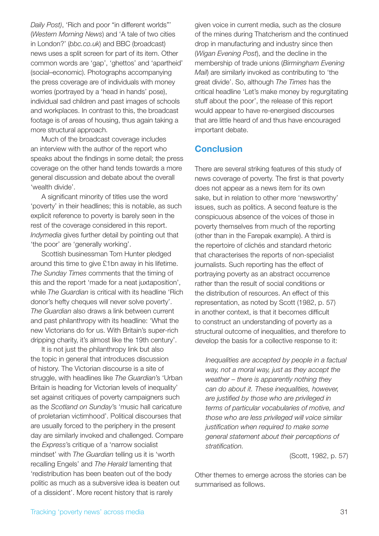*Daily Post)*, 'Rich and poor "in different worlds"' (*Western Morning News*) and 'A tale of two cities in London?' (*bbc.co.uk*) and BBC (broadcast) news uses a split screen for part of its item. Other common words are 'gap', 'ghettos' and 'apartheid' (social–economic). Photographs accompanying the press coverage are of individuals with money worries (portrayed by a 'head in hands' pose), individual sad children and past images of schools and workplaces. In contrast to this, the broadcast footage is of areas of housing, thus again taking a more structural approach.

Much of the broadcast coverage includes an interview with the author of the report who speaks about the findings in some detail; the press coverage on the other hand tends towards a more general discussion and debate about the overall 'wealth divide'.

A significant minority of titles use the word 'poverty' in their headlines; this is notable, as such explicit reference to poverty is barely seen in the rest of the coverage considered in this report. *Indymedia* gives further detail by pointing out that 'the poor' are 'generally working'.

Scottish businessman Tom Hunter pledged around this time to give £1bn away in his lifetime. *The Sunday Times* comments that the timing of this and the report 'made for a neat juxtaposition', while *The Guardian* is critical with its headline 'Rich donor's hefty cheques will never solve poverty'. *The Guardian* also draws a link between current and past philanthropy with its headline: 'What the new Victorians do for us. With Britain's super-rich dripping charity, it's almost like the 19th century'.

It is not just the philanthropy link but also the topic in general that introduces discussion of history. The Victorian discourse is a site of struggle, with headlines like *The Guardian*'s 'Urban Britain is heading for Victorian levels of inequality' set against critiques of poverty campaigners such as the *Scotland on Sunday*'s 'music hall caricature of proletarian victimhood'. Political discourses that are usually forced to the periphery in the present day are similarly invoked and challenged. Compare the *Express*'s critique of a 'narrow socialist mindset' with *The Guardian* telling us it is 'worth recalling Engels' and *The Herald* lamenting that 'redistribution has been beaten out of the body politic as much as a subversive idea is beaten out of a dissident'. More recent history that is rarely

given voice in current media, such as the closure of the mines during Thatcherism and the continued drop in manufacturing and industry since then (*Wigan Evening Post*), and the decline in the membership of trade unions (*Birmingham Evening Mail*) are similarly invoked as contributing to 'the great divide'. So, although *The Times* has the critical headline 'Let's make money by regurgitating stuff about the poor', the release of this report would appear to have re-energised discourses that are little heard of and thus have encouraged important debate.

## **Conclusion**

There are several striking features of this study of news coverage of poverty. The first is that poverty does not appear as a news item for its own sake, but in relation to other more 'newsworthy' issues, such as politics. A second feature is the conspicuous absence of the voices of those in poverty themselves from much of the reporting (other than in the Farepak example). A third is the repertoire of clichés and standard rhetoric that characterises the reports of non-specialist journalists. Such reporting has the effect of portraying poverty as an abstract occurrence rather than the result of social conditions or the distribution of resources. An effect of this representation, as noted by Scott (1982, p. 57) in another context, is that it becomes difficult to construct an understanding of poverty as a structural outcome of inequalities, and therefore to develop the basis for a collective response to it:

*Inequalities are accepted by people in a factual way, not a moral way, just as they accept the weather – there is apparently nothing they can do about it. These inequalities, however,*  are justified by those who are privileged in *terms of particular vocabularies of motive, and those who are less privileged will voice similar justification when required to make some general statement about their perceptions of*  stratification.

(Scott, 1982, p. 57)

Other themes to emerge across the stories can be summarised as follows.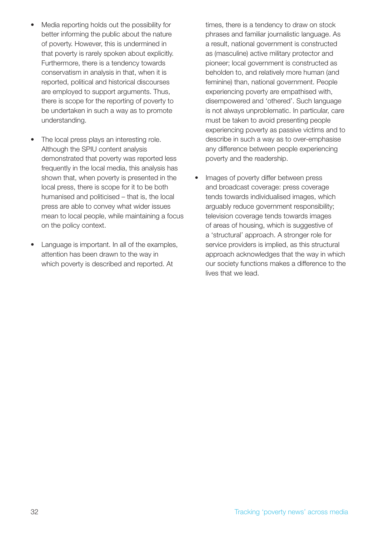- Media reporting holds out the possibility for better informing the public about the nature of poverty. However, this is undermined in that poverty is rarely spoken about explicitly. Furthermore, there is a tendency towards conservatism in analysis in that, when it is reported, political and historical discourses are employed to support arguments. Thus, there is scope for the reporting of poverty to be undertaken in such a way as to promote understanding.
- The local press plays an interesting role. Although the SPIU content analysis demonstrated that poverty was reported less frequently in the local media, this analysis has shown that, when poverty is presented in the local press, there is scope for it to be both humanised and politicised – that is, the local press are able to convey what wider issues mean to local people, while maintaining a focus on the policy context.
- Language is important. In all of the examples, attention has been drawn to the way in which poverty is described and reported. At

times, there is a tendency to draw on stock phrases and familiar journalistic language. As a result, national government is constructed as (masculine) active military protector and pioneer; local government is constructed as beholden to, and relatively more human (and feminine) than, national government. People experiencing poverty are empathised with, disempowered and 'othered'. Such language is not always unproblematic. In particular, care must be taken to avoid presenting people experiencing poverty as passive victims and to describe in such a way as to over-emphasise any difference between people experiencing poverty and the readership.

Images of poverty differ between press and broadcast coverage: press coverage tends towards individualised images, which arguably reduce government responsibility; television coverage tends towards images of areas of housing, which is suggestive of a 'structural' approach. A stronger role for service providers is implied, as this structural approach acknowledges that the way in which our society functions makes a difference to the lives that we lead.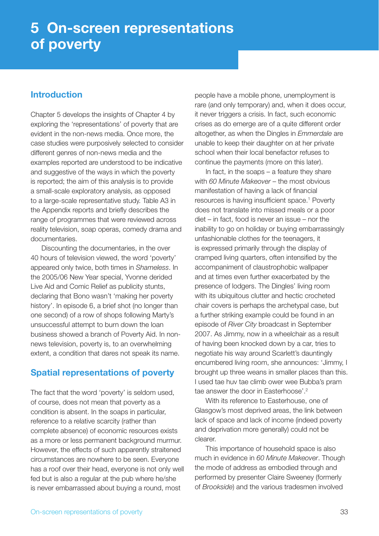## **5 On-screen representations of poverty**

## **Introduction**

Chapter 5 develops the insights of Chapter 4 by exploring the 'representations' of poverty that are evident in the non-news media. Once more, the case studies were purposively selected to consider different genres of non-news media and the examples reported are understood to be indicative and suggestive of the ways in which the poverty is reported; the aim of this analysis is to provide a small-scale exploratory analysis, as opposed to a large-scale representative study. Table A3 in the Appendix reports and briefly describes the range of programmes that were reviewed across reality television, soap operas, comedy drama and documentaries.

Discounting the documentaries, in the over 40 hours of television viewed, the word 'poverty' appeared only twice, both times in *Shameless*. In the 2005/06 New Year special, Yvonne derided Live Aid and Comic Relief as publicity stunts, declaring that Bono wasn't 'making her poverty history'. In episode 6, a brief shot (no longer than one second) of a row of shops following Marty's unsuccessful attempt to burn down the loan business showed a branch of Poverty Aid. In nonnews television, poverty is, to an overwhelming extent, a condition that dares not speak its name.

## **Spatial representations of poverty**

The fact that the word 'poverty' is seldom used, of course, does not mean that poverty as a condition is absent. In the soaps in particular, reference to a relative scarcity (rather than complete absence) of economic resources exists as a more or less permanent background murmur. However, the effects of such apparently straitened circumstances are nowhere to be seen. Everyone has a roof over their head, everyone is not only well fed but is also a regular at the pub where he/she is never embarrassed about buying a round, most

people have a mobile phone, unemployment is rare (and only temporary) and, when it does occur, it never triggers a crisis. In fact, such economic crises as do emerge are of a quite different order altogether, as when the Dingles in *Emmerdale* are unable to keep their daughter on at her private school when their local benefactor refuses to continue the payments (more on this later).

In fact, in the soaps – a feature they share with *60 Minute Makeover* – the most obvious manifestation of having a lack of financial resources is having insufficient space.<sup>1</sup> Poverty does not translate into missed meals or a poor diet – in fact, food is never an issue – nor the inability to go on holiday or buying embarrassingly unfashionable clothes for the teenagers, it is expressed primarily through the display of cramped living quarters, often intensified by the accompaniment of claustrophobic wallpaper and at times even further exacerbated by the presence of lodgers. The Dingles' living room with its ubiquitous clutter and hectic crocheted chair covers is perhaps the archetypal case, but a further striking example could be found in an episode of *River City* broadcast in September 2007. As Jimmy, now in a wheelchair as a result of having been knocked down by a car, tries to negotiate his way around Scarlett's dauntingly encumbered living room, she announces: 'Jimmy, I brought up three weans in smaller places than this. I used tae huv tae climb ower wee Bubba's pram tae answer the door in Easterhoose'.2

With its reference to Easterhouse, one of Glasgow's most deprived areas, the link between lack of space and lack of income (indeed poverty and deprivation more generally) could not be clearer.

This importance of household space is also much in evidence in *60 Minute Makeover*. Though the mode of address as embodied through and performed by presenter Claire Sweeney (formerly of *Brookside*) and the various tradesmen involved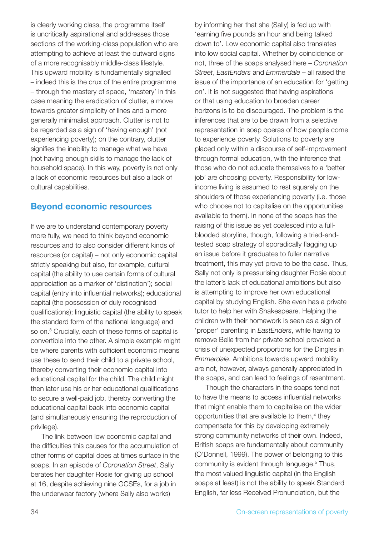is clearly working class, the programme itself is uncritically aspirational and addresses those sections of the working-class population who are attempting to achieve at least the outward signs of a more recognisably middle-class lifestyle. This upward mobility is fundamentally signalled – indeed this is the crux of the entire programme – through the mastery of space, 'mastery' in this case meaning the eradication of clutter, a move towards greater simplicity of lines and a more generally minimalist approach. Clutter is not to be regarded as a sign of 'having enough' (not experiencing poverty); on the contrary, clutter signifies the inability to manage what we have (not having enough skills to manage the lack of household space). In this way, poverty is not only a lack of economic resources but also a lack of cultural capabilities.

## **Beyond economic resources**

If we are to understand contemporary poverty more fully, we need to think beyond economic resources and to also consider different kinds of resources (or capital) – not only economic capital strictly speaking but also, for example, cultural capital (the ability to use certain forms of cultural appreciation as a marker of 'distinction'); social capital (entry into influential networks); educational capital (the possession of duly recognised qualifications); linguistic capital (the ability to speak the standard form of the national language) and so on.<sup>3</sup> Crucially, each of these forms of capital is convertible into the other. A simple example might be where parents with sufficient economic means use these to send their child to a private school, thereby converting their economic capital into educational capital for the child. The child might then later use his or her educational qualifications to secure a well-paid job, thereby converting the educational capital back into economic capital (and simultaneously ensuring the reproduction of privilege).

The link between low economic capital and the difficulties this causes for the accumulation of other forms of capital does at times surface in the soaps. In an episode of *Coronation Street*, Sally berates her daughter Rosie for giving up school at 16, despite achieving nine GCSEs, for a job in the underwear factory (where Sally also works)

by informing her that she (Sally) is fed up with 'earning five pounds an hour and being talked down to'. Low economic capital also translates into low social capital. Whether by coincidence or not, three of the soaps analysed here – *Coronation Street*, *EastEnders* and *Emmerdale* – all raised the issue of the importance of an education for 'getting on'. It is not suggested that having aspirations or that using education to broaden career horizons is to be discouraged. The problem is the inferences that are to be drawn from a selective representation in soap operas of how people come to experience poverty. Solutions to poverty are placed only within a discourse of self-improvement through formal education, with the inference that those who do not educate themselves to a 'better job' are choosing poverty. Responsibility for lowincome living is assumed to rest squarely on the shoulders of those experiencing poverty (i.e. those who choose not to capitalise on the opportunities available to them). In none of the soaps has the raising of this issue as yet coalesced into a fullblooded storyline, though, following a tried-andtested soap strategy of sporadically flagging up an issue before it graduates to fuller narrative treatment, this may yet prove to be the case. Thus, Sally not only is pressurising daughter Rosie about the latter's lack of educational ambitions but also is attempting to improve her own educational capital by studying English. She even has a private tutor to help her with Shakespeare. Helping the children with their homework is seen as a sign of 'proper' parenting in *EastEnders*, while having to remove Belle from her private school provoked a crisis of unexpected proportions for the Dingles in *Emmerdale*. Ambitions towards upward mobility are not, however, always generally appreciated in the soaps, and can lead to feelings of resentment.

Though the characters in the soaps tend not to have the means to access influential networks that might enable them to capitalise on the wider opportunities that are available to them,<sup>4</sup> they compensate for this by developing extremely strong community networks of their own. Indeed, British soaps are fundamentally about community (O'Donnell, 1999). The power of belonging to this community is evident through language.5 Thus, the most valued linguistic capital (in the English soaps at least) is not the ability to speak Standard English, far less Received Pronunciation, but the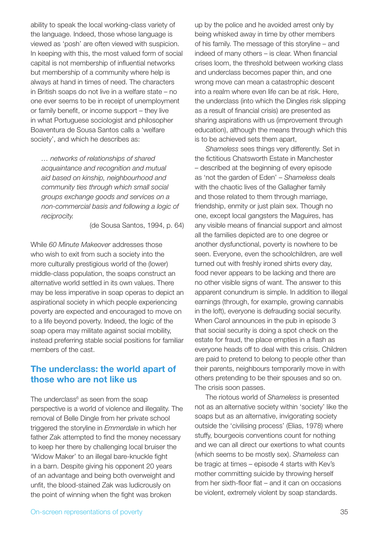ability to speak the local working-class variety of the language. Indeed, those whose language is viewed as 'posh' are often viewed with suspicion. In keeping with this, the most valued form of social capital is not membership of influential networks but membership of a community where help is always at hand in times of need. The characters in British soaps do not live in a welfare state – no one ever seems to be in receipt of unemployment or family benefit, or income support  $-$  they live in what Portuguese sociologist and philosopher Boaventura de Sousa Santos calls a 'welfare society', and which he describes as:

*… networks of relationships of shared acquaintance and recognition and mutual aid based on kinship, neighbourhood and community ties through which small social groups exchange goods and services on a non-commercial basis and following a logic of reciprocity.*

(de Sousa Santos, 1994, p. 64)

While *60 Minute Makeover* addresses those who wish to exit from such a society into the more culturally prestigious world of the (lower) middle-class population, the soaps construct an alternative world settled in its own values. There may be less imperative in soap operas to depict an aspirational society in which people experiencing poverty are expected and encouraged to move on to a life beyond poverty. Indeed, the logic of the soap opera may militate against social mobility, instead preferring stable social positions for familiar members of the cast.

## **The underclass: the world apart of those who are not like us**

The underclass<sup>6</sup> as seen from the soap perspective is a world of violence and illegality. The removal of Belle Dingle from her private school triggered the storyline in *Emmerdale* in which her father Zak attempted to find the money necessary to keep her there by challenging local bruiser the 'Widow Maker' to an illegal bare-knuckle fight in a barn. Despite giving his opponent 20 years of an advantage and being both overweight and unfit, the blood-stained Zak was ludicrously on the point of winning when the fight was broken

up by the police and he avoided arrest only by being whisked away in time by other members of his family. The message of this storyline – and indeed of many others – is clear. When financial crises loom, the threshold between working class and underclass becomes paper thin, and one wrong move can mean a catastrophic descent into a realm where even life can be at risk. Here, the underclass (into which the Dingles risk slipping as a result of financial crisis) are presented as sharing aspirations with us (improvement through education), although the means through which this is to be achieved sets them apart,

*Shameless* sees things very differently. Set in the fictitious Chatsworth Estate in Manchester – described at the beginning of every episode as 'not the garden of Eden' – *Shameless* deals with the chaotic lives of the Gallagher family and those related to them through marriage, friendship, enmity or just plain sex. Though no one, except local gangsters the Maguires, has any visible means of financial support and almost all the families depicted are to one degree or another dysfunctional, poverty is nowhere to be seen. Everyone, even the schoolchildren, are well turned out with freshly ironed shirts every day, food never appears to be lacking and there are no other visible signs of want. The answer to this apparent conundrum is simple. In addition to illegal earnings (through, for example, growing cannabis in the loft), everyone is defrauding social security. When Carol announces in the pub in episode 3 that social security is doing a spot check on the estate for fraud, the place empties in a flash as everyone heads off to deal with this crisis. Children are paid to pretend to belong to people other than their parents, neighbours temporarily move in with others pretending to be their spouses and so on. The crisis soon passes.

The riotous world of *Shameless* is presented not as an alternative society within 'society' like the soaps but as an alternative, invigorating society outside the 'civilising process' (Elias, 1978) where stuffy, bourgeois conventions count for nothing and we can all direct our exertions to what counts (which seems to be mostly sex). *Shameless* can be tragic at times – episode 4 starts with Kev's mother committing suicide by throwing herself from her sixth-floor flat – and it can on occasions be violent, extremely violent by soap standards.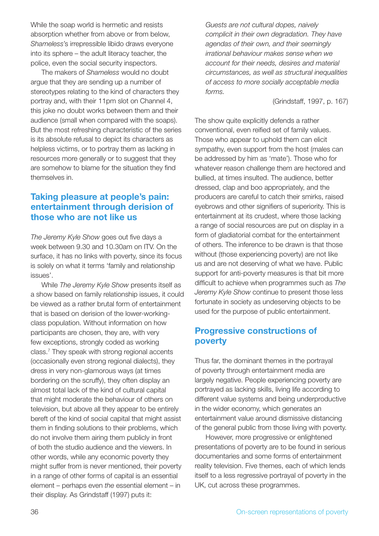While the soap world is hermetic and resists absorption whether from above or from below, *Shameless*'s irrepressible libido draws everyone into its sphere – the adult literacy teacher, the police, even the social security inspectors.

The makers of *Shameless* would no doubt argue that they are sending up a number of stereotypes relating to the kind of characters they portray and, with their 11pm slot on Channel 4, this joke no doubt works between them and their audience (small when compared with the soaps). But the most refreshing characteristic of the series is its absolute refusal to depict its characters as helpless victims, or to portray them as lacking in resources more generally or to suggest that they are somehow to blame for the situation they find themselves in.

## **Taking pleasure at people's pain: entertainment through derision of those who are not like us**

*The Jeremy Kyle Show* goes out five days a week between 9.30 and 10.30am on ITV. On the surface, it has no links with poverty, since its focus is solely on what it terms 'family and relationship issues'.

While *The Jeremy Kyle Show* presents itself as a show based on family relationship issues, it could be viewed as a rather brutal form of entertainment that is based on derision of the lower-workingclass population. Without information on how participants are chosen, they are, with very few exceptions, strongly coded as working class.7 They speak with strong regional accents (occasionally even strong regional dialects), they dress in very non-glamorous ways (at times bordering on the scruffy), they often display an almost total lack of the kind of cultural capital that might moderate the behaviour of others on television, but above all they appear to be entirely bereft of the kind of social capital that might assist them in finding solutions to their problems, which do not involve them airing them publicly in front of both the studio audience and the viewers. In other words, while any economic poverty they might suffer from is never mentioned, their poverty in a range of other forms of capital is an essential element – perhaps even *the* essential element – in their display. As Grindstaff (1997) puts it:

*Guests are not cultural dopes, naively complicit in their own degradation. They have agendas of their own, and their seemingly irrational behaviour makes sense when we account for their needs, desires and material circumstances, as well as structural inequalities of access to more socially acceptable media forms.*

(Grindstaff, 1997, p. 167)

The show quite explicitly defends a rather conventional, even reified set of family values. Those who appear to uphold them can elicit sympathy, even support from the host (males can be addressed by him as 'mate'). Those who for whatever reason challenge them are hectored and bullied, at times insulted. The audience, better dressed, clap and boo appropriately, and the producers are careful to catch their smirks, raised eyebrows and other signifiers of superiority. This is entertainment at its crudest, where those lacking a range of social resources are put on display in a form of gladiatorial combat for the entertainment of others. The inference to be drawn is that those without (those experiencing poverty) are not like us and are not deserving of what we have. Public support for anti-poverty measures is that bit more difficult to achieve when programmes such as *The Jeremy Kyle Show* continue to present those less fortunate in society as undeserving objects to be used for the purpose of public entertainment.

## **Progressive constructions of poverty**

Thus far, the dominant themes in the portrayal of poverty through entertainment media are largely negative. People experiencing poverty are portrayed as lacking skills, living life according to different value systems and being underproductive in the wider economy, which generates an entertainment value around dismissive distancing of the general public from those living with poverty.

However, more progressive or enlightened presentations of poverty are to be found in serious documentaries and some forms of entertainment reality television. Five themes, each of which lends itself to a less regressive portrayal of poverty in the UK, cut across these programmes.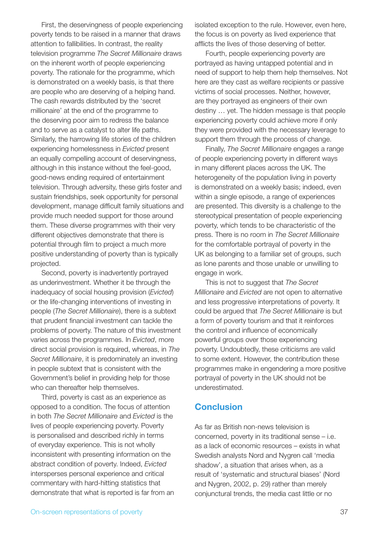First, the deservingness of people experiencing poverty tends to be raised in a manner that draws attention to fallibilities. In contrast, the reality television programme *The Secret Millionaire* draws on the inherent worth of people experiencing poverty. The rationale for the programme, which is demonstrated on a weekly basis, is that there are people who are deserving of a helping hand. The cash rewards distributed by the 'secret millionaire' at the end of the programme to the deserving poor aim to redress the balance and to serve as a catalyst to alter life paths. Similarly, the harrowing life stories of the children experiencing homelessness in *Evicted* present an equally compelling account of deservingness, although in this instance without the feel-good, good-news ending required of entertainment television. Through adversity, these girls foster and sustain friendships, seek opportunity for personal development, manage difficult family situations and provide much needed support for those around them. These diverse programmes with their very different objectives demonstrate that there is potential through film to project a much more positive understanding of poverty than is typically projected.

Second, poverty is inadvertently portrayed as underinvestment. Whether it be through the inadequacy of social housing provision (*Evicted*) or the life-changing interventions of investing in people (*The Secret Millionaire*), there is a subtext that prudent financial investment can tackle the problems of poverty. The nature of this investment varies across the programmes. In *Evicted*, more direct social provision is required, whereas, in *The Secret Millionaire*, it is predominately an investing in people subtext that is consistent with the Government's belief in providing help for those who can thereafter help themselves.

Third, poverty is cast as an experience as opposed to a condition. The focus of attention in both *The Secret Millionaire* and *Evicted* is the lives of people experiencing poverty. Poverty is personalised and described richly in terms of everyday experience. This is not wholly inconsistent with presenting information on the abstract condition of poverty. Indeed, *Evicted*  intersperses personal experience and critical commentary with hard-hitting statistics that demonstrate that what is reported is far from an isolated exception to the rule. However, even here, the focus is on poverty as lived experience that afflicts the lives of those deserving of better.

Fourth, people experiencing poverty are portrayed as having untapped potential and in need of support to help them help themselves. Not here are they cast as welfare recipients or passive victims of social processes. Neither, however, are they portrayed as engineers of their own destiny … yet. The hidden message is that people experiencing poverty could achieve more if only they were provided with the necessary leverage to support them through the process of change.

Finally, *The Secret Millionaire* engages a range of people experiencing poverty in different ways in many different places across the UK. The heterogeneity of the population living in poverty is demonstrated on a weekly basis; indeed, even within a single episode, a range of experiences are presented. This diversity is a challenge to the stereotypical presentation of people experiencing poverty, which tends to be characteristic of the press. There is no room in *The Secret Millionaire*  for the comfortable portrayal of poverty in the UK as belonging to a familiar set of groups, such as lone parents and those unable or unwilling to engage in work.

This is not to suggest that *The Secret Millionaire* and *Evicted* are not open to alternative and less progressive interpretations of poverty. It could be argued that *The Secret Millionaire* is but a form of poverty tourism and that it reinforces the control and influence of economically powerful groups over those experiencing poverty. Undoubtedly, these criticisms are valid to some extent. However, the contribution these programmes make in engendering a more positive portrayal of poverty in the UK should not be underestimated.

### **Conclusion**

As far as British non-news television is concerned, poverty in its traditional sense – i.e. as a lack of economic resources – exists in what Swedish analysts Nord and Nygren call 'media shadow', a situation that arises when, as a result of 'systematic and structural biases' (Nord and Nygren, 2002, p. 29) rather than merely conjunctural trends, the media cast little or no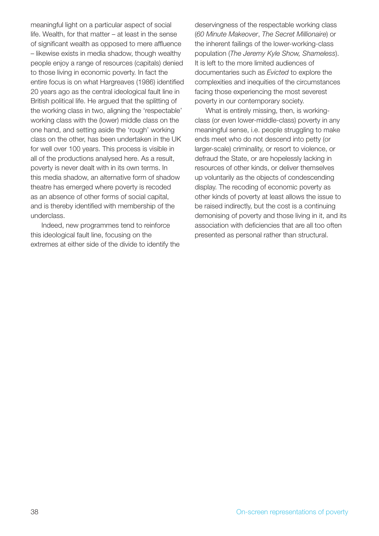meaningful light on a particular aspect of social life. Wealth, for that matter – at least in the sense of significant wealth as opposed to mere affluence – likewise exists in media shadow, though wealthy people enjoy a range of resources (capitals) denied to those living in economic poverty. In fact the entire focus is on what Hargreaves (1986) identified 20 years ago as the central ideological fault line in British political life. He argued that the splitting of the working class in two, aligning the 'respectable' working class with the (lower) middle class on the one hand, and setting aside the 'rough' working class on the other, has been undertaken in the UK for well over 100 years. This process is visible in all of the productions analysed here. As a result, poverty is never dealt with in its own terms. In this media shadow, an alternative form of shadow theatre has emerged where poverty is recoded as an absence of other forms of social capital, and is thereby identified with membership of the underclass.

Indeed, new programmes tend to reinforce this ideological fault line, focusing on the extremes at either side of the divide to identify the

deservingness of the respectable working class (*60 Minute Makeover*, *The Secret Millionaire*) or the inherent failings of the lower-working-class population (*The Jeremy Kyle Show, Shameless*). It is left to the more limited audiences of documentaries such as *Evicted* to explore the complexities and inequities of the circumstances facing those experiencing the most severest poverty in our contemporary society.

What is entirely missing, then, is workingclass (or even lower-middle-class) poverty in any meaningful sense, i.e. people struggling to make ends meet who do not descend into petty (or larger-scale) criminality, or resort to violence, or defraud the State, or are hopelessly lacking in resources of other kinds, or deliver themselves up voluntarily as the objects of condescending display. The recoding of economic poverty as other kinds of poverty at least allows the issue to be raised indirectly, but the cost is a continuing demonising of poverty and those living in it, and its association with deficiencies that are all too often presented as personal rather than structural.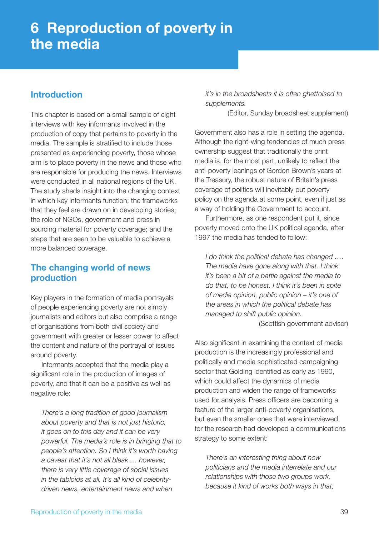# **6 Reproduction of poverty in the media**

## **Introduction**

This chapter is based on a small sample of eight interviews with key informants involved in the production of copy that pertains to poverty in the media. The sample is stratified to include those presented as experiencing poverty, those whose aim is to place poverty in the news and those who are responsible for producing the news. Interviews were conducted in all national regions of the UK. The study sheds insight into the changing context in which key informants function; the frameworks that they feel are drawn on in developing stories; the role of NGOs, government and press in sourcing material for poverty coverage; and the steps that are seen to be valuable to achieve a more balanced coverage.

## **The changing world of news production**

Key players in the formation of media portrayals of people experiencing poverty are not simply journalists and editors but also comprise a range of organisations from both civil society and government with greater or lesser power to affect the content and nature of the portrayal of issues around poverty.

Informants accepted that the media play a significant role in the production of images of poverty, and that it can be a positive as well as negative role:

*There's a long tradition of good journalism about poverty and that is not just historic, it goes on to this day and it can be very powerful. The media's role is in bringing that to people's attention. So I think it's worth having a caveat that it's not all bleak … however, there is very little coverage of social issues in the tabloids at all. It's all kind of celebritydriven news, entertainment news and when* 

*it's in the broadsheets it is often ghettoised to supplements.*

(Editor, Sunday broadsheet supplement)

Government also has a role in setting the agenda. Although the right-wing tendencies of much press ownership suggest that traditionally the print media is, for the most part, unlikely to reflect the anti-poverty leanings of Gordon Brown's years at the Treasury, the robust nature of Britain's press coverage of politics will inevitably put poverty policy on the agenda at some point, even if just as a way of holding the Government to account.

Furthermore, as one respondent put it, since poverty moved onto the UK political agenda, after 1997 the media has tended to follow:

*I do think the political debate has changed …. The media have gone along with that. I think it's been a bit of a battle against the media to do that, to be honest. I think it's been in spite of media opinion, public opinion – it's one of the areas in which the political debate has managed to shift public opinion.*

(Scottish government adviser)

Also significant in examining the context of media production is the increasingly professional and politically and media sophisticated campaigning sector that Golding identified as early as 1990, which could affect the dynamics of media production and widen the range of frameworks used for analysis. Press officers are becoming a feature of the larger anti-poverty organisations, but even the smaller ones that were interviewed for the research had developed a communications strategy to some extent:

*There's an interesting thing about how politicians and the media interrelate and our relationships with those two groups work, because it kind of works both ways in that,*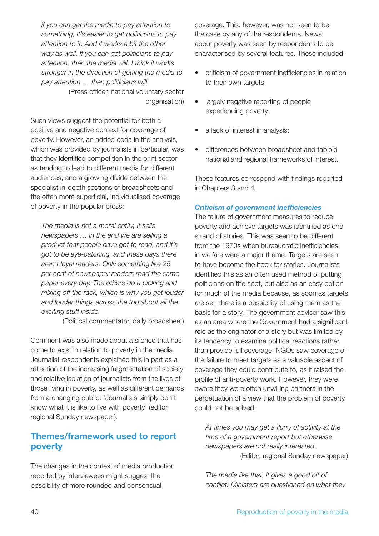*if you can get the media to pay attention to something, it's easier to get politicians to pay attention to it. And it works a bit the other way as well. If you can get politicians to pay attention, then the media will. I think it works stronger in the direction of getting the media to pay attention … then politicians will.* (Press officer, national voluntary sector organisation)

Such views suggest the potential for both a positive and negative context for coverage of poverty. However, an added coda in the analysis, which was provided by journalists in particular, was that they identified competition in the print sector as tending to lead to different media for different audiences, and a growing divide between the specialist in-depth sections of broadsheets and the often more superficial, individualised coverage of poverty in the popular press:

*The media is not a moral entity, it sells newspapers … in the end we are selling a product that people have got to read, and it's got to be eye-catching, and these days there aren't loyal readers. Only something like 25 per cent of newspaper readers read the same paper every day. The others do a picking and mixing off the rack, which is why you get louder and louder things across the top about all the exciting stuff inside.*

(Political commentator, daily broadsheet)

Comment was also made about a silence that has come to exist in relation to poverty in the media. Journalist respondents explained this in part as a reflection of the increasing fragmentation of society and relative isolation of journalists from the lives of those living in poverty, as well as different demands from a changing public: 'Journalists simply don't know what it is like to live with poverty' (editor, regional Sunday newspaper).

## **Themes/framework used to report poverty**

The changes in the context of media production reported by interviewees might suggest the possibility of more rounded and consensual

coverage. This, however, was not seen to be the case by any of the respondents. News about poverty was seen by respondents to be characterised by several features. These included:

- criticism of government inefficiencies in relation to their own targets:
- largely negative reporting of people experiencing poverty;
- a lack of interest in analysis:
- differences between broadsheet and tabloid national and regional frameworks of interest.

These features correspond with findings reported in Chapters 3 and 4.

#### **Criticism of government inefficiencies**

The failure of government measures to reduce poverty and achieve targets was identified as one strand of stories. This was seen to be different from the 1970s when bureaucratic inefficiencies in welfare were a major theme. Targets are seen to have become the hook for stories. Journalists identified this as an often used method of putting politicians on the spot, but also as an easy option for much of the media because, as soon as targets are set, there is a possibility of using them as the basis for a story. The government adviser saw this as an area where the Government had a significant role as the originator of a story but was limited by its tendency to examine political reactions rather than provide full coverage. NGOs saw coverage of the failure to meet targets as a valuable aspect of coverage they could contribute to, as it raised the profile of anti-poverty work. However, they were aware they were often unwilling partners in the perpetuation of a view that the problem of poverty could not be solved:

At times you may get a flurry of activity at the *time of a government report but otherwise newspapers are not really interested.* (Editor, regional Sunday newspaper)

*The media like that, it gives a good bit of confl ict. Ministers are questioned on what they*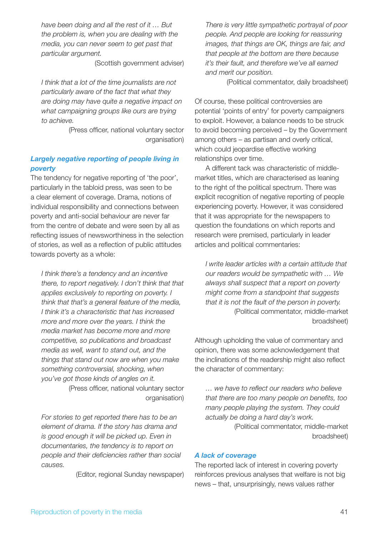*have been doing and all the rest of it … But the problem is, when you are dealing with the media, you can never seem to get past that particular argument.*

(Scottish government adviser)

*I think that a lot of the time journalists are not particularly aware of the fact that what they are doing may have quite a negative impact on what campaigning groups like ours are trying to achieve.*

> (Press officer, national voluntary sector organisation)

#### *Largely negative reporting of people living in poverty*

The tendency for negative reporting of 'the poor', particularly in the tabloid press, was seen to be a clear element of coverage. Drama, notions of individual responsibility and connections between poverty and anti-social behaviour are never far from the centre of debate and were seen by all as reflecting issues of newsworthiness in the selection of stories, as well as a reflection of public attitudes towards poverty as a whole:

*I think there's a tendency and an incentive there, to report negatively. I don't think that that applies exclusively to reporting on poverty. I think that that's a general feature of the media, I think it's a characteristic that has increased more and more over the years. I think the media market has become more and more competitive, so publications and broadcast media as well, want to stand out, and the things that stand out now are when you make something controversial, shocking, when you've got those kinds of angles on it.* (Press officer, national voluntary sector

organisation)

*For stories to get reported there has to be an element of drama. If the story has drama and is good enough it will be picked up. Even in documentaries, the tendency is to report on people and their defi ciencies rather than social causes.*

(Editor, regional Sunday newspaper)

*There is very little sympathetic portrayal of poor people. And people are looking for reassuring images, that things are OK, things are fair, and that people at the bottom are there because it's their fault, and therefore we've all earned and merit our position.*

(Political commentator, daily broadsheet)

Of course, these political controversies are potential 'points of entry' for poverty campaigners to exploit. However, a balance needs to be struck to avoid becoming perceived – by the Government among others – as partisan and overly critical, which could jeopardise effective working relationships over time.

A different tack was characteristic of middlemarket titles, which are characterised as leaning to the right of the political spectrum. There was explicit recognition of negative reporting of people experiencing poverty. However, it was considered that it was appropriate for the newspapers to question the foundations on which reports and research were premised, particularly in leader articles and political commentaries:

*I write leader articles with a certain attitude that our readers would be sympathetic with … We always shall suspect that a report on poverty might come from a standpoint that suggests that it is not the fault of the person in poverty.* (Political commentator, middle-market broadsheet)

Although upholding the value of commentary and opinion, there was some acknowledgement that the inclinations of the readership might also reflect the character of commentary:

*… we have to refl ect our readers who believe*  that there are too many people on benefits, too *many people playing the system. They could actually be doing a hard day's work.* (Political commentator, middle-market broadsheet)

#### *A lack of coverage*

The reported lack of interest in covering poverty reinforces previous analyses that welfare is not big news – that, unsurprisingly, news values rather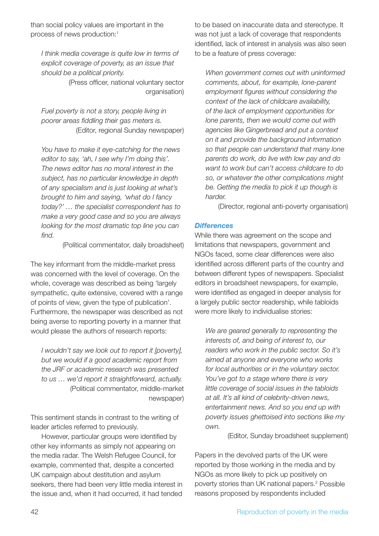than social policy values are important in the process of news production:1

*I think media coverage is quite low in terms of explicit coverage of poverty, as an issue that should be a political priority.*

> (Press officer, national voluntary sector organisation)

*Fuel poverty is not a story, people living in poorer areas fi ddling their gas meters is.* (Editor, regional Sunday newspaper)

*You have to make it eye-catching for the news editor to say, 'ah, I see why I'm doing this'. The news editor has no moral interest in the subject, has no particular knowledge in depth of any specialism and is just looking at what's brought to him and saying, 'what do I fancy today?' … the specialist correspondent has to make a very good case and so you are always looking for the most dramatic top line you can*  find.

(Political commentator, daily broadsheet)

The key informant from the middle-market press was concerned with the level of coverage. On the whole, coverage was described as being 'largely sympathetic, quite extensive, covered with a range of points of view, given the type of publication'. Furthermore, the newspaper was described as not being averse to reporting poverty in a manner that would please the authors of research reports:

*I wouldn't say we look out to report it [poverty], but we would if a good academic report from the JRF or academic research was presented to us … we'd report it straightforward, actually.* (Political commentator, middle-market newspaper)

This sentiment stands in contrast to the writing of leader articles referred to previously.

However, particular groups were identified by other key informants as simply not appearing on the media radar. The Welsh Refugee Council, for example, commented that, despite a concerted UK campaign about destitution and asylum seekers, there had been very little media interest in the issue and, when it had occurred, it had tended

to be based on inaccurate data and stereotype. It was not just a lack of coverage that respondents identified, lack of interest in analysis was also seen to be a feature of press coverage:

*When government comes out with uninformed comments, about, for example, lone-parent*  employment figures without considering the *context of the lack of childcare availability, of the lack of employment opportunities for lone parents, then we would come out with agencies like Gingerbread and put a context on it and provide the background information so that people can understand that many lone parents do work, do live with low pay and do want to work but can't access childcare to do so, or whatever the other complications might be. Getting the media to pick it up though is harder.*

(Director, regional anti-poverty organisation)

#### *Differences*

While there was agreement on the scope and limitations that newspapers, government and NGOs faced, some clear differences were also identified across different parts of the country and between different types of newspapers. Specialist editors in broadsheet newspapers, for example, were identified as engaged in deeper analysis for a largely public sector readership, while tabloids were more likely to individualise stories:

*We are geared generally to representing the interests of, and being of interest to, our readers who work in the public sector. So it's aimed at anyone and everyone who works for local authorities or in the voluntary sector. You've got to a stage where there is very little coverage of social issues in the tabloids at all. It's all kind of celebrity-driven news, entertainment news. And so you end up with poverty issues ghettoised into sections like my own.*

(Editor, Sunday broadsheet supplement)

Papers in the devolved parts of the UK were reported by those working in the media and by NGOs as more likely to pick up positively on poverty stories than UK national papers.<sup>2</sup> Possible reasons proposed by respondents included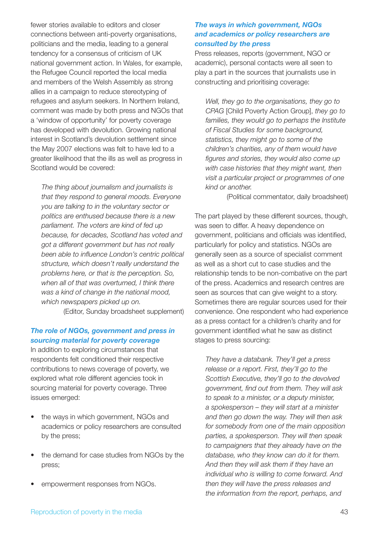fewer stories available to editors and closer connections between anti-poverty organisations, politicians and the media, leading to a general tendency for a consensus of criticism of UK national government action. In Wales, for example, the Refugee Council reported the local media and members of the Welsh Assembly as strong allies in a campaign to reduce stereotyping of refugees and asylum seekers. In Northern Ireland, comment was made by both press and NGOs that a 'window of opportunity' for poverty coverage has developed with devolution. Growing national interest in Scotland's devolution settlement since the May 2007 elections was felt to have led to a greater likelihood that the ills as well as progress in Scotland would be covered:

*The thing about journalism and journalists is that they respond to general moods. Everyone you are talking to in the voluntary sector or politics are enthused because there is a new parliament. The voters are kind of fed up because, for decades, Scotland has voted and got a different government but has not really*  been able to influence London's centric political *structure, which doesn't really understand the problems here, or that is the perception. So, when all of that was overturned, I think there was a kind of change in the national mood, which newspapers picked up on.*

(Editor, Sunday broadsheet supplement)

#### *The role of NGOs, government and press in sourcing material for poverty coverage*

In addition to exploring circumstances that respondents felt conditioned their respective contributions to news coverage of poverty, we explored what role different agencies took in sourcing material for poverty coverage. Three issues emerged:

- the ways in which government, NGOs and academics or policy researchers are consulted by the press;
- the demand for case studies from NGOs by the press;
- empowerment responses from NGOs.

#### *The ways in which government, NGOs and academics or policy researchers are consulted by the press*

Press releases, reports (government, NGO or academic), personal contacts were all seen to play a part in the sources that journalists use in constructing and prioritising coverage:

*Well, they go to the organisations, they go to CPAG* [Child Poverty Action Group], *they go to families, they would go to perhaps the Institute of Fiscal Studies for some background, statistics, they might go to some of the children's charities, any of them would have fi gures and stories, they would also come up with case histories that they might want, then visit a particular project or programmes of one kind or another.*

(Political commentator, daily broadsheet)

The part played by these different sources, though, was seen to differ. A heavy dependence on government, politicians and officials was identified, particularly for policy and statistics. NGOs are generally seen as a source of specialist comment as well as a short cut to case studies and the relationship tends to be non-combative on the part of the press. Academics and research centres are seen as sources that can give weight to a story. Sometimes there are regular sources used for their convenience. One respondent who had experience as a press contact for a children's charity and for government identified what he saw as distinct stages to press sourcing:

*They have a databank. They'll get a press release or a report. First, they'll go to the Scottish Executive, they'll go to the devolved government, fi nd out from them. They will ask to speak to a minister, or a deputy minister, a spokesperson – they will start at a minister and then go down the way. They will then ask for somebody from one of the main opposition parties, a spokesperson. They will then speak to campaigners that they already have on the database, who they know can do it for them. And then they will ask them if they have an individual who is willing to come forward. And then they will have the press releases and the information from the report, perhaps, and*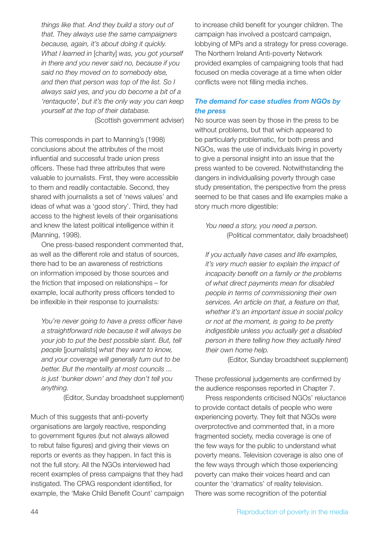*things like that. And they build a story out of that. They always use the same campaigners because, again, it's about doing it quickly. What I learned in* [charity] *was, you got yourself in there and you never said no, because if you said no they moved on to somebody else, and then that person was top of the list. So I always said yes, and you do become a bit of a 'rentaquote', but it's the only way you can keep yourself at the top of their database.*

(Scottish government adviser)

This corresponds in part to Manning's (1998) conclusions about the attributes of the most influential and successful trade union press officers. These had three attributes that were valuable to journalists. First, they were accessible to them and readily contactable. Second, they shared with journalists a set of 'news values' and ideas of what was a 'good story'. Third, they had access to the highest levels of their organisations and knew the latest political intelligence within it (Manning, 1998).

One press-based respondent commented that, as well as the different role and status of sources, there had to be an awareness of restrictions on information imposed by those sources and the friction that imposed on relationships – for example, local authority press officers tended to be inflexible in their response to journalists:

*You're never going to have a press officer have a straightforward ride because it will always be your job to put the best possible slant. But, tell people* [journalists] *what they want to know, and your coverage will generally turn out to be better. But the mentality at most councils ... is just 'bunker down' and they don't tell you anything.*

(Editor, Sunday broadsheet supplement)

Much of this suggests that anti-poverty organisations are largely reactive, responding to government figures (but not always allowed to rebut false figures) and giving their views on reports or events as they happen. In fact this is not the full story. All the NGOs interviewed had recent examples of press campaigns that they had instigated. The CPAG respondent identified, for example, the 'Make Child Benefit Count' campaign to increase child benefit for younger children. The campaign has involved a postcard campaign, lobbying of MPs and a strategy for press coverage. The Northern Ireland Anti-poverty Network provided examples of campaigning tools that had focused on media coverage at a time when older conflicts were not filling media inches.

#### *The demand for case studies from NGOs by the press*

No source was seen by those in the press to be without problems, but that which appeared to be particularly problematic, for both press and NGOs, was the use of individuals living in poverty to give a personal insight into an issue that the press wanted to be covered. Notwithstanding the dangers in individualising poverty through case study presentation, the perspective from the press seemed to be that cases and life examples make a story much more digestible:

*You need a story, you need a person.* (Political commentator, daily broadsheet)

*If you actually have cases and life examples, it's very much easier to explain the impact of incapacity benefit on a family or the problems of what direct payments mean for disabled people in terms of commissioning their own services. An article on that, a feature on that, whether it's an important issue in social policy or not at the moment, is going to be pretty indigestible unless you actually get a disabled person in there telling how they actually hired their own home help.*

(Editor, Sunday broadsheet supplement)

These professional judgements are confirmed by the audience responses reported in Chapter 7.

Press respondents criticised NGOs' reluctance to provide contact details of people who were experiencing poverty. They felt that NGOs were overprotective and commented that, in a more fragmented society, media coverage is one of the few ways for the public to understand what poverty means. Television coverage is also one of the few ways through which those experiencing poverty can make their voices heard and can counter the 'dramatics' of reality television. There was some recognition of the potential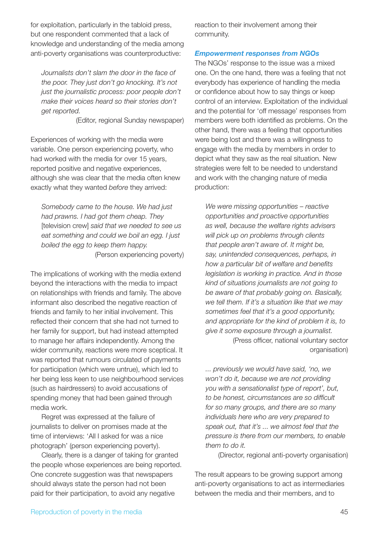for exploitation, particularly in the tabloid press, but one respondent commented that a lack of knowledge and understanding of the media among anti-poverty organisations was counterproductive:

*Journalists don't slam the door in the face of the poor. They just don't go knocking. It's not just the journalistic process: poor people don't make their voices heard so their stories don't get reported.*

(Editor, regional Sunday newspaper)

Experiences of working with the media were variable. One person experiencing poverty, who had worked with the media for over 15 years, reported positive and negative experiences, although she was clear that the media often knew exactly what they wanted *before* they arrived:

*Somebody came to the house. We had just had prawns. I had got them cheap. They*  [television crew] *said that we needed to see us eat something and could we boil an egg. I just boiled the egg to keep them happy.* (Person experiencing poverty)

The implications of working with the media extend beyond the interactions with the media to impact on relationships with friends and family. The above informant also described the negative reaction of friends and family to her initial involvement. This reflected their concern that she had not turned to her family for support, but had instead attempted to manage her affairs independently. Among the wider community, reactions were more sceptical. It was reported that rumours circulated of payments for participation (which were untrue), which led to her being less keen to use neighbourhood services (such as hairdressers) to avoid accusations of spending money that had been gained through media work.

Regret was expressed at the failure of journalists to deliver on promises made at the time of interviews: 'All I asked for was a nice photograph' (person experiencing poverty).

Clearly, there is a danger of taking for granted the people whose experiences are being reported. One concrete suggestion was that newspapers should always state the person had not been paid for their participation, to avoid any negative

reaction to their involvement among their community.

#### *Empowerment responses from NGOs*

The NGOs' response to the issue was a mixed one. On the one hand, there was a feeling that not everybody has experience of handling the media or confidence about how to say things or keep control of an interview. Exploitation of the individual and the potential for 'off message' responses from members were both identified as problems. On the other hand, there was a feeling that opportunities were being lost and there was a willingness to engage with the media by members in order to depict what they saw as the real situation. New strategies were felt to be needed to understand and work with the changing nature of media production:

*We were missing opportunities – reactive opportunities and proactive opportunities as well, because the welfare rights advisers will pick up on problems through clients that people aren't aware of. It might be, say, unintended consequences, perhaps, in*  how a particular bit of welfare and benefits *legislation is working in practice. And in those kind of situations journalists are not going to be aware of that probably going on. Basically, we tell them. If it's a situation like that we may sometimes feel that it's a good opportunity, and appropriate for the kind of problem it is, to give it some exposure through a journalist.*

(Press officer, national voluntary sector organisation)

*... previously we would have said, 'no, we won't do it, because we are not providing you with a sensationalist type of report', but,*  to be honest, circumstances are so difficult *for so many groups, and there are so many individuals here who are very prepared to speak out, that it's ... we almost feel that the pressure is there from our members, to enable them to do it.*

(Director, regional anti-poverty organisation)

The result appears to be growing support among anti-poverty organisations to act as intermediaries between the media and their members, and to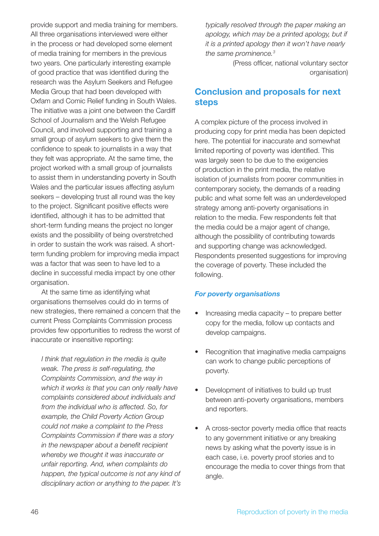provide support and media training for members. All three organisations interviewed were either in the process or had developed some element of media training for members in the previous two years. One particularly interesting example of good practice that was identified during the research was the Asylum Seekers and Refugee Media Group that had been developed with Oxfam and Comic Relief funding in South Wales. The initiative was a joint one between the Cardiff School of Journalism and the Welsh Refugee Council, and involved supporting and training a small group of asylum seekers to give them the confidence to speak to journalists in a way that they felt was appropriate. At the same time, the project worked with a small group of journalists to assist them in understanding poverty in South Wales and the particular issues affecting asylum seekers – developing trust all round was the key to the project. Significant positive effects were identified, although it has to be admitted that short-term funding means the project no longer exists and the possibility of being overstretched in order to sustain the work was raised. A shortterm funding problem for improving media impact was a factor that was seen to have led to a decline in successful media impact by one other organisation.

At the same time as identifying what organisations themselves could do in terms of new strategies, there remained a concern that the current Press Complaints Commission process provides few opportunities to redress the worst of inaccurate or insensitive reporting:

*I think that regulation in the media is quite weak. The press is self-regulating, the Complaints Commission, and the way in which it works is that you can only really have complaints considered about individuals and from the individual who is affected. So, for example, the Child Poverty Action Group could not make a complaint to the Press Complaints Commission if there was a story in the newspaper about a benefit recipient whereby we thought it was inaccurate or unfair reporting. And, when complaints do happen, the typical outcome is not any kind of disciplinary action or anything to the paper. It's* 

*typically resolved through the paper making an apology, which may be a printed apology, but if it is a printed apology then it won't have nearly the same prominence.3*

> (Press officer, national voluntary sector organisation)

## **Conclusion and proposals for next steps**

A complex picture of the process involved in producing copy for print media has been depicted here. The potential for inaccurate and somewhat limited reporting of poverty was identified. This was largely seen to be due to the exigencies of production in the print media, the relative isolation of journalists from poorer communities in contemporary society, the demands of a reading public and what some felt was an underdeveloped strategy among anti-poverty organisations in relation to the media. Few respondents felt that the media could be a major agent of change, although the possibility of contributing towards and supporting change was acknowledged. Respondents presented suggestions for improving the coverage of poverty. These included the following.

#### *For poverty organisations*

- Increasing media capacity  $-$  to prepare better copy for the media, follow up contacts and develop campaigns.
- Recognition that imaginative media campaigns can work to change public perceptions of poverty.
- Development of initiatives to build up trust between anti-poverty organisations, members and reporters.
- A cross-sector poverty media office that reacts to any government initiative or any breaking news by asking what the poverty issue is in each case, i.e. poverty proof stories and to encourage the media to cover things from that angle.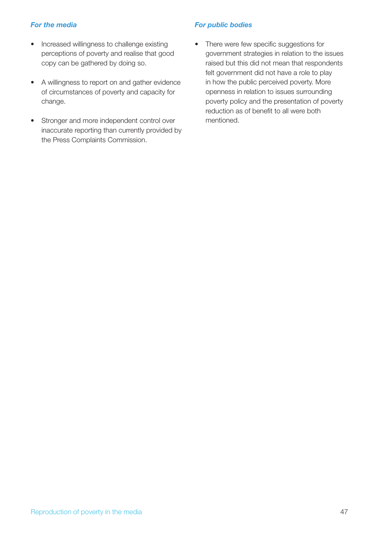#### *For the media*

- Increased willingness to challenge existing perceptions of poverty and realise that good copy can be gathered by doing so.
- A willingness to report on and gather evidence of circumstances of poverty and capacity for change.
- Stronger and more independent control over inaccurate reporting than currently provided by the Press Complaints Commission.

#### *For public bodies*

• There were few specific suggestions for government strategies in relation to the issues raised but this did not mean that respondents felt government did not have a role to play in how the public perceived poverty. More openness in relation to issues surrounding poverty policy and the presentation of poverty reduction as of benefit to all were both mentioned.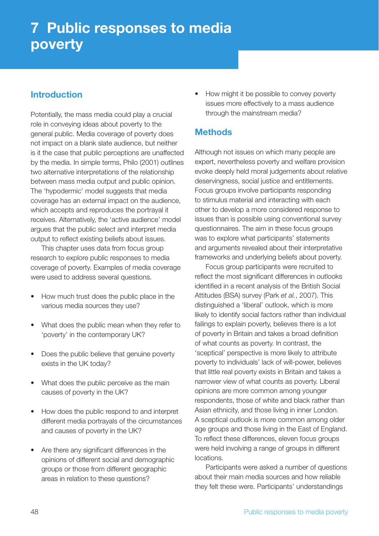# **7 Public responses to media poverty**

## **Introduction**

Potentially, the mass media could play a crucial role in conveying ideas about poverty to the general public. Media coverage of poverty does not impact on a blank slate audience, but neither is it the case that public perceptions are unaffected by the media. In simple terms, Philo (2001) outlines two alternative interpretations of the relationship between mass media output and public opinion. The 'hypodermic' model suggests that media coverage has an external impact on the audience, which accepts and reproduces the portrayal it receives. Alternatively, the 'active audience' model argues that the public select and interpret media output to reflect existing beliefs about issues.

This chapter uses data from focus group research to explore public responses to media coverage of poverty. Examples of media coverage were used to address several questions.

- How much trust does the public place in the various media sources they use?
- What does the public mean when they refer to 'poverty' in the contemporary UK?
- Does the public believe that genuine poverty exists in the UK today?
- What does the public perceive as the main causes of poverty in the UK?
- How does the public respond to and interpret different media portrayals of the circumstances and causes of poverty in the UK?
- Are there any significant differences in the opinions of different social and demographic groups or those from different geographic areas in relation to these questions?

• How might it be possible to convey poverty issues more effectively to a mass audience through the mainstream media?

## **Methods**

Although not issues on which many people are expert, nevertheless poverty and welfare provision evoke deeply held moral judgements about relative deservingness, social justice and entitlements. Focus groups involve participants responding to stimulus material and interacting with each other to develop a more considered response to issues than is possible using conventional survey questionnaires. The aim in these focus groups was to explore what participants' statements and arguments revealed about their interpretative frameworks and underlying beliefs about poverty.

Focus group participants were recruited to reflect the most significant differences in outlooks identified in a recent analysis of the British Social Attitudes (BSA) survey (Park *et al.*, 2007). This distinguished a 'liberal' outlook, which is more likely to identify social factors rather than individual failings to explain poverty, believes there is a lot of poverty in Britain and takes a broad definition of what counts as poverty. In contrast, the 'sceptical' perspective is more likely to attribute poverty to individuals' lack of will-power, believes that little real poverty exists in Britain and takes a narrower view of what counts as poverty. Liberal opinions are more common among younger respondents, those of white and black rather than Asian ethnicity, and those living in inner London. A sceptical outlook is more common among older age groups and those living in the East of England. To reflect these differences, eleven focus groups were held involving a range of groups in different locations.

Participants were asked a number of questions about their main media sources and how reliable they felt these were. Participants' understandings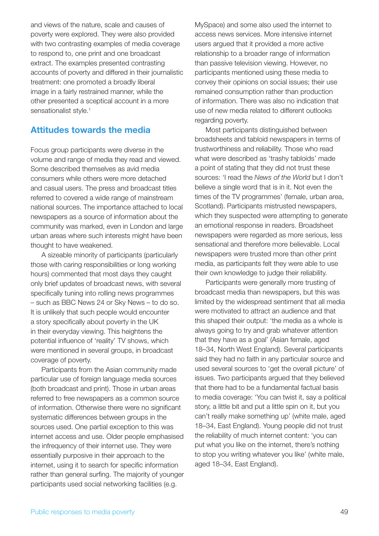and views of the nature, scale and causes of poverty were explored. They were also provided with two contrasting examples of media coverage to respond to, one print and one broadcast extract. The examples presented contrasting accounts of poverty and differed in their journalistic treatment: one promoted a broadly liberal image in a fairly restrained manner, while the other presented a sceptical account in a more sensationalist style.<sup>1</sup>

### **Attitudes towards the media**

Focus group participants were diverse in the volume and range of media they read and viewed. Some described themselves as avid media consumers while others were more detached and casual users. The press and broadcast titles referred to covered a wide range of mainstream national sources. The importance attached to local newspapers as a source of information about the community was marked, even in London and large urban areas where such interests might have been thought to have weakened.

A sizeable minority of participants (particularly those with caring responsibilities or long working hours) commented that most days they caught only brief updates of broadcast news, with several specifically tuning into rolling news programmes – such as BBC News 24 or Sky News – to do so. It is unlikely that such people would encounter a story specifically about poverty in the UK in their everyday viewing. This heightens the potential influence of 'reality' TV shows, which were mentioned in several groups, in broadcast coverage of poverty.

Participants from the Asian community made particular use of foreign language media sources (both broadcast and print). Those in urban areas referred to free newspapers as a common source of information. Otherwise there were no significant systematic differences between groups in the sources used. One partial exception to this was internet access and use. Older people emphasised the infrequency of their internet use. They were essentially purposive in their approach to the internet, using it to search for specific information rather than general surfing. The majority of younger participants used social networking facilities (e.g.

MySpace) and some also used the internet to access news services. More intensive internet users argued that it provided a more active relationship to a broader range of information than passive television viewing. However, no participants mentioned using these media to convey their opinions on social issues; their use remained consumption rather than production of information. There was also no indication that use of new media related to different outlooks regarding poverty.

Most participants distinguished between broadsheets and tabloid newspapers in terms of trustworthiness and reliability. Those who read what were described as 'trashy tabloids' made a point of stating that they did not trust these sources: 'I read the *News of the World* but I don't believe a single word that is in it. Not even the times of the TV programmes' (female, urban area, Scotland). Participants mistrusted newspapers, which they suspected were attempting to generate an emotional response in readers. Broadsheet newspapers were regarded as more serious, less sensational and therefore more believable. Local newspapers were trusted more than other print media, as participants felt they were able to use their own knowledge to judge their reliability.

Participants were generally more trusting of broadcast media than newspapers, but this was limited by the widespread sentiment that all media were motivated to attract an audience and that this shaped their output: 'the media as a whole is always going to try and grab whatever attention that they have as a goal' (Asian female, aged 18–34, North West England). Several participants said they had no faith in any particular source and used several sources to 'get the overall picture' of issues. Two participants argued that they believed that there had to be a fundamental factual basis to media coverage: 'You can twist it, say a political story, a little bit and put a little spin on it, but you can't really make something up' (white male, aged 18–34, East England). Young people did not trust the reliability of much internet content: 'you can put what you like on the internet, there's nothing to stop you writing whatever you like' (white male, aged 18–34, East England).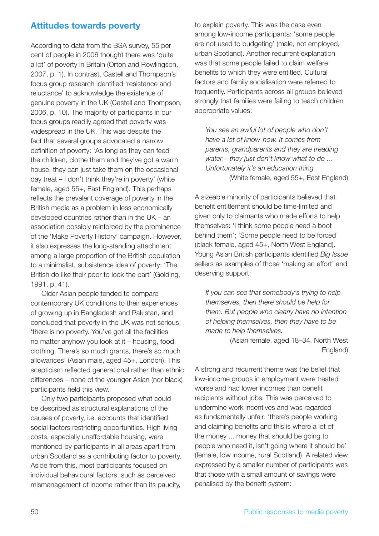## **Attitudes towards poverty**

According to data from the BSA survey, 55 per cent of people in 2006 thought there was 'quite a lot' of poverty in Britain (Orton and Rowlingson, 2007, p. 1). In contrast, Castell and Thompson's focus group research identified 'resistance and reluctance' to acknowledge the existence of genuine poverty in the UK (Castell and Thompson, 2006, p. 10). The majority of participants in our focus groups readily agreed that poverty was widespread in the UK. This was despite the fact that several groups advocated a narrow definition of poverty: 'As long as they can feed the children, clothe them and they've got a warm house, they can just take them on the occasional day treat – I don't think they're in poverty' (white female, aged 55+, East England). This perhaps reflects the prevalent coverage of poverty in the British media as a problem in less economically developed countries rather than in the UK – an association possibly reinforced by the prominence of the 'Make Poverty History' campaign. However, it also expresses the long-standing attachment among a large proportion of the British population to a minimalist, subsistence idea of poverty: 'The British do like their poor to look the part' (Golding, 1991, p. 41).

Older Asian people tended to compare contemporary UK conditions to their experiences of growing up in Bangladesh and Pakistan, and concluded that poverty in the UK was not serious: 'there is no poverty. You've got all the facilities no matter anyhow you look at it – housing, food, clothing. There's so much grants, there's so much allowances' (Asian male, aged 45+, London). This scepticism reflected generational rather than ethnic differences – none of the younger Asian (nor black) participants held this view.

Only two participants proposed what could be described as structural explanations of the causes of poverty, i.e. accounts that identified social factors restricting opportunities. High living costs, especially unaffordable housing, were mentioned by participants in all areas apart from urban Scotland as a contributing factor to poverty. Aside from this, most participants focused on individual behavioural factors, such as perceived mismanagement of income rather than its paucity,

to explain poverty. This was the case even among low-income participants: 'some people are not used to budgeting' (male, not employed, urban Scotland). Another recurrent explanation was that some people failed to claim welfare benefits to which they were entitled. Cultural factors and family socialisation were referred to frequently. Participants across all groups believed strongly that families were failing to teach children appropriate values:

*You see an awful lot of people who don't have a lot of know-how. It comes from parents, grandparents and they are treading water – they just don't know what to do ... Unfortunately it's an education thing.* (White female, aged 55+, East England)

A sizeable minority of participants believed that benefit entitlement should be time-limited and given only to claimants who made efforts to help themselves: 'I think some people need a boot behind them'; 'Some people need to be forced' (black female, aged 45+, North West England). Young Asian British participants identified *Big Issue* sellers as examples of those 'making an effort' and deserving support:

*If you can see that somebody's trying to help themselves, then there should be help for them. But people who clearly have no intention of helping themselves, then they have to be made to help themselves.*

> (Asian female, aged 18–34, North West England)

A strong and recurrent theme was the belief that low-income groups in employment were treated worse and had lower incomes than benefit recipients without jobs. This was perceived to undermine work incentives and was regarded as fundamentally unfair: 'there's people working and claiming benefits and this is where a lot of the money ... money that should be going to people who need it, isn't going where it should be' (female, low income, rural Scotland). A related view expressed by a smaller number of participants was that those with a small amount of savings were penalised by the benefit system: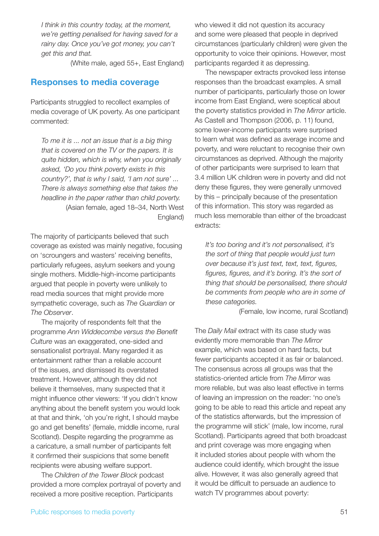*I think in this country today, at the moment, we're getting penalised for having saved for a rainy day. Once you've got money, you can't get this and that.*

(White male, aged 55+, East England)

#### **Responses to media coverage**

Participants struggled to recollect examples of media coverage of UK poverty. As one participant commented:

*To me it is ... not an issue that is a big thing that is covered on the TV or the papers. It is quite hidden, which is why, when you originally asked, 'Do you think poverty exists in this country?', that is why I said, 'I am not sure' ... There is always something else that takes the headline in the paper rather than child poverty.* (Asian female, aged 18–34, North West England)

The majority of participants believed that such coverage as existed was mainly negative, focusing on 'scroungers and wasters' receiving benefits, particularly refugees, asylum seekers and young single mothers. Middle-high-income participants argued that people in poverty were unlikely to read media sources that might provide more sympathetic coverage, such as *The Guardian* or *The Observer*.

The majority of respondents felt that the programme *Ann Widdecombe versus the Benefit Culture* was an exaggerated, one-sided and sensationalist portrayal. Many regarded it as entertainment rather than a reliable account of the issues, and dismissed its overstated treatment. However, although they did not believe it themselves, many suspected that it might influence other viewers: 'If you didn't know anything about the benefit system you would look at that and think, 'oh you're right, I should maybe go and get benefits' (female, middle income, rural Scotland). Despite regarding the programme as a caricature, a small number of participants felt it confirmed their suspicions that some benefit recipients were abusing welfare support.

The *Children of the Tower Block* podcast provided a more complex portrayal of poverty and received a more positive reception. Participants

who viewed it did not question its accuracy and some were pleased that people in deprived circumstances (particularly children) were given the opportunity to voice their opinions. However, most participants regarded it as depressing.

The newspaper extracts provoked less intense responses than the broadcast examples. A small number of participants, particularly those on lower income from East England, were sceptical about the poverty statistics provided in *The Mirror* article. As Castell and Thompson (2006, p. 11) found, some lower-income participants were surprised to learn what was defined as average income and poverty, and were reluctant to recognise their own circumstances as deprived. Although the majority of other participants were surprised to learn that 3.4 million UK children were in poverty and did not deny these figures, they were generally unmoved by this – principally because of the presentation of this information. This story was regarded as much less memorable than either of the broadcast extracts:

*It's too boring and it's not personalised, it's the sort of thing that people would just turn over because it's just text, text, text, figures,* figures, figures, and it's boring. It's the sort of *thing that should be personalised, there should be comments from people who are in some of these categories.*

(Female, low income, rural Scotland)

The *Daily Mail* extract with its case study was evidently more memorable than *The Mirror* example, which was based on hard facts, but fewer participants accepted it as fair or balanced. The consensus across all groups was that the statistics-oriented article from *The Mirror* was more reliable, but was also least effective in terms of leaving an impression on the reader: 'no one's going to be able to read this article and repeat any of the statistics afterwards, but the impression of the programme will stick' (male, low income, rural Scotland). Participants agreed that both broadcast and print coverage was more engaging when it included stories about people with whom the audience could identify, which brought the issue alive. However, it was also generally agreed that it would be difficult to persuade an audience to watch TV programmes about poverty: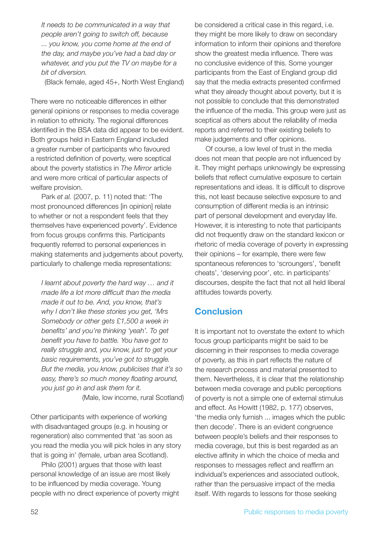*It needs to be communicated in a way that people aren't going to switch off, because ... you know, you come home at the end of the day, and maybe you've had a bad day or whatever, and you put the TV on maybe for a bit of diversion.*

(Black female, aged 45+, North West England)

There were no noticeable differences in either general opinions or responses to media coverage in relation to ethnicity. The regional differences identified in the BSA data did appear to be evident. Both groups held in Eastern England included a greater number of participants who favoured a restricted definition of poverty, were sceptical about the poverty statistics in *The Mirror* article and were more critical of particular aspects of welfare provision.

Park *et al.* (2007, p. 11) noted that: 'The most pronounced differences [in opinion] relate to whether or not a respondent feels that they themselves have experienced poverty'. Evidence from focus groups confirms this. Participants frequently referred to personal experiences in making statements and judgements about poverty, particularly to challenge media representations:

*I learnt about poverty the hard way … and it*  made life a lot more difficult than the media *made it out to be. And, you know, that's why I don't like these stories you get, 'Mrs Somebody or other gets £1,500 a week in*  benefits' and you're thinking 'yeah'. To get benefit you have to battle. You have got to *really struggle and, you know, just to get your basic requirements, you've got to struggle. But the media, you know, publicises that it's so*  easy, there's so much money floating around, *you just go in and ask them for it.*

(Male, low income, rural Scotland)

Other participants with experience of working with disadvantaged groups (e.g. in housing or regeneration) also commented that 'as soon as you read the media you will pick holes in any story that is going in' (female, urban area Scotland).

Philo (2001) argues that those with least personal knowledge of an issue are most likely to be influenced by media coverage. Young people with no direct experience of poverty might be considered a critical case in this regard, i.e. they might be more likely to draw on secondary information to inform their opinions and therefore show the greatest media influence. There was no conclusive evidence of this. Some younger participants from the East of England group did say that the media extracts presented confirmed what they already thought about poverty, but it is not possible to conclude that this demonstrated the influence of the media. This group were just as sceptical as others about the reliability of media reports and referred to their existing beliefs to make judgements and offer opinions.

Of course, a low level of trust in the media does not mean that people are not influenced by it. They might perhaps unknowingly be expressing beliefs that reflect cumulative exposure to certain representations and ideas. It is difficult to disprove this, not least because selective exposure to and consumption of different media is an intrinsic part of personal development and everyday life. However, it is interesting to note that participants did not frequently draw on the standard lexicon or rhetoric of media coverage of poverty in expressing their opinions – for example, there were few spontaneous references to 'scroungers', 'benefit cheats', 'deserving poor', etc. in participants' discourses, despite the fact that not all held liberal attitudes towards poverty.

## **Conclusion**

It is important not to overstate the extent to which focus group participants might be said to be discerning in their responses to media coverage of poverty, as this in part reflects the nature of the research process and material presented to them. Nevertheless, it is clear that the relationship between media coverage and public perceptions of poverty is not a simple one of external stimulus and effect. As Howitt (1982, p. 177) observes, 'the media only furnish ... images which the public then decode'. There is an evident congruence between people's beliefs and their responses to media coverage, but this is best regarded as an elective affinity in which the choice of media and responses to messages reflect and reaffirm an individual's experiences and associated outlook, rather than the persuasive impact of the media itself. With regards to lessons for those seeking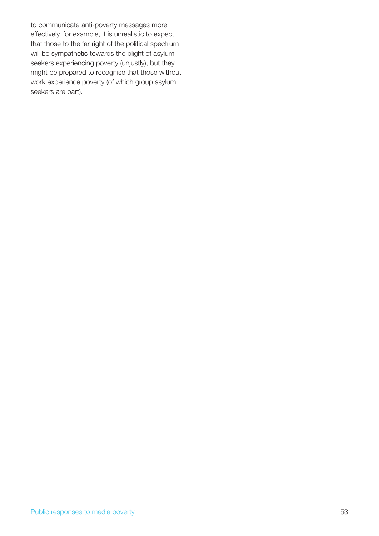to communicate anti-poverty messages more effectively, for example, it is unrealistic to expect that those to the far right of the political spectrum will be sympathetic towards the plight of asylum seekers experiencing poverty (unjustly), but they might be prepared to recognise that those without work experience poverty (of which group asylum seekers are part).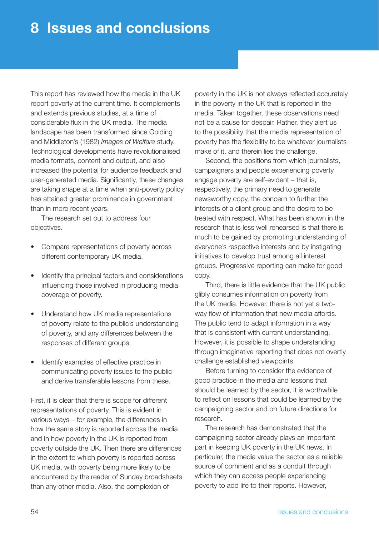This report has reviewed how the media in the UK report poverty at the current time. It complements and extends previous studies, at a time of considerable flux in the UK media. The media landscape has been transformed since Golding and Middleton's (1982) *Images of Welfare* study. Technological developments have revolutionalised media formats, content and output, and also increased the potential for audience feedback and user-generated media. Significantly, these changes are taking shape at a time when anti-poverty policy has attained greater prominence in government than in more recent years.

The research set out to address four objectives.

- Compare representations of poverty across different contemporary UK media.
- Identify the principal factors and considerations influencing those involved in producing media coverage of poverty.
- Understand how UK media representations of poverty relate to the public's understanding of poverty, and any differences between the responses of different groups.
- Identify examples of effective practice in communicating poverty issues to the public and derive transferable lessons from these.

First, it is clear that there is scope for different representations of poverty. This is evident in various ways – for example, the differences in how the same story is reported across the media and in how poverty in the UK is reported from poverty outside the UK. Then there are differences in the extent to which poverty is reported across UK media, with poverty being more likely to be encountered by the reader of Sunday broadsheets than any other media. Also, the complexion of

poverty in the UK is not always reflected accurately in the poverty in the UK that is reported in the media. Taken together, these observations need not be a cause for despair. Rather, they alert us to the possibility that the media representation of poverty has the flexibility to be whatever journalists make of it, and therein lies the challenge.

Second, the positions from which journalists, campaigners and people experiencing poverty engage poverty are self-evident – that is, respectively, the primary need to generate newsworthy copy, the concern to further the interests of a client group and the desire to be treated with respect. What has been shown in the research that is less well rehearsed is that there is much to be gained by promoting understanding of everyone's respective interests and by instigating initiatives to develop trust among all interest groups. Progressive reporting can make for good copy.

Third, there is little evidence that the UK public glibly consumes information on poverty from the UK media. However, there is not yet a twoway flow of information that new media affords. The public tend to adapt information in a way that is consistent with current understanding. However, it is possible to shape understanding through imaginative reporting that does not overtly challenge established viewpoints.

Before turning to consider the evidence of good practice in the media and lessons that should be learned by the sector, it is worthwhile to reflect on lessons that could be learned by the campaigning sector and on future directions for research.

The research has demonstrated that the campaigning sector already plays an important part in keeping UK poverty in the UK news. In particular, the media value the sector as a reliable source of comment and as a conduit through which they can access people experiencing poverty to add life to their reports. However,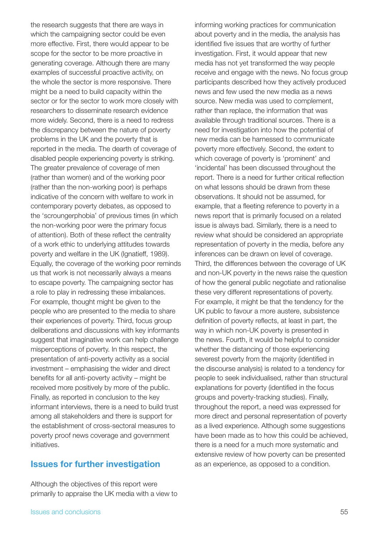the research suggests that there are ways in which the campaigning sector could be even more effective. First, there would appear to be scope for the sector to be more proactive in generating coverage. Although there are many examples of successful proactive activity, on the whole the sector is more responsive. There might be a need to build capacity within the sector or for the sector to work more closely with researchers to disseminate research evidence more widely. Second, there is a need to redress the discrepancy between the nature of poverty problems in the UK and the poverty that is reported in the media. The dearth of coverage of disabled people experiencing poverty is striking. The greater prevalence of coverage of men (rather than women) and of the working poor (rather than the non-working poor) is perhaps indicative of the concern with welfare to work in contemporary poverty debates, as opposed to the 'scroungerphobia' of previous times (in which the non-working poor were the primary focus of attention). Both of these reflect the centrality of a work ethic to underlying attitudes towards poverty and welfare in the UK (Ignatieff, 1989). Equally, the coverage of the working poor reminds us that work is not necessarily always a means to escape poverty. The campaigning sector has a role to play in redressing these imbalances. For example, thought might be given to the people who are presented to the media to share their experiences of poverty. Third, focus group deliberations and discussions with key informants suggest that imaginative work can help challenge misperceptions of poverty. In this respect, the presentation of anti-poverty activity as a social investment – emphasising the wider and direct benefits for all anti-poverty activity – might be received more positively by more of the public. Finally, as reported in conclusion to the key informant interviews, there is a need to build trust among all stakeholders and there is support for the establishment of cross-sectoral measures to poverty proof news coverage and government initiatives.

## **Issues for further investigation**

Although the objectives of this report were primarily to appraise the UK media with a view to informing working practices for communication about poverty and in the media, the analysis has identified five issues that are worthy of further investigation. First, it would appear that new media has not yet transformed the way people receive and engage with the news. No focus group participants described how they actively produced news and few used the new media as a news source. New media was used to complement, rather than replace, the information that was available through traditional sources. There is a need for investigation into how the potential of new media can be harnessed to communicate poverty more effectively. Second, the extent to which coverage of poverty is 'prominent' and 'incidental' has been discussed throughout the report. There is a need for further critical reflection on what lessons should be drawn from these observations. It should not be assumed, for example, that a fleeting reference to poverty in a news report that is primarily focused on a related issue is always bad. Similarly, there is a need to review what should be considered an appropriate representation of poverty in the media, before any inferences can be drawn on level of coverage. Third, the differences between the coverage of UK and non-UK poverty in the news raise the question of how the general public negotiate and rationalise these very different representations of poverty. For example, it might be that the tendency for the UK public to favour a more austere, subsistence definition of poverty reflects, at least in part, the way in which non-UK poverty is presented in the news. Fourth, it would be helpful to consider whether the distancing of those experiencing severest poverty from the majority (identified in the discourse analysis) is related to a tendency for people to seek individualised, rather than structural explanations for poverty (identified in the focus groups and poverty-tracking studies). Finally, throughout the report, a need was expressed for more direct and personal representation of poverty as a lived experience. Although some suggestions have been made as to how this could be achieved, there is a need for a much more systematic and extensive review of how poverty can be presented as an experience, as opposed to a condition.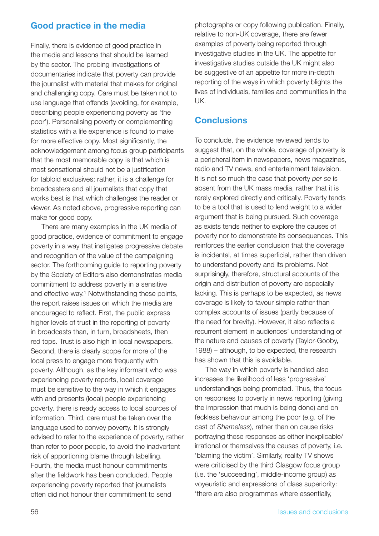## **Good practice in the media**

Finally, there is evidence of good practice in the media and lessons that should be learned by the sector. The probing investigations of documentaries indicate that poverty can provide the journalist with material that makes for original and challenging copy. Care must be taken not to use language that offends (avoiding, for example, describing people experiencing poverty as 'the poor'). Personalising poverty or complementing statistics with a life experience is found to make for more effective copy. Most significantly, the acknowledgement among focus group participants that the most memorable copy is that which is most sensational should not be a justification for tabloid exclusives; rather, it is a challenge for broadcasters and all journalists that copy that works best is that which challenges the reader or viewer. As noted above, progressive reporting can make for good copy.

There are many examples in the UK media of good practice, evidence of commitment to engage poverty in a way that instigates progressive debate and recognition of the value of the campaigning sector. The forthcoming guide to reporting poverty by the Society of Editors also demonstrates media commitment to address poverty in a sensitive and effective way.<sup>1</sup> Notwithstanding these points, the report raises issues on which the media are encouraged to reflect. First, the public express higher levels of trust in the reporting of poverty in broadcasts than, in turn, broadsheets, then red tops. Trust is also high in local newspapers. Second, there is clearly scope for more of the local press to engage more frequently with poverty. Although, as the key informant who was experiencing poverty reports, local coverage must be sensitive to the way in which it engages with and presents (local) people experiencing poverty, there is ready access to local sources of information. Third, care must be taken over the language used to convey poverty. It is strongly advised to refer to the experience of poverty, rather than refer to poor people, to avoid the inadvertent risk of apportioning blame through labelling. Fourth, the media must honour commitments after the fieldwork has been concluded. People experiencing poverty reported that journalists often did not honour their commitment to send

photographs or copy following publication. Finally, relative to non-UK coverage, there are fewer examples of poverty being reported through investigative studies in the UK. The appetite for investigative studies outside the UK might also be suggestive of an appetite for more in-depth reporting of the ways in which poverty blights the lives of individuals, families and communities in the UK.

### **Conclusions**

To conclude, the evidence reviewed tends to suggest that, on the whole, coverage of poverty is a peripheral item in newspapers, news magazines, radio and TV news, and entertainment television. It is not so much the case that poverty *per se* is absent from the UK mass media, rather that it is rarely explored directly and critically. Poverty tends to be a tool that is used to lend weight to a wider argument that is being pursued. Such coverage as exists tends neither to explore the causes of poverty nor to demonstrate its consequences. This reinforces the earlier conclusion that the coverage is incidental, at times superficial, rather than driven to understand poverty and its problems. Not surprisingly, therefore, structural accounts of the origin and distribution of poverty are especially lacking. This is perhaps to be expected, as news coverage is likely to favour simple rather than complex accounts of issues (partly because of the need for brevity). However, it also reflects a recurrent element in audiences' understanding of the nature and causes of poverty (Taylor-Gooby, 1988) – although, to be expected, the research has shown that this is avoidable.

The way in which poverty is handled also increases the likelihood of less 'progressive' understandings being promoted. Thus, the focus on responses to poverty in news reporting (giving the impression that much is being done) and on feckless behaviour among the poor (e.g. of the cast of *Shameless*), rather than on cause risks portraying these responses as either inexplicable/ irrational or themselves the causes of poverty, i.e. 'blaming the victim'. Similarly, reality TV shows were criticised by the third Glasgow focus group (i.e. the 'succeeding', middle-income group) as voyeuristic and expressions of class superiority: 'there are also programmes where essentially,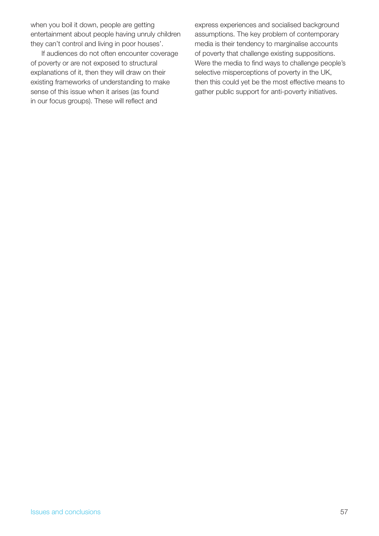when you boil it down, people are getting entertainment about people having unruly children they can't control and living in poor houses'.

If audiences do not often encounter coverage of poverty or are not exposed to structural explanations of it, then they will draw on their existing frameworks of understanding to make sense of this issue when it arises (as found in our focus groups). These will reflect and

express experiences and socialised background assumptions. The key problem of contemporary media is their tendency to marginalise accounts of poverty that challenge existing suppositions. Were the media to find ways to challenge people's selective misperceptions of poverty in the UK, then this could yet be the most effective means to gather public support for anti-poverty initiatives.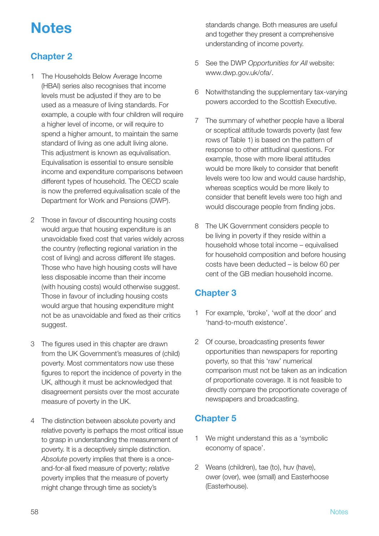# **Notes**

# **Chapter 2**

- 1 The Households Below Average Income (HBAI) series also recognises that income levels must be adjusted if they are to be used as a measure of living standards. For example, a couple with four children will require a higher level of income, or will require to spend a higher amount, to maintain the same standard of living as one adult living alone. This adjustment is known as equivalisation. Equivalisation is essential to ensure sensible income and expenditure comparisons between different types of household. The OECD scale is now the preferred equivalisation scale of the Department for Work and Pensions (DWP).
- 2 Those in favour of discounting housing costs would argue that housing expenditure is an unavoidable fixed cost that varies widely across the country (reflecting regional variation in the cost of living) and across different life stages. Those who have high housing costs will have less disposable income than their income (with housing costs) would otherwise suggest. Those in favour of including housing costs would argue that housing expenditure might not be as unavoidable and fixed as their critics suggest.
- 3 The figures used in this chapter are drawn from the UK Government's measures of (child) poverty. Most commentators now use these figures to report the incidence of poverty in the UK, although it must be acknowledged that disagreement persists over the most accurate measure of poverty in the UK.
- 4 The distinction between absolute poverty and relative poverty is perhaps the most critical issue to grasp in understanding the measurement of poverty. It is a deceptively simple distinction. *Absolute* poverty implies that there is a onceand-for-all fixed measure of poverty; *relative* poverty implies that the measure of poverty might change through time as society's

standards change. Both measures are useful and together they present a comprehensive understanding of income poverty.

- 5 See the DWP *Opportunities for All* website: www.dwp.gov.uk/ofa/.
- 6 Notwithstanding the supplementary tax-varying powers accorded to the Scottish Executive.
- 7 The summary of whether people have a liberal or sceptical attitude towards poverty (last few rows of Table 1) is based on the pattern of response to other attitudinal questions. For example, those with more liberal attitudes would be more likely to consider that benefit levels were too low and would cause hardship, whereas sceptics would be more likely to consider that benefit levels were too high and would discourage people from finding jobs.
- 8 The UK Government considers people to be living in poverty if they reside within a household whose total income – equivalised for household composition and before housing costs have been deducted – is below 60 per cent of the GB median household income.

## **Chapter 3**

- 1 For example, 'broke', 'wolf at the door' and 'hand-to-mouth existence'.
- 2 Of course, broadcasting presents fewer opportunities than newspapers for reporting poverty, so that this 'raw' numerical comparison must not be taken as an indication of proportionate coverage. It is not feasible to directly compare the proportionate coverage of newspapers and broadcasting.

## **Chapter 5**

- 1 We might understand this as a 'symbolic economy of space'.
- 2 Weans (children), tae (to), huv (have), ower (over), wee (small) and Easterhoose (Easterhouse).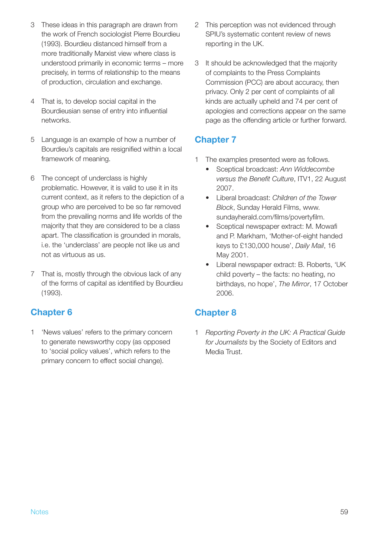- 3 These ideas in this paragraph are drawn from the work of French sociologist Pierre Bourdieu (1993). Bourdieu distanced himself from a more traditionally Marxist view where class is understood primarily in economic terms – more precisely, in terms of relationship to the means of production, circulation and exchange.
- 4 That is, to develop social capital in the Bourdieusian sense of entry into influential networks.
- 5 Language is an example of how a number of Bourdieu's capitals are resignified within a local framework of meaning.
- 6 The concept of underclass is highly problematic. However, it is valid to use it in its current context, as it refers to the depiction of a group who are perceived to be so far removed from the prevailing norms and life worlds of the majority that they are considered to be a class apart. The classification is grounded in morals, i.e. the 'underclass' are people not like us and not as virtuous as us.
- 7 That is, mostly through the obvious lack of any of the forms of capital as identified by Bourdieu (1993).

## **Chapter 6**

1 'News values' refers to the primary concern to generate newsworthy copy (as opposed to 'social policy values', which refers to the primary concern to effect social change).

- 2 This perception was not evidenced through SPIU's systematic content review of news reporting in the UK.
- 3 It should be acknowledged that the majority of complaints to the Press Complaints Commission (PCC) are about accuracy, then privacy. Only 2 per cent of complaints of all kinds are actually upheld and 74 per cent of apologies and corrections appear on the same page as the offending article or further forward.

# **Chapter 7**

- 1 The examples presented were as follows.
	- Sceptical broadcast: *Ann Widdecombe versus the Benefit Culture*, ITV1, 22 August 2007.
	- Liberal broadcast: *Children of the Tower Block*, Sunday Herald Films, www. sundayherald.com/films/povertyfilm.
	- Sceptical newspaper extract: M. Mowafi and P. Markham, 'Mother-of-eight handed keys to £130,000 house', *Daily Mail*, 16 May 2001.
	- Liberal newspaper extract: B. Roberts, 'UK child poverty – the facts: no heating, no birthdays, no hope', *The Mirror*, 17 October 2006.

# **Chapter 8**

1 *Reporting Poverty in the UK: A Practical Guide for Journalists* by the Society of Editors and Media Trust.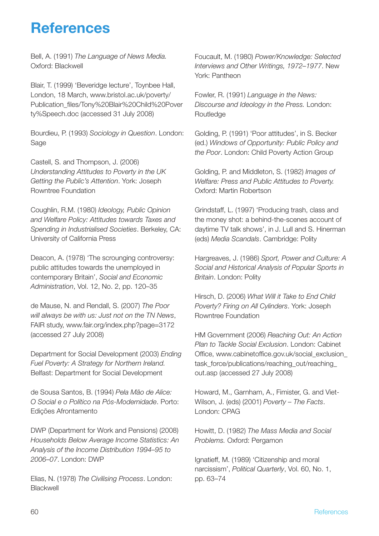# **References**

Bell, A. (1991) *The Language of News Media.* Oxford: Blackwell

Blair, T. (1999) 'Beveridge lecture', Toynbee Hall, London, 18 March, www.bristol.ac.uk/poverty/ Publication\_files/Tony%20Blair%20Child%20Pover ty%Speech.doc (accessed 31 July 2008)

Bourdieu, P. (1993) *Sociology in Question*. London: Sage

Castell, S. and Thompson, J. (2006) *Understanding Attitudes to Poverty in the UK Getting the Public's Attention*. York: Joseph Rowntree Foundation

Coughlin, R.M. (1980) *Ideology, Public Opinion and Welfare Policy: Attitudes towards Taxes and Spending in Industrialised Societies*. Berkeley, CA: University of California Press

Deacon, A. (1978) 'The scrounging controversy: public attitudes towards the unemployed in contemporary Britain', *Social and Economic Administration*, Vol. 12, No. 2, pp. 120–35

de Mause, N. and Rendall, S. (2007) *The Poor will always be with us: Just not on the TN News*, FAIR study, www.fair.org/index.php?page=3172 (accessed 27 July 2008)

Department for Social Development (2003) *Ending Fuel Poverty: A Strategy for Northern Ireland.*  Belfast: Department for Social Development

de Sousa Santos, B. (1994) *Pela Mão de Alice: O Social e o Político na Pós-Modernidade*. Porto: Edições Afrontamento

DWP (Department for Work and Pensions) (2008) *Households Below Average Income Statistics: An Analysis of the Income Distribution 1994–95 to 2006–07*. London: DWP

Elias, N. (1978) *The Civilising Process*. London: Blackwell

Foucault, M. (1980) *Power/Knowledge: Selected Interviews and Other Writings, 1972–1977*. New York: Pantheon

Fowler, R. (1991) *Language in the News: Discourse and Ideology in the Press.* London: **Routledge** 

Golding, P. (1991) 'Poor attitudes', in S. Becker (ed.) *Windows of Opportunity: Public Policy and the Poor*. London: Child Poverty Action Group

Golding, P. and Middleton, S. (1982) *Images of Welfare: Press and Public Attitudes to Poverty.*  Oxford: Martin Robertson

Grindstaff, L. (1997) 'Producing trash, class and the money shot: a behind-the-scenes account of daytime TV talk shows', in J. Lull and S. Hinerman (eds) *Media Scandals*. Cambridge: Polity

Hargreaves, J. (1986) *Sport, Power and Culture: A Social and Historical Analysis of Popular Sports in Britain*. London: Polity

Hirsch, D. (2006) *What Will it Take to End Child Poverty? Firing on All Cylinders*. York: Joseph Rowntree Foundation

HM Government (2006) *Reaching Out: An Action Plan to Tackle Social Exclusion*. London: Cabinet Office, www.cabinetoffice.gov.uk/social\_exclusion task\_force/publications/reaching\_out/reaching\_ out.asp (accessed 27 July 2008)

Howard, M., Garnham, A., Fimister, G. and Viet-Wilson, J. (eds) (2001) *Poverty – The Facts*. London: CPAG

Howitt, D. (1982) *The Mass Media and Social Problems.* Oxford: Pergamon

Ignatieff, M. (1989) 'Citizenship and moral narcissism', *Political Quarterly*, Vol. 60, No. 1, pp. 63–74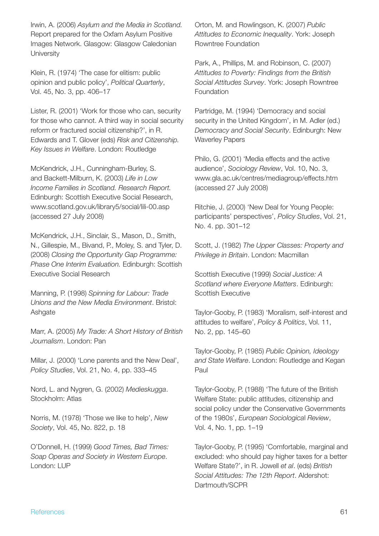Irwin, A. (2006) *Asylum and the Media in Scotland.*  Report prepared for the Oxfam Asylum Positive Images Network. Glasgow: Glasgow Caledonian **University** 

Klein, R. (1974) 'The case for elitism: public opinion and public policy', *Political Quarterly*, Vol. 45, No. 3, pp. 406–17

Lister, R. (2001) 'Work for those who can, security for those who cannot. A third way in social security reform or fractured social citizenship?', in R. Edwards and T. Glover (eds) *Risk and Citizenship. Key Issues in Welfare*. London: Routledge

McKendrick, J.H., Cunningham-Burley, S. and Backett-Milburn, K. (2003) *Life in Low Income Families in Scotland. Research Report.*  Edinburgh: Scottish Executive Social Research, www.scotland.gov.uk/library5/social/lili-00.asp (accessed 27 July 2008)

McKendrick, J.H., Sinclair, S., Mason, D., Smith, N., Gillespie, M., Bivand, P., Moley, S. and Tyler, D. (2008) *Closing the Opportunity Gap Programme: Phase One Interim Evaluation.* Edinburgh: Scottish Executive Social Research

Manning, P. (1998) *Spinning for Labour: Trade Unions and the New Media Environment*. Bristol: Ashgate

Marr, A. (2005) *My Trade: A Short History of British Journalism*. London: Pan

Millar, J. (2000) 'Lone parents and the New Deal', *Policy Studies*, Vol. 21, No. 4, pp. 333–45

Nord, L. and Nygren, G. (2002) *Medieskugga*. Stockholm: Atlas

Norris, M. (1978) 'Those we like to help', *New Society*, Vol. 45, No. 822, p. 18

O'Donnell, H. (1999) *Good Times, Bad Times: Soap Operas and Society in Western Europe*. London: LUP

Orton, M. and Rowlingson, K. (2007) *Public Attitudes to Economic Inequality*. York: Joseph Rowntree Foundation

Park, A., Phillips, M. and Robinson, C. (2007) *Attitudes to Poverty: Findings from the British Social Attitudes Survey*. York: Joseph Rowntree **Foundation** 

Partridge, M. (1994) 'Democracy and social security in the United Kingdom', in M. Adler (ed.) *Democracy and Social Security*. Edinburgh: New Waverley Papers

Philo, G. (2001) 'Media effects and the active audience', *Sociology Review*, Vol. 10, No. 3, www.gla.ac.uk/centres/mediagroup/effects.htm (accessed 27 July 2008)

Ritchie, J. (2000) 'New Deal for Young People: participants' perspectives', *Policy Studies*, Vol. 21, No. 4. pp. 301–12

Scott, J. (1982) *The Upper Classes: Property and Privilege in Britain*. London: Macmillan

Scottish Executive (1999) *Social Justice: A Scotland where Everyone Matters*. Edinburgh: Scottish Executive

Taylor-Gooby, P. (1983) 'Moralism, self-interest and attitudes to welfare', *Policy & Politics*, Vol. 11, No. 2, pp. 145–60

Taylor-Gooby, P. (1985) *Public Opinion, Ideology and State Welfare*. London: Routledge and Kegan Paul

Taylor-Gooby, P. (1988) 'The future of the British Welfare State: public attitudes, citizenship and social policy under the Conservative Governments of the 1980s', *European Sociologica*l *Review*, Vol. 4, No. 1, pp. 1–19

Taylor-Gooby, P. (1995) 'Comfortable, marginal and excluded: who should pay higher taxes for a better Welfare State?', in R. Jowell *et al*. (eds) *British Social Attitudes: The 12th Report*. Aldershot: Dartmouth/SCPR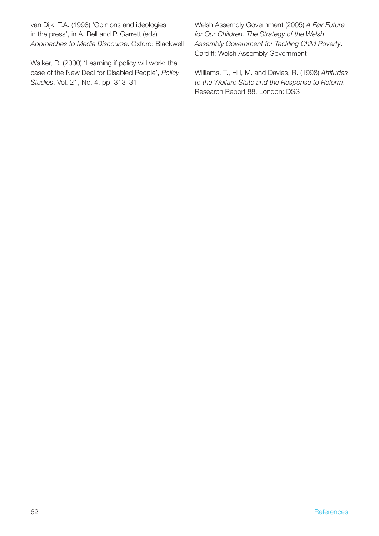van Dijk, T.A. (1998) 'Opinions and ideologies in the press', in A. Bell and P. Garrett (eds) *Approaches to Media Discourse*. Oxford: Blackwell

Walker, R. (2000) 'Learning if policy will work: the case of the New Deal for Disabled People', *Policy Studies*, Vol. 21, No. 4, pp. 313–31

Welsh Assembly Government (2005) *A Fair Future for Our Children. The Strategy of the Welsh Assembly Government for Tackling Child Poverty*. Cardiff: Welsh Assembly Government

Williams, T., Hill, M. and Davies, R. (1998) *Attitudes to the Welfare State and the Response to Reform*. Research Report 88. London: DSS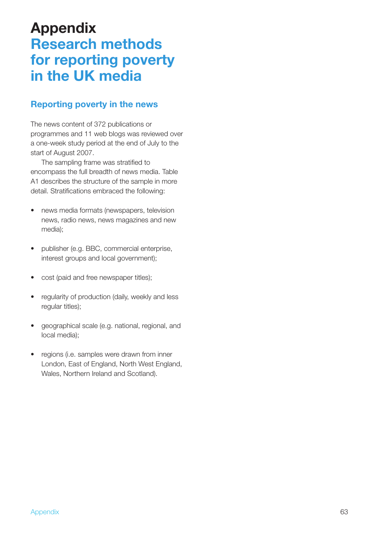# **Appendix Research methods for reporting poverty in the UK media**

## **Reporting poverty in the news**

The news content of 372 publications or programmes and 11 web blogs was reviewed over a one-week study period at the end of July to the start of August 2007.

The sampling frame was stratified to encompass the full breadth of news media. Table A1 describes the structure of the sample in more detail. Stratifications embraced the following:

- news media formats (newspapers, television news, radio news, news magazines and new media);
- publisher (e.g. BBC, commercial enterprise, interest groups and local government);
- cost (paid and free newspaper titles);
- regularity of production (daily, weekly and less regular titles);
- geographical scale (e.g. national, regional, and local media);
- regions (i.e. samples were drawn from inner London, East of England, North West England, Wales, Northern Ireland and Scotland).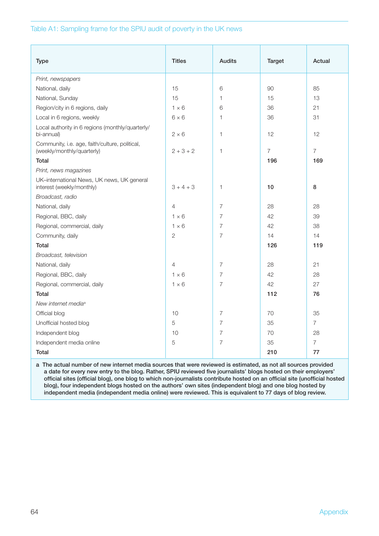#### Table A1: Sampling frame for the SPIU audit of poverty in the UK news

| <b>Type</b>                                                                  | <b>Titles</b>  | <b>Audits</b>  | <b>Target</b>  | Actual         |
|------------------------------------------------------------------------------|----------------|----------------|----------------|----------------|
| Print, newspapers                                                            |                |                |                |                |
| National, daily                                                              | 15             | 6              | 90             | 85             |
| National, Sunday                                                             | 15             | $\mathbf{1}$   | 15             | 13             |
| Region/city in 6 regions, daily                                              | $1 \times 6$   | 6              | 36             | 21             |
| Local in 6 regions, weekly                                                   | $6 \times 6$   | 1              | 36             | 31             |
| Local authority in 6 regions (monthly/quarterly/<br>bi-annual)               | $2 \times 6$   | 1              | 12             | 12             |
| Community, i.e. age, faith/culture, political,<br>(weekly/monthly/quarterly) | $2 + 3 + 2$    | $\mathbf{1}$   | $\overline{7}$ | $\overline{7}$ |
| Total                                                                        |                |                | 196            | 169            |
| Print, news magazines                                                        |                |                |                |                |
| UK-international News, UK news, UK general<br>interest (weekly/monthly)      | $3 + 4 + 3$    | $\mathbf{1}$   | 10             | 8              |
| Broadcast, radio                                                             |                |                |                |                |
| National, daily                                                              | $\overline{4}$ | $\overline{7}$ | 28             | 28             |
| Regional, BBC, daily                                                         | $1 \times 6$   | 7              | 42             | 39             |
| Regional, commercial, daily                                                  | $1 \times 6$   | 7              | 42             | 38             |
| Community, daily                                                             | $\overline{c}$ | $\overline{7}$ | 14             | 14             |
| Total                                                                        |                |                | 126            | 119            |
| Broadcast, television                                                        |                |                |                |                |
| National, daily                                                              | $\overline{4}$ | 7              | 28             | 21             |
| Regional, BBC, daily                                                         | $1 \times 6$   | $\overline{7}$ | 42             | 28             |
| Regional, commercial, daily                                                  | $1 \times 6$   | $\overline{7}$ | 42             | 27             |
| Total                                                                        |                |                | 112            | 76             |
| New internet media <sup>a</sup>                                              |                |                |                |                |
| Official blog                                                                | 10             | 7              | 70             | 35             |
| Unofficial hosted blog                                                       | 5              | $\overline{7}$ | 35             | $\overline{7}$ |
| Independent blog                                                             | 10             | $\overline{7}$ | 70             | 28             |
| Independent media online                                                     | 5              | $\overline{7}$ | 35             | $\overline{7}$ |
| Total                                                                        |                |                | 210            | 77             |

**a The actual number of new internet media sources that were reviewed is estimated, as not all sources provided**  a date for every new entry to the blog. Rather, SPIU reviewed five journalists' blogs hosted on their employers' official sites (official blog), one blog to which non-journalists contribute hosted on an official site (unofficial hosted **blog), four independent blogs hosted on the authors' own sites (independent blog) and one blog hosted by independent media (independent media online) were reviewed. This is equivalent to 77 days of blog review.**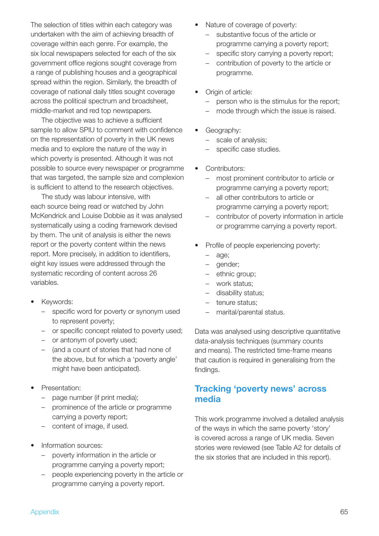The selection of titles within each category was undertaken with the aim of achieving breadth of coverage within each genre. For example, the six local newspapers selected for each of the six government office regions sought coverage from a range of publishing houses and a geographical spread within the region. Similarly, the breadth of coverage of national daily titles sought coverage across the political spectrum and broadsheet, middle-market and red top newspapers.

The objective was to achieve a sufficient sample to allow SPIU to comment with confidence on the representation of poverty in the UK news media and to explore the nature of the way in which poverty is presented. Although it was not possible to source every newspaper or programme that was targeted, the sample size and complexion is sufficient to attend to the research objectives.

The study was labour intensive, with each source being read or watched by John McKendrick and Louise Dobbie as it was analysed systematically using a coding framework devised by them. The unit of analysis is either the news report or the poverty content within the news report. More precisely, in addition to identifiers, eight key issues were addressed through the systematic recording of content across 26 variables.

- Keywords:
	- specific word for poverty or synonym used to represent poverty;
	- or specific concept related to poverty used;
	- or antonym of poverty used;
	- (and a count of stories that had none of the above, but for which a 'poverty angle' might have been anticipated).
- Presentation:
	- page number (if print media);
	- prominence of the article or programme carrying a poverty report;
	- content of image, if used.
- Information sources:
	- poverty information in the article or programme carrying a poverty report;
	- people experiencing poverty in the article or programme carrying a poverty report.
- Nature of coverage of poverty:
	- substantive focus of the article or programme carrying a poverty report;
	- specific story carrying a poverty report:
	- contribution of poverty to the article or programme.
- Origin of article:
	- person who is the stimulus for the report;
	- mode through which the issue is raised.
- Geography:
	- scale of analysis;
	- specific case studies.
- Contributors:
	- most prominent contributor to article or programme carrying a poverty report;
	- all other contributors to article or programme carrying a poverty report;
	- contributor of poverty information in article or programme carrying a poverty report.
- Profile of people experiencing poverty:
	- age;
	- gender;
	- ethnic group;
	- work status;
	- disability status;
	- tenure status;
	- marital/parental status.

Data was analysed using descriptive quantitative data-analysis techniques (summary counts and means). The restricted time-frame means that caution is required in generalising from the findings.

## **Tracking 'poverty news' across media**

This work programme involved a detailed analysis of the ways in which the same poverty 'story' is covered across a range of UK media. Seven stories were reviewed (see Table A2 for details of the six stories that are included in this report).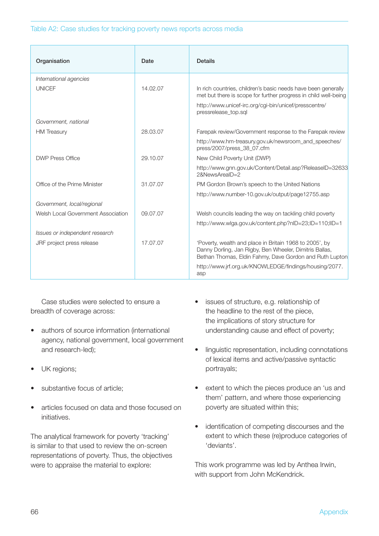#### Table A2: Case studies for tracking poverty news reports across media

| Organisation                       | Date     | <b>Details</b>                                                                                                                                                                |
|------------------------------------|----------|-------------------------------------------------------------------------------------------------------------------------------------------------------------------------------|
| International agencies             |          |                                                                                                                                                                               |
| <b>UNICEF</b>                      | 14.02.07 | In rich countries, children's basic needs have been generally<br>met but there is scope for further progress in child well-being                                              |
|                                    |          | http://www.unicef-irc.org/cgi-bin/unicef/presscentre/<br>pressrelease_top.sql                                                                                                 |
| Government, national               |          |                                                                                                                                                                               |
| <b>HM</b> Treasury                 | 28.03.07 | Farepak review/Government response to the Farepak review                                                                                                                      |
|                                    |          | http://www.hm-treasury.gov.uk/newsroom_and_speeches/<br>press/2007/press_38_07.cfm                                                                                            |
| <b>DWP Press Office</b>            | 29.10.07 | New Child Poverty Unit (DWP)                                                                                                                                                  |
|                                    |          | http://www.gnn.gov.uk/Content/Detail.asp?ReleaseID=32633<br>2&NewsArealD=2                                                                                                    |
| Office of the Prime Minister       | 31.07.07 | PM Gordon Brown's speech to the United Nations                                                                                                                                |
|                                    |          | http://www.number-10.gov.uk/output/page12755.asp                                                                                                                              |
| Government, local/regional         |          |                                                                                                                                                                               |
| Welsh Local Government Association | 09.07.07 | Welsh councils leading the way on tackling child poverty                                                                                                                      |
|                                    |          | http://www.wlga.gov.uk/content.php?nID=23;ID=110;IID=1                                                                                                                        |
| Issues or independent research     |          |                                                                                                                                                                               |
| JRF project press release          | 17.07.07 | 'Poverty, wealth and place in Britain 1968 to 2005', by<br>Danny Dorling, Jan Rigby, Ben Wheeler, Dimitris Ballas,<br>Bethan Thomas, Eldin Fahmy, Dave Gordon and Ruth Lupton |
|                                    |          | http://www.jrf.org.uk/KNOWLEDGE/findings/housing/2077.<br>asp                                                                                                                 |

Case studies were selected to ensure a breadth of coverage across:

- authors of source information (international agency, national government, local government and research-led);
- UK regions;
- substantive focus of article;
- articles focused on data and those focused on initiatives.

The analytical framework for poverty 'tracking' is similar to that used to review the on-screen representations of poverty. Thus, the objectives were to appraise the material to explore:

- issues of structure, e.g. relationship of the headline to the rest of the piece, the implications of story structure for understanding cause and effect of poverty;
- linguistic representation, including connotations of lexical items and active/passive syntactic portrayals;
- extent to which the pieces produce an 'us and them' pattern, and where those experiencing poverty are situated within this;
- identification of competing discourses and the extent to which these (re)produce categories of 'deviants'.

This work programme was led by Anthea Irwin, with support from John McKendrick.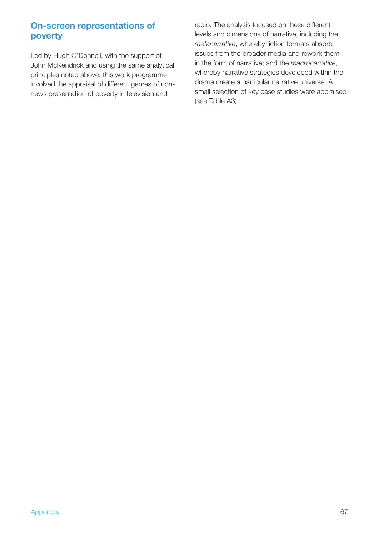## **On-screen representations of poverty**

Led by Hugh O'Donnell, with the support of John McKendrick and using the same analytical principles noted above, this work programme involved the appraisal of different genres of nonnews presentation of poverty in television and

radio. The analysis focused on these different levels and dimensions of narrative, including the *metanarrative*, whereby fiction formats absorb issues from the broader media and rework them in the form of narrative; and the *macronarrative*, whereby narrative strategies developed within the drama create a particular narrative universe. A small selection of key case studies were appraised (see Table A3).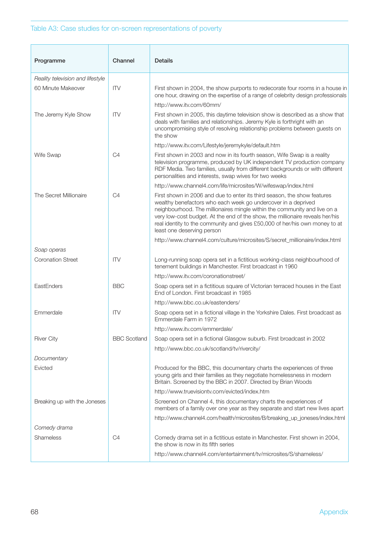### Table A3: Case studies for on-screen representations of poverty

| Programme                        | Channel             | <b>Details</b>                                                                                                                                                                                                                                                                                                                                                                                                       |
|----------------------------------|---------------------|----------------------------------------------------------------------------------------------------------------------------------------------------------------------------------------------------------------------------------------------------------------------------------------------------------------------------------------------------------------------------------------------------------------------|
| Reality television and lifestyle |                     |                                                                                                                                                                                                                                                                                                                                                                                                                      |
| 60 Minute Makeover               | <b>ITV</b>          | First shown in 2004, the show purports to redecorate four rooms in a house in<br>one hour, drawing on the expertise of a range of celebrity design professionals                                                                                                                                                                                                                                                     |
|                                  |                     | http://www.itv.com/60mm/                                                                                                                                                                                                                                                                                                                                                                                             |
| The Jeremy Kyle Show             | <b>ITV</b>          | First shown in 2005, this daytime television show is described as a show that<br>deals with families and relationships. Jeremy Kyle is forthright with an<br>uncompromising style of resolving relationship problems between guests on<br>the show                                                                                                                                                                   |
|                                  |                     | http://www.itv.com/Lifestyle/jeremykyle/default.htm                                                                                                                                                                                                                                                                                                                                                                  |
| Wife Swap                        | C <sub>4</sub>      | First shown in 2003 and now in its fourth season, Wife Swap is a reality<br>television programme, produced by UK independent TV production company<br>RDF Media. Two families, usually from different backgrounds or with different<br>personalities and interests, swap wives for two weeks                                                                                                                         |
|                                  |                     | http://www.channel4.com/life/microsites/W/wifeswap/index.html                                                                                                                                                                                                                                                                                                                                                        |
| The Secret Millionaire           | C4                  | First shown in 2006 and due to enter its third season, the show features<br>wealthy benefactors who each week go undercover in a deprived<br>neighbourhood. The millionaires mingle within the community and live on a<br>very low-cost budget. At the end of the show, the millionaire reveals her/his<br>real identity to the community and gives £50,000 of her/his own money to at<br>least one deserving person |
|                                  |                     | http://www.channel4.com/culture/microsites/S/secret_millionaire/index.html                                                                                                                                                                                                                                                                                                                                           |
| Soap operas                      |                     |                                                                                                                                                                                                                                                                                                                                                                                                                      |
| <b>Coronation Street</b>         | <b>ITV</b>          | Long-running soap opera set in a fictitious working-class neighbourhood of<br>tenement buildings in Manchester. First broadcast in 1960                                                                                                                                                                                                                                                                              |
|                                  |                     | http://www.itv.com/coronationstreet/                                                                                                                                                                                                                                                                                                                                                                                 |
| EastEnders                       | <b>BBC</b>          | Soap opera set in a fictitious square of Victorian terraced houses in the East<br>End of London. First broadcast in 1985                                                                                                                                                                                                                                                                                             |
|                                  |                     | http://www.bbc.co.uk/eastenders/                                                                                                                                                                                                                                                                                                                                                                                     |
| Emmerdale                        | <b>ITV</b>          | Soap opera set in a fictional village in the Yorkshire Dales. First broadcast as<br>Emmerdale Farm in 1972                                                                                                                                                                                                                                                                                                           |
|                                  |                     | http://www.itv.com/emmerdale/                                                                                                                                                                                                                                                                                                                                                                                        |
| <b>River City</b>                | <b>BBC Scotland</b> | Soap opera set in a fictional Glasgow suburb. First broadcast in 2002                                                                                                                                                                                                                                                                                                                                                |
|                                  |                     | http://www.bbc.co.uk/scotland/tv/rivercity/                                                                                                                                                                                                                                                                                                                                                                          |
| Documentary                      |                     |                                                                                                                                                                                                                                                                                                                                                                                                                      |
| Evicted                          |                     | Produced for the BBC, this documentary charts the experiences of three<br>young girls and their families as they negotiate homelessness in modern<br>Britain. Screened by the BBC in 2007. Directed by Brian Woods                                                                                                                                                                                                   |
|                                  |                     | http://www.truevisiontv.com/evicted/index.htm                                                                                                                                                                                                                                                                                                                                                                        |
| Breaking up with the Joneses     |                     | Screened on Channel 4, this documentary charts the experiences of<br>members of a family over one year as they separate and start new lives apart                                                                                                                                                                                                                                                                    |
|                                  |                     | http://www.channel4.com/health/microsites/B/breaking_up_joneses/index.html                                                                                                                                                                                                                                                                                                                                           |
| Comedy drama                     |                     |                                                                                                                                                                                                                                                                                                                                                                                                                      |
| Shameless                        | C <sub>4</sub>      | Comedy drama set in a fictitious estate in Manchester. First shown in 2004,<br>the show is now in its fifth series                                                                                                                                                                                                                                                                                                   |
|                                  |                     | http://www.channel4.com/entertainment/tv/microsites/S/shameless/                                                                                                                                                                                                                                                                                                                                                     |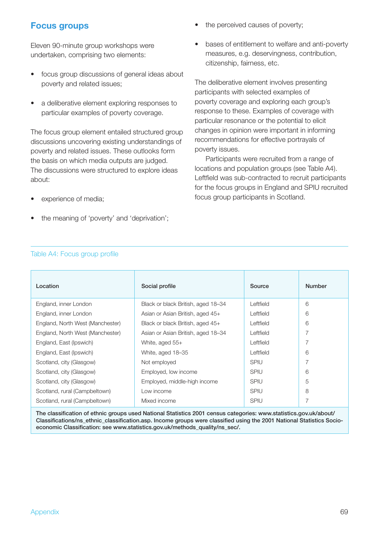## **Focus groups**

Eleven 90-minute group workshops were undertaken, comprising two elements:

- focus group discussions of general ideas about poverty and related issues;
- a deliberative element exploring responses to particular examples of poverty coverage.

The focus group element entailed structured group discussions uncovering existing understandings of poverty and related issues. These outlooks form the basis on which media outputs are judged. The discussions were structured to explore ideas about:

- experience of media;
- the meaning of 'poverty' and 'deprivation';
- the perceived causes of poverty;
- bases of entitlement to welfare and anti-poverty measures, e.g. deservingness, contribution, citizenship, fairness, etc.

The deliberative element involves presenting participants with selected examples of poverty coverage and exploring each group's response to these. Examples of coverage with particular resonance or the potential to elicit changes in opinion were important in informing recommendations for effective portrayals of poverty issues.

Participants were recruited from a range of locations and population groups (see Table A4). Leftfield was sub-contracted to recruit participants for the focus groups in England and SPIU recruited focus group participants in Scotland.

| Location                         | Social profile                     | Source      | <b>Number</b> |
|----------------------------------|------------------------------------|-------------|---------------|
| England, inner London            | Black or black British, aged 18-34 | Leftfield   | 6             |
| England, inner London            | Asian or Asian British, aged 45+   | Leftfield   | 6             |
| England, North West (Manchester) | Black or black British, aged 45+   | Leftfield   | 6             |
| England, North West (Manchester) | Asian or Asian British, aged 18-34 | Leftfield   |               |
| England, East (Ipswich)          | White, aged 55+                    | Leftfield   |               |
| England, East (Ipswich)          | White, aged 18-35                  | Leftfield   | 6             |
| Scotland, city (Glasgow)         | Not employed                       | <b>SPIU</b> |               |
| Scotland, city (Glasgow)         | Employed, low income               | <b>SPIU</b> | 6             |
| Scotland, city (Glasgow)         | Employed, middle-high income       | <b>SPIU</b> | 5             |
| Scotland, rural (Campbeltown)    | Low income                         | <b>SPIU</b> | 8             |
| Scotland, rural (Campbeltown)    | Mixed income                       | <b>SPIU</b> |               |

Table A4: Focus group profile

The classification of ethnic groups used National Statistics 2001 census categories: www.statistics.gov.uk/about/ Classifications/ns\_ethnic\_classification.asp. Income groups were classified using the 2001 National Statistics Socioeconomic Classification: see www.statistics.gov.uk/methods\_quality/ns\_sec/.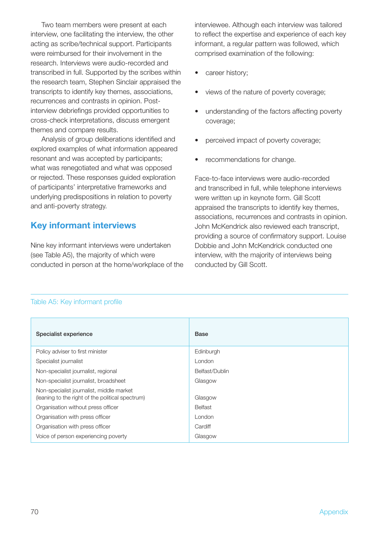Two team members were present at each interview, one facilitating the interview, the other acting as scribe/technical support. Participants were reimbursed for their involvement in the research. Interviews were audio-recorded and transcribed in full. Supported by the scribes within the research team, Stephen Sinclair appraised the transcripts to identify key themes, associations, recurrences and contrasts in opinion. Postinterview debriefings provided opportunities to cross-check interpretations, discuss emergent themes and compare results.

Analysis of group deliberations identified and explored examples of what information appeared resonant and was accepted by participants; what was renegotiated and what was opposed or rejected. These responses guided exploration of participants' interpretative frameworks and underlying predispositions in relation to poverty and anti-poverty strategy.

## **Key informant interviews**

Nine key informant interviews were undertaken (see Table A5), the majority of which were conducted in person at the home/workplace of the interviewee. Although each interview was tailored to reflect the expertise and experience of each key informant, a regular pattern was followed, which comprised examination of the following:

- career history;
- views of the nature of poverty coverage;
- understanding of the factors affecting poverty coverage;
- perceived impact of poverty coverage;
- recommendations for change.

Face-to-face interviews were audio-recorded and transcribed in full, while telephone interviews were written up in keynote form. Gill Scott appraised the transcripts to identify key themes, associations, recurrences and contrasts in opinion. John McKendrick also reviewed each transcript, providing a source of confirmatory support. Louise Dobbie and John McKendrick conducted one interview, with the majority of interviews being conducted by Gill Scott.

| Specialist experience                                                                        | <b>Base</b>    |
|----------------------------------------------------------------------------------------------|----------------|
| Policy adviser to first minister                                                             | Edinburgh      |
| Specialist journalist                                                                        | London         |
| Non-specialist journalist, regional                                                          | Belfast/Dublin |
| Non-specialist journalist, broadsheet                                                        | Glasgow        |
| Non-specialist journalist, middle market<br>(leaning to the right of the political spectrum) | Glasgow        |
| Organisation without press officer                                                           | <b>Belfast</b> |
| Organisation with press officer                                                              | London         |
| Organisation with press officer                                                              | Cardiff        |
| Voice of person experiencing poverty                                                         | Glasgow        |

#### Table A5: Key informant profile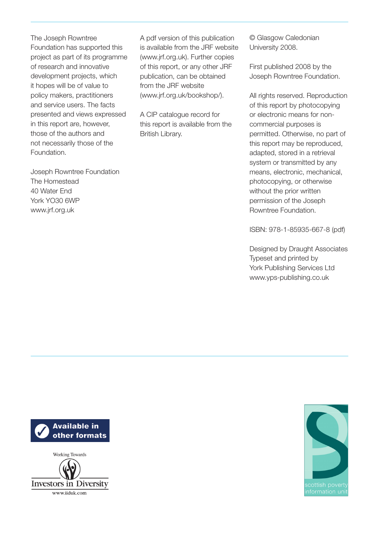The Joseph Rowntree Foundation has supported this project as part of its programme of research and innovative development projects, which it hopes will be of value to policy makers, practitioners and service users. The facts presented and views expressed in this report are, however, those of the authors and not necessarily those of the Foundation.

Joseph Rowntree Foundation The Homestead 40 Water End York YO30 6WP www.jrf.org.uk

A pdf version of this publication is available from the JRF website (www.jrf.org.uk). Further copies of this report, or any other JRF publication, can be obtained from the JRF website (www.jrf.org.uk/bookshop/).

A CIP catalogue record for this report is available from the British Library.

© Glasgow Caledonian University 2008.

First published 2008 by the Joseph Rowntree Foundation.

All rights reserved. Reproduction of this report by photocopying or electronic means for noncommercial purposes is permitted. Otherwise, no part of this report may be reproduced, adapted, stored in a retrieval system or transmitted by any means, electronic, mechanical, photocopying, or otherwise without the prior written permission of the Joseph Rowntree Foundation.

ISBN: 978-1-85935-667-8 (pdf)

Designed by Draught Associates Typeset and printed by York Publishing Services Ltd www.yps-publishing.co.uk